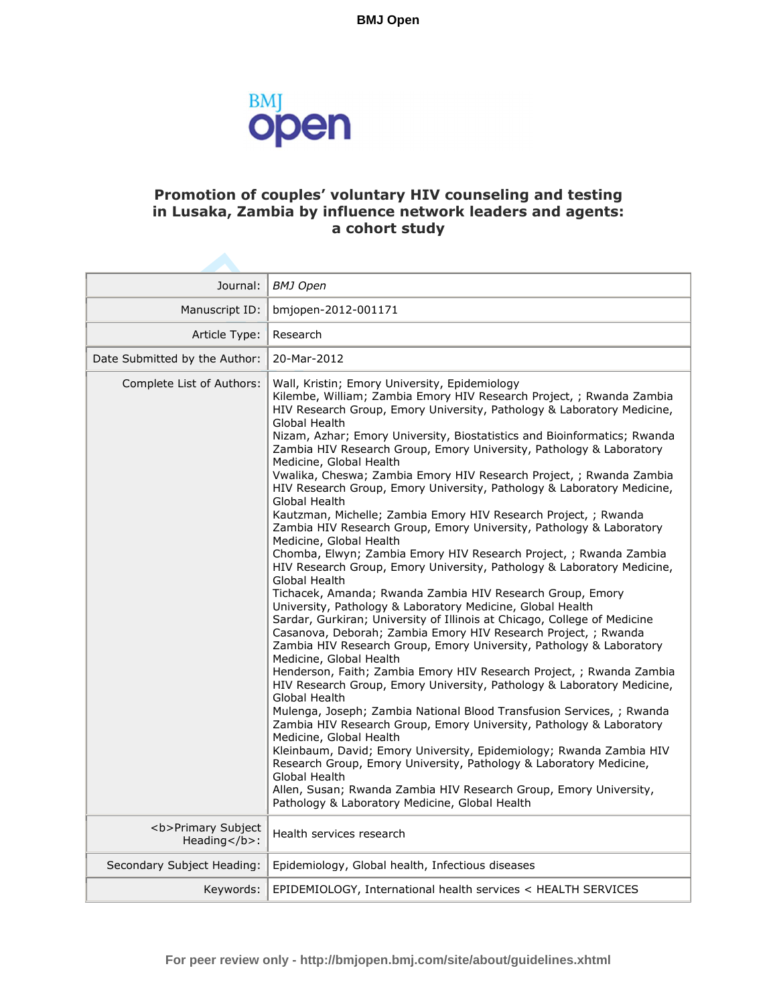

## **Promotion of couples' voluntary HIV counseling and testing in Lusaka, Zambia by influence network leaders and agents: a cohort study**

| Journal:                             | <b>BMJ</b> Open                                                                                                                                                                                                                                                                                                                                                                                                                                                                                                                                                                                                                                                                                                                                                                                                                                                                                                                                                                                                                                                                                                                                                                                                                                                                                                                                                                                                                                                                                                                                                                                                                                                                                                                                                                                                                                                                                                            |
|--------------------------------------|----------------------------------------------------------------------------------------------------------------------------------------------------------------------------------------------------------------------------------------------------------------------------------------------------------------------------------------------------------------------------------------------------------------------------------------------------------------------------------------------------------------------------------------------------------------------------------------------------------------------------------------------------------------------------------------------------------------------------------------------------------------------------------------------------------------------------------------------------------------------------------------------------------------------------------------------------------------------------------------------------------------------------------------------------------------------------------------------------------------------------------------------------------------------------------------------------------------------------------------------------------------------------------------------------------------------------------------------------------------------------------------------------------------------------------------------------------------------------------------------------------------------------------------------------------------------------------------------------------------------------------------------------------------------------------------------------------------------------------------------------------------------------------------------------------------------------------------------------------------------------------------------------------------------------|
| Manuscript ID:                       | bmjopen-2012-001171                                                                                                                                                                                                                                                                                                                                                                                                                                                                                                                                                                                                                                                                                                                                                                                                                                                                                                                                                                                                                                                                                                                                                                                                                                                                                                                                                                                                                                                                                                                                                                                                                                                                                                                                                                                                                                                                                                        |
| Article Type:                        | Research                                                                                                                                                                                                                                                                                                                                                                                                                                                                                                                                                                                                                                                                                                                                                                                                                                                                                                                                                                                                                                                                                                                                                                                                                                                                                                                                                                                                                                                                                                                                                                                                                                                                                                                                                                                                                                                                                                                   |
| Date Submitted by the Author:        | 20-Mar-2012                                                                                                                                                                                                                                                                                                                                                                                                                                                                                                                                                                                                                                                                                                                                                                                                                                                                                                                                                                                                                                                                                                                                                                                                                                                                                                                                                                                                                                                                                                                                                                                                                                                                                                                                                                                                                                                                                                                |
| Complete List of Authors:            | Wall, Kristin; Emory University, Epidemiology<br>Kilembe, William; Zambia Emory HIV Research Project, ; Rwanda Zambia<br>HIV Research Group, Emory University, Pathology & Laboratory Medicine,<br>Global Health<br>Nizam, Azhar; Emory University, Biostatistics and Bioinformatics; Rwanda<br>Zambia HIV Research Group, Emory University, Pathology & Laboratory<br>Medicine, Global Health<br>Vwalika, Cheswa; Zambia Emory HIV Research Project, ; Rwanda Zambia<br>HIV Research Group, Emory University, Pathology & Laboratory Medicine,<br>Global Health<br>Kautzman, Michelle; Zambia Emory HIV Research Project, ; Rwanda<br>Zambia HIV Research Group, Emory University, Pathology & Laboratory<br>Medicine, Global Health<br>Chomba, Elwyn; Zambia Emory HIV Research Project, ; Rwanda Zambia<br>HIV Research Group, Emory University, Pathology & Laboratory Medicine,<br>Global Health<br>Tichacek, Amanda; Rwanda Zambia HIV Research Group, Emory<br>University, Pathology & Laboratory Medicine, Global Health<br>Sardar, Gurkiran; University of Illinois at Chicago, College of Medicine<br>Casanova, Deborah; Zambia Emory HIV Research Project, ; Rwanda<br>Zambia HIV Research Group, Emory University, Pathology & Laboratory<br>Medicine, Global Health<br>Henderson, Faith; Zambia Emory HIV Research Project, ; Rwanda Zambia<br>HIV Research Group, Emory University, Pathology & Laboratory Medicine,<br>Global Health<br>Mulenga, Joseph; Zambia National Blood Transfusion Services, ; Rwanda<br>Zambia HIV Research Group, Emory University, Pathology & Laboratory<br>Medicine, Global Health<br>Kleinbaum, David; Emory University, Epidemiology; Rwanda Zambia HIV<br>Research Group, Emory University, Pathology & Laboratory Medicine,<br><b>Global Health</b><br>Allen, Susan; Rwanda Zambia HIV Research Group, Emory University,<br>Pathology & Laboratory Medicine, Global Health |
| <b>Primary Subject<br/>Heading</b> : | Health services research                                                                                                                                                                                                                                                                                                                                                                                                                                                                                                                                                                                                                                                                                                                                                                                                                                                                                                                                                                                                                                                                                                                                                                                                                                                                                                                                                                                                                                                                                                                                                                                                                                                                                                                                                                                                                                                                                                   |
| Secondary Subject Heading:           | Epidemiology, Global health, Infectious diseases                                                                                                                                                                                                                                                                                                                                                                                                                                                                                                                                                                                                                                                                                                                                                                                                                                                                                                                                                                                                                                                                                                                                                                                                                                                                                                                                                                                                                                                                                                                                                                                                                                                                                                                                                                                                                                                                           |
| Keywords:                            | EPIDEMIOLOGY, International health services < HEALTH SERVICES                                                                                                                                                                                                                                                                                                                                                                                                                                                                                                                                                                                                                                                                                                                                                                                                                                                                                                                                                                                                                                                                                                                                                                                                                                                                                                                                                                                                                                                                                                                                                                                                                                                                                                                                                                                                                                                              |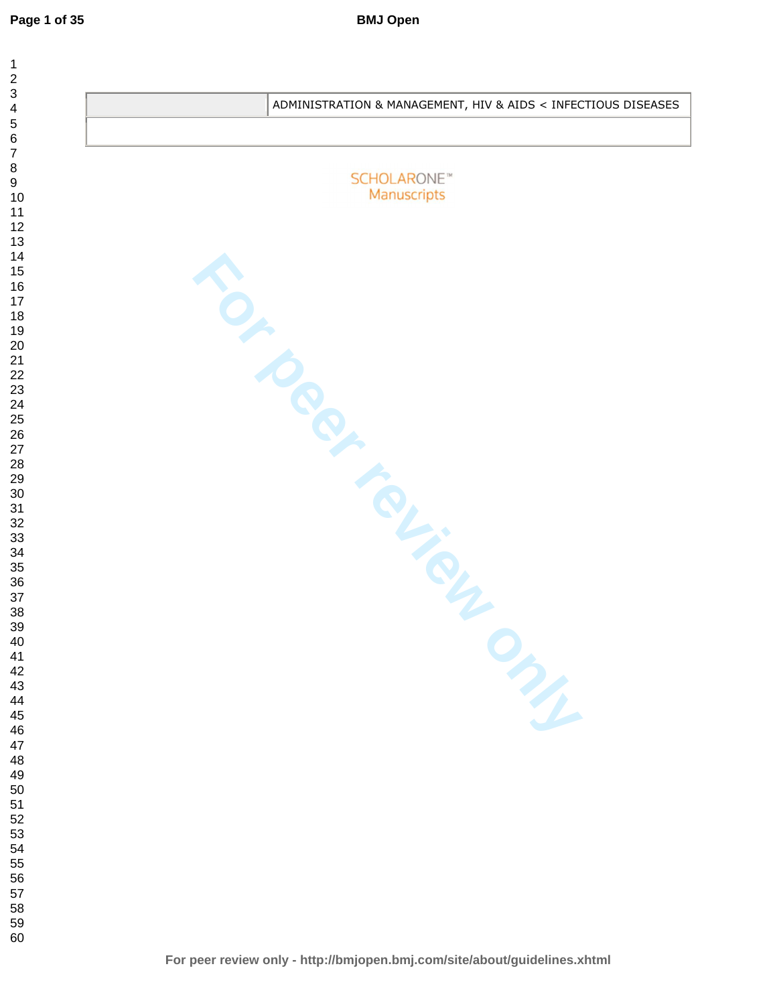| ADMINISTRATION & MANAGEMENT, HIV & AIDS < INFECTIOUS DISEASES |
|---------------------------------------------------------------|
| <b>SCHOLARONE™</b><br>Manuscripts                             |
|                                                               |
| TO                                                            |
|                                                               |
| <b>CLASS</b>                                                  |
| ONL                                                           |
|                                                               |
|                                                               |
|                                                               |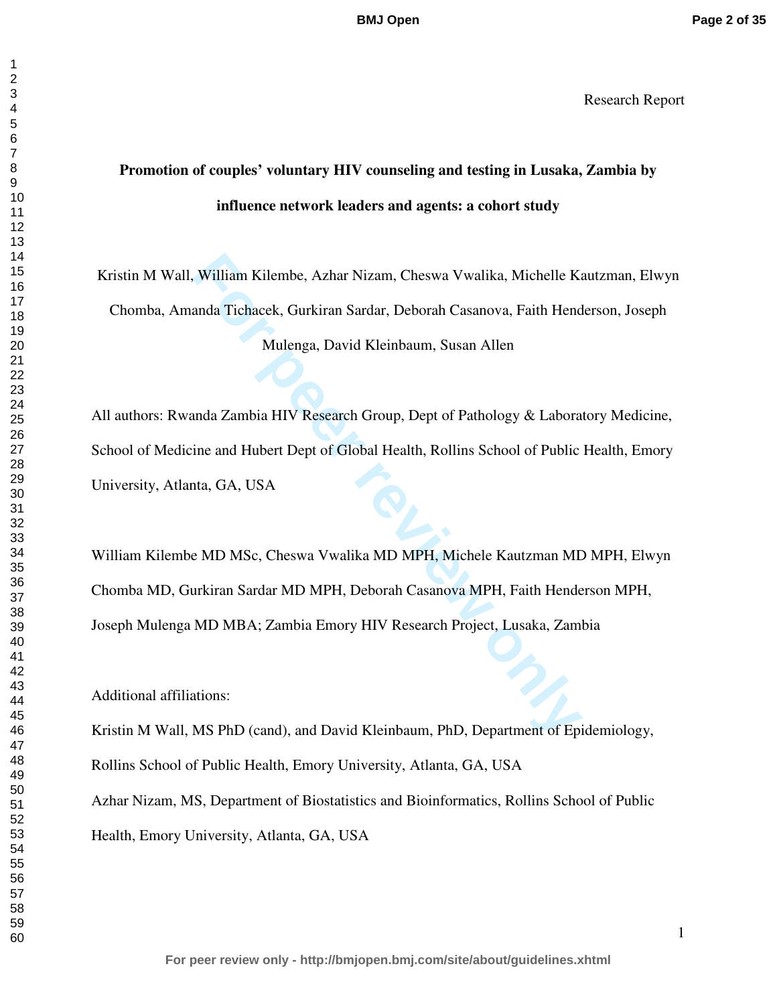Research Report

# **Promotion of couples' voluntary HIV counseling and testing in Lusaka, Zambia by influence network leaders and agents: a cohort study**

William Kilembe, Azhar Nizam, Cheswa Vwalika, Michelle Ka<br>
anda Tichacek, Gurkiran Sardar, Deborah Casanova, Faith Hend<br>
Mulenga, David Kleinbaum, Susan Allen<br>
mda Zambia HIV Research Group, Dept of Pathology & Labora<br>
ine Kristin M Wall, William Kilembe, Azhar Nizam, Cheswa Vwalika, Michelle Kautzman, Elwyn Chomba, Amanda Tichacek, Gurkiran Sardar, Deborah Casanova, Faith Henderson, Joseph Mulenga, David Kleinbaum, Susan Allen

All authors: Rwanda Zambia HIV Research Group, Dept of Pathology & Laboratory Medicine, School of Medicine and Hubert Dept of Global Health, Rollins School of Public Health, Emory University, Atlanta, GA, USA

William Kilembe MD MSc, Cheswa Vwalika MD MPH, Michele Kautzman MD MPH, Elwyn Chomba MD, Gurkiran Sardar MD MPH, Deborah Casanova MPH, Faith Henderson MPH, Joseph Mulenga MD MBA; Zambia Emory HIV Research Project, Lusaka, Zambia

Additional affiliations:

Kristin M Wall, MS PhD (cand), and David Kleinbaum, PhD, Department of Epidemiology, Rollins School of Public Health, Emory University, Atlanta, GA, USA Azhar Nizam, MS, Department of Biostatistics and Bioinformatics, Rollins School of Public Health, Emory University, Atlanta, GA, USA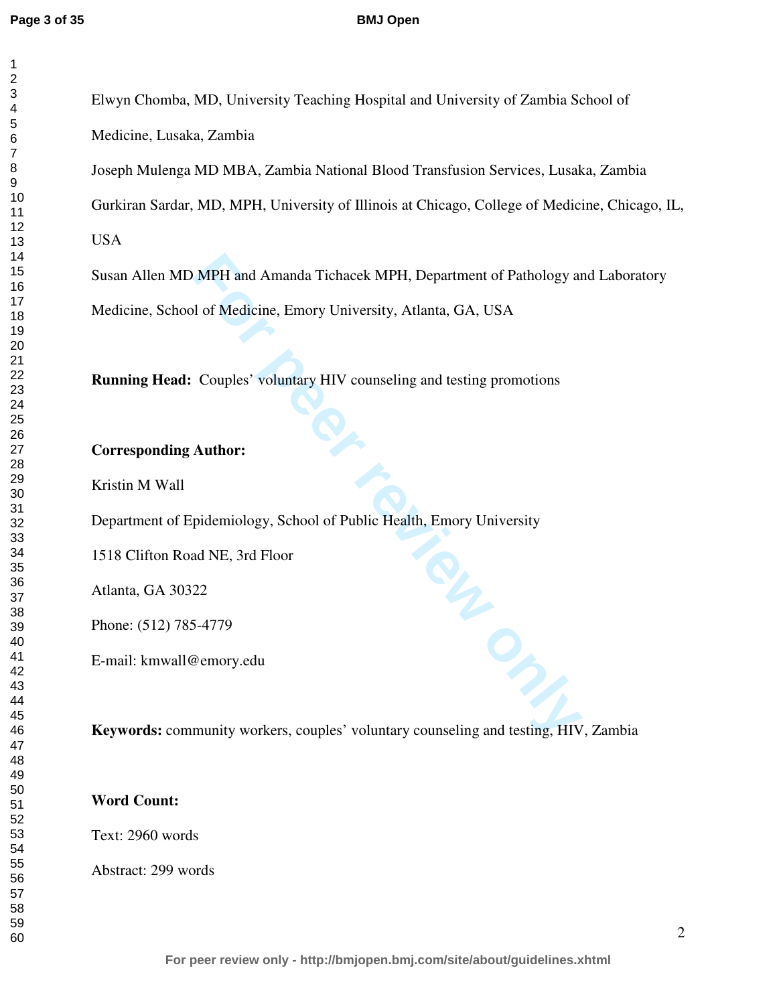### **BMJ Open**

Elwyn Chomba, MD, University Teaching Hospital and University of Zambia School of Medicine, Lusaka, Zambia

Joseph Mulenga MD MBA, Zambia National Blood Transfusion Services, Lusaka, Zambia

Gurkiran Sardar, MD, MPH, University of Illinois at Chicago, College of Medicine, Chicago, IL,

USA

Susan Allen MD MPH and Amanda Tichacek MPH, Department of Pathology and Laboratory Medicine, School of Medicine, Emory University, Atlanta, GA, USA

**Running Head:** Couples' voluntary HIV counseling and testing promotions

## **Corresponding Author:**

Kristin M Wall

Department of Epidemiology, School of Public Health, Emory University

1518 Clifton Road NE, 3rd Floor

Atlanta, GA 30322

Phone: (512) 785-4779

E-mail: kmwall@emory.edu

**Keywords:** community workers, couples' voluntary counseling and testing, HIV, Zambia

#### **Word Count:**

Text: 2960 words

Abstract: 299 words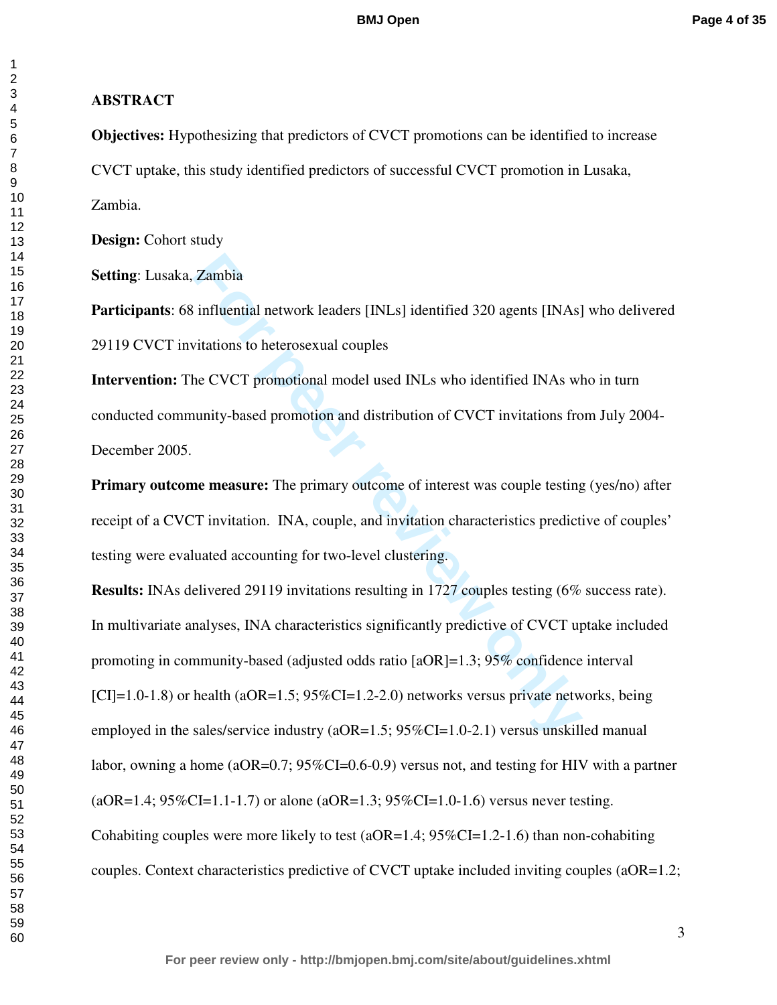## **ABSTRACT**

**Objectives:** Hypothesizing that predictors of CVCT promotions can be identified to increase CVCT uptake, this study identified predictors of successful CVCT promotion in Lusaka, Zambia.

**Design:** Cohort study

**Setting**: Lusaka, Zambia

**Participants**: 68 influential network leaders [INLs] identified 320 agents [INAs] who delivered 29119 CVCT invitations to heterosexual couples

**Intervention:** The CVCT promotional model used INLs who identified INAs who in turn conducted community-based promotion and distribution of CVCT invitations from July 2004- December 2005.

Primary outcome measure: The primary outcome of interest was couple testing (yes/no) after receipt of a CVCT invitation. INA, couple, and invitation characteristics predictive of couples' testing were evaluated accounting for two-level clustering.

Zambia<br>
influential network leaders [INLs] identified 320 agents [INAs]<br>
vitations to heterosexual couples<br>
he CVCT promotional model used INLs who identified INAs w<br>
uunity-based promotion and distribution of CVCT invitat **Results:** INAs delivered 29119 invitations resulting in 1727 couples testing (6% success rate). In multivariate analyses, INA characteristics significantly predictive of CVCT uptake included promoting in community-based (adjusted odds ratio [aOR]=1.3; 95% confidence interval  $[CI] = 1.0-1.8$ ) or health ( $aOR = 1.5$ ;  $95\% CI = 1.2-2.0$ ) networks versus private networks, being employed in the sales/service industry ( $aOR=1.5$ ;  $95\%CI=1.0-2.1$ ) versus unskilled manual labor, owning a home (aOR=0.7;  $95\%$ CI=0.6-0.9) versus not, and testing for HIV with a partner  $(aOR=1.4; 95\%CI=1.1-1.7)$  or alone  $(aOR=1.3; 95\%CI=1.0-1.6)$  versus never testing. Cohabiting couples were more likely to test (aOR=1.4;  $95\%$ CI=1.2-1.6) than non-cohabiting couples. Context characteristics predictive of CVCT uptake included inviting couples (aOR=1.2;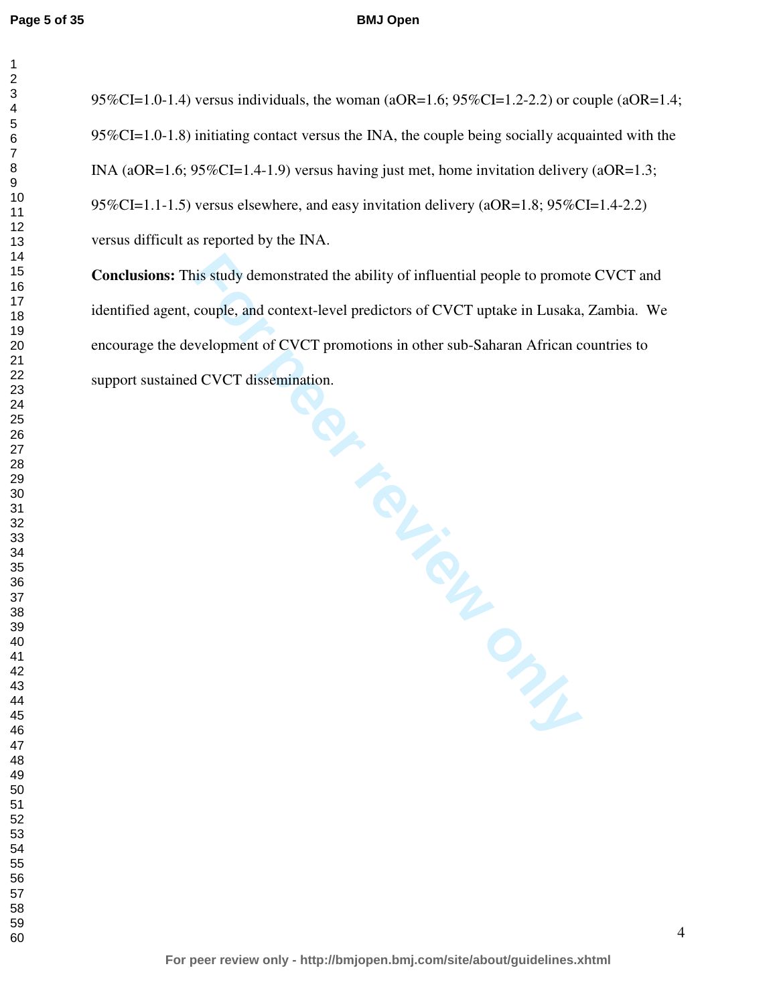#### **BMJ Open**

95%CI=1.0-1.4) versus individuals, the woman (aOR=1.6;  $95\%$ CI=1.2-2.2) or couple (aOR=1.4;  $95\%$ CI=1.0-1.8) initiating contact versus the INA, the couple being socially acquainted with the INA (aOR=1.6;  $95\%$ CI=1.4-1.9) versus having just met, home invitation delivery (aOR=1.3; 95%CI=1.1-1.5) versus elsewhere, and easy invitation delivery (aOR=1.8; 95%CI=1.4-2.2) versus difficult as reported by the INA.

**For Fight Conclusions:** This study demonstrated the ability of influential people to promote CVCT and identified agent, couple, and context-level predictors of CVCT uptake in Lusaka, Zambia. We encourage the development of CVCT promotions in other sub-Saharan African countries to support sustained CVCT dissemination.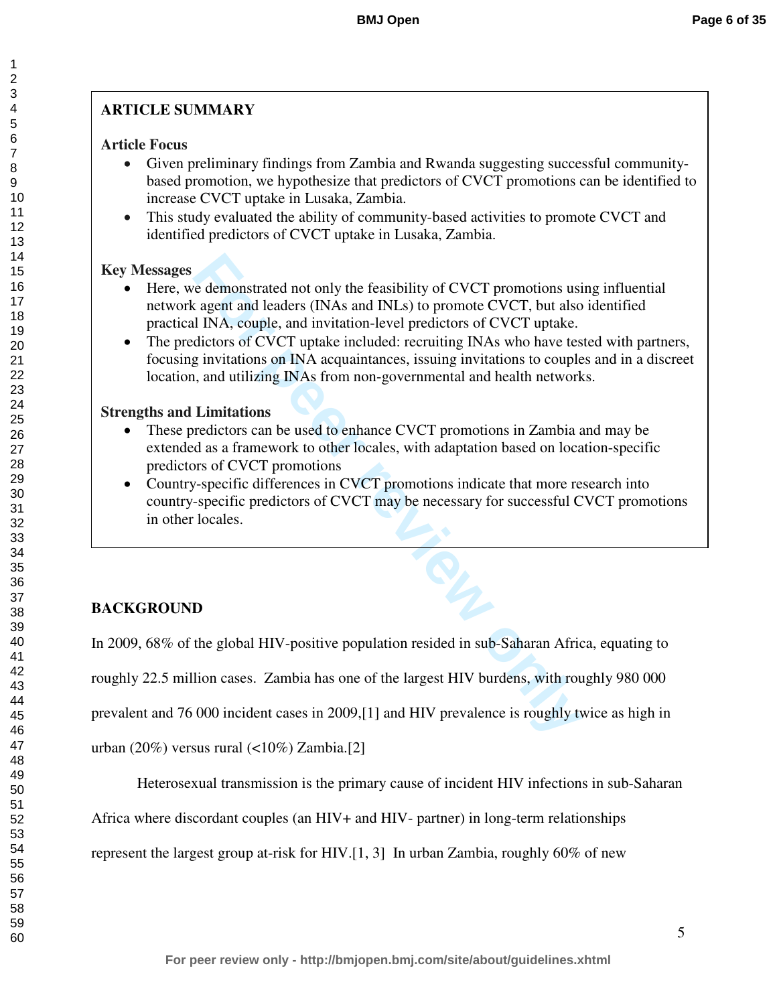## **ARTICLE SUMMARY**

## **Article Focus**

- Given preliminary findings from Zambia and Rwanda suggesting successful communitybased promotion, we hypothesize that predictors of CVCT promotions can be identified to increase CVCT uptake in Lusaka, Zambia.
- This study evaluated the ability of community-based activities to promote CVCT and identified predictors of CVCT uptake in Lusaka, Zambia.

## **Key Messages**

- Here, we demonstrated not only the feasibility of CVCT promotions using influential network agent and leaders (INAs and INLs) to promote CVCT, but also identified practical INA, couple, and invitation-level predictors of CVCT uptake.
- re demonstrated not only the feasibility of CVCT promotions us<br>a gent and leaders (INAs and INLs) to promote CVCT uptales.<br>II INA, couple, and invitation-level predictors of CVCT uptake.<br>dictors of CVCT uptake included: re • The predictors of CVCT uptake included: recruiting INAs who have tested with partners, focusing invitations on INA acquaintances, issuing invitations to couples and in a discreet location, and utilizing INAs from non-governmental and health networks.

## **Strengths and Limitations**

- These predictors can be used to enhance CVCT promotions in Zambia and may be extended as a framework to other locales, with adaptation based on location-specific predictors of CVCT promotions
- Country-specific differences in CVCT promotions indicate that more research into country-specific predictors of CVCT may be necessary for successful CVCT promotions in other locales.

## **BACKGROUND**

In 2009, 68% of the global HIV-positive population resided in sub-Saharan Africa, equating to

roughly 22.5 million cases. Zambia has one of the largest HIV burdens, with roughly 980 000

prevalent and 76 000 incident cases in 2009,[1] and HIV prevalence is roughly twice as high in

urban (20%) versus rural (<10%) Zambia.[2]

Heterosexual transmission is the primary cause of incident HIV infections in sub-Saharan

Africa where discordant couples (an HIV+ and HIV- partner) in long-term relationships

represent the largest group at-risk for HIV.[1, 3] In urban Zambia, roughly 60% of new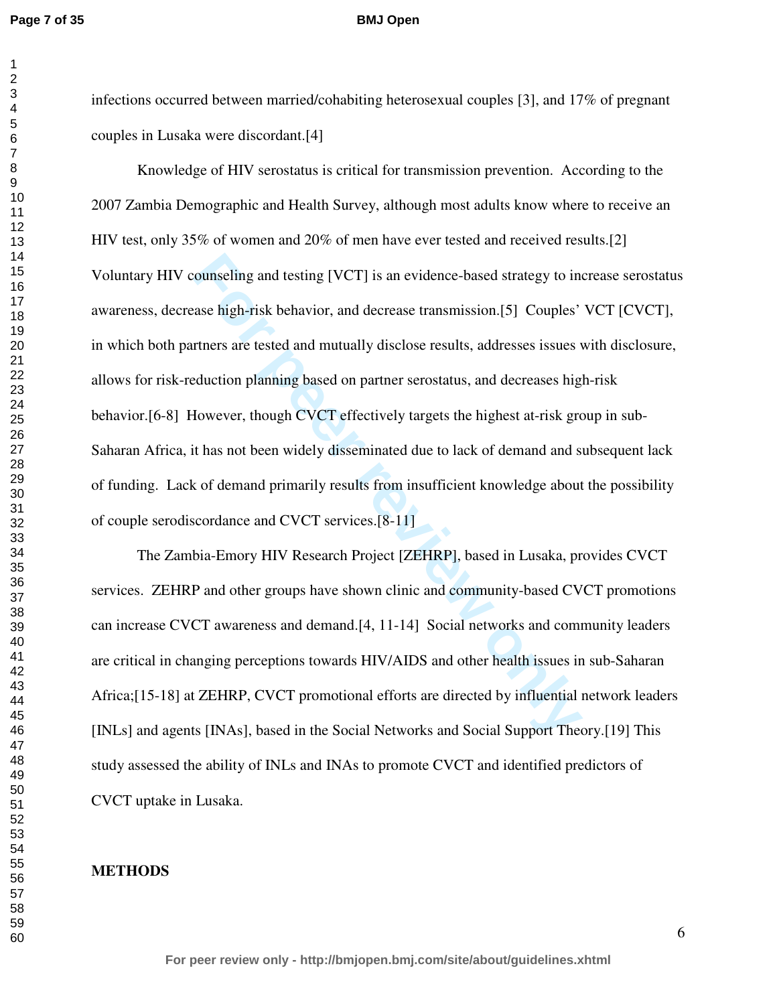#### **BMJ Open**

infections occurred between married/cohabiting heterosexual couples [3], and 17% of pregnant couples in Lusaka were discordant.[4]

rounseling and testing [VCT] is an evidence-based strategy to incase high-risk behavior, and decrease transmission.[5] Couples'<br>rtners are tested and mutually disclose results, addresses issues v<br>duction planning based on Knowledge of HIV serostatus is critical for transmission prevention. According to the 2007 Zambia Demographic and Health Survey, although most adults know where to receive an HIV test, only 35% of women and 20% of men have ever tested and received results.[2] Voluntary HIV counseling and testing [VCT] is an evidence-based strategy to increase serostatus awareness, decrease high-risk behavior, and decrease transmission.[5] Couples' VCT [CVCT], in which both partners are tested and mutually disclose results, addresses issues with disclosure, allows for risk-reduction planning based on partner serostatus, and decreases high-risk behavior.[6-8] However, though CVCT effectively targets the highest at-risk group in sub-Saharan Africa, it has not been widely disseminated due to lack of demand and subsequent lack of funding. Lack of demand primarily results from insufficient knowledge about the possibility of couple serodiscordance and CVCT services.[8-11]

The Zambia-Emory HIV Research Project [ZEHRP], based in Lusaka, provides CVCT services. ZEHRP and other groups have shown clinic and community-based CVCT promotions can increase CVCT awareness and demand.[4, 11-14] Social networks and community leaders are critical in changing perceptions towards HIV/AIDS and other health issues in sub-Saharan Africa;[15-18] at ZEHRP, CVCT promotional efforts are directed by influential network leaders [INLs] and agents [INAs], based in the Social Networks and Social Support Theory.[19] This study assessed the ability of INLs and INAs to promote CVCT and identified predictors of CVCT uptake in Lusaka.

#### **METHODS**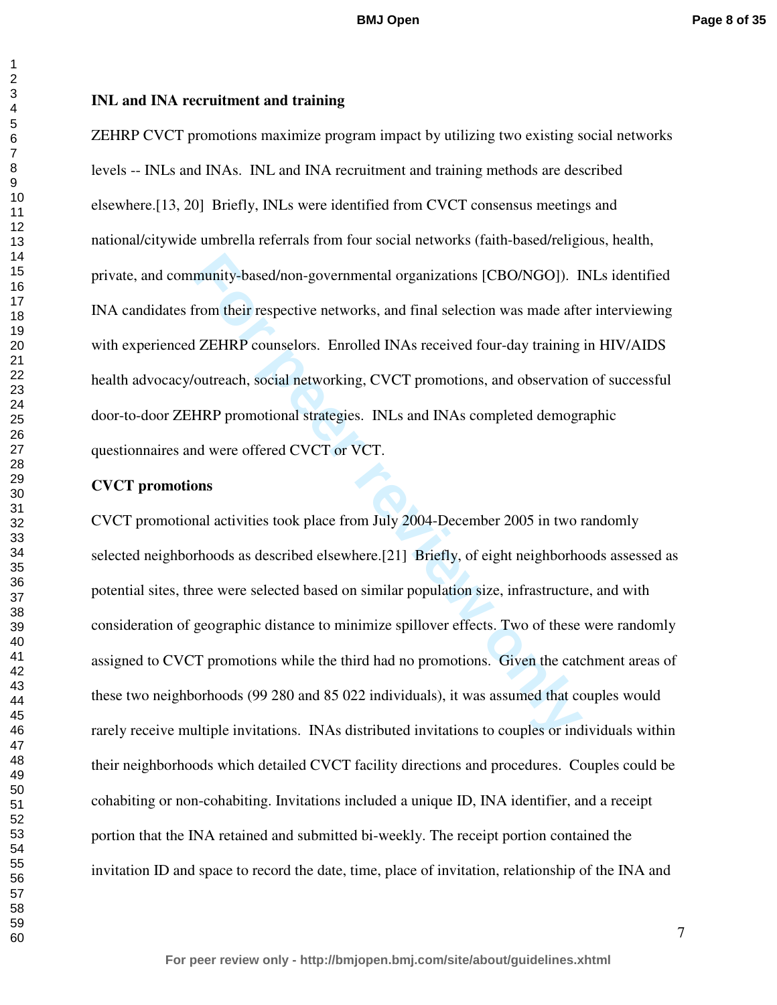## **INL and INA recruitment and training**

ZEHRP CVCT promotions maximize program impact by utilizing two existing social networks levels -- INLs and INAs. INL and INA recruitment and training methods are described elsewhere.[13, 20] Briefly, INLs were identified from CVCT consensus meetings and national/citywide umbrella referrals from four social networks (faith-based/religious, health, private, and community-based/non-governmental organizations [CBO/NGO]). INLs identified INA candidates from their respective networks, and final selection was made after interviewing with experienced ZEHRP counselors. Enrolled INAs received four-day training in HIV/AIDS health advocacy/outreach, social networking, CVCT promotions, and observation of successful door-to-door ZEHRP promotional strategies. INLs and INAs completed demographic questionnaires and were offered CVCT or VCT.

### **CVCT promotions**

munity-based/non-governmental organizations [CBO/NGO]). If<br>from their respective networks, and final selection was made after<br>all ZEHRP counselors. Enrolled INAs received four-day training<br>foutreach, social networking, CVC CVCT promotional activities took place from July 2004-December 2005 in two randomly selected neighborhoods as described elsewhere.[21] Briefly, of eight neighborhoods assessed as potential sites, three were selected based on similar population size, infrastructure, and with consideration of geographic distance to minimize spillover effects. Two of these were randomly assigned to CVCT promotions while the third had no promotions. Given the catchment areas of these two neighborhoods (99 280 and 85 022 individuals), it was assumed that couples would rarely receive multiple invitations. INAs distributed invitations to couples or individuals within their neighborhoods which detailed CVCT facility directions and procedures. Couples could be cohabiting or non-cohabiting. Invitations included a unique ID, INA identifier, and a receipt portion that the INA retained and submitted bi-weekly. The receipt portion contained the invitation ID and space to record the date, time, place of invitation, relationship of the INA and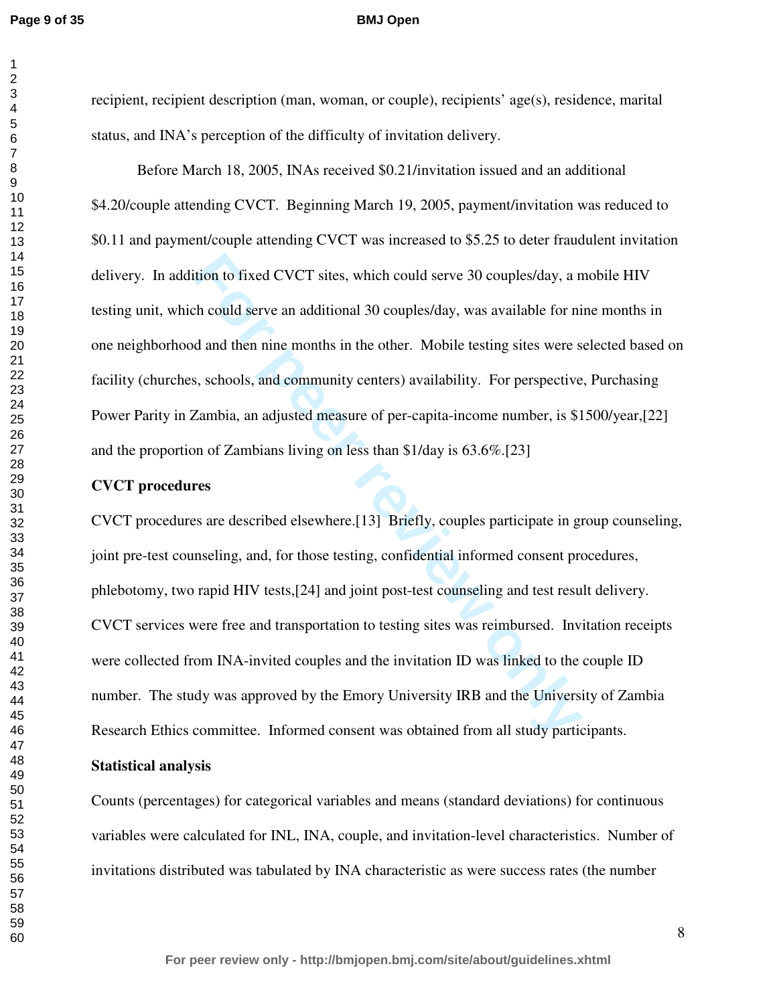#### **BMJ Open**

recipient, recipient description (man, woman, or couple), recipients' age(s), residence, marital status, and INA's perception of the difficulty of invitation delivery.

Before March 18, 2005, INAs received \$0.21/invitation issued and an additional \$4.20/couple attending CVCT. Beginning March 19, 2005, payment/invitation was reduced to \$0.11 and payment/couple attending CVCT was increased to \$5.25 to deter fraudulent invitation delivery. In addition to fixed CVCT sites, which could serve 30 couples/day, a mobile HIV testing unit, which could serve an additional 30 couples/day, was available for nine months in one neighborhood and then nine months in the other. Mobile testing sites were selected based on facility (churches, schools, and community centers) availability. For perspective, Purchasing Power Parity in Zambia, an adjusted measure of per-capita-income number, is \$1500/year,[22] and the proportion of Zambians living on less than \$1/day is 63.6%.[23]

## **CVCT procedures**

ition to fixed CVCT sites, which could serve 30 couples/day, a n<br>ch could serve an additional 30 couples/day, was available for ni<br>d and then nine months in the other. Mobile testing sites were s<br>s, schools, and community CVCT procedures are described elsewhere.[13] Briefly, couples participate in group counseling, joint pre-test counseling, and, for those testing, confidential informed consent procedures, phlebotomy, two rapid HIV tests,[24] and joint post-test counseling and test result delivery. CVCT services were free and transportation to testing sites was reimbursed. Invitation receipts were collected from INA-invited couples and the invitation ID was linked to the couple ID number. The study was approved by the Emory University IRB and the University of Zambia Research Ethics committee. Informed consent was obtained from all study participants.

### **Statistical analysis**

Counts (percentages) for categorical variables and means (standard deviations) for continuous variables were calculated for INL, INA, couple, and invitation-level characteristics. Number of invitations distributed was tabulated by INA characteristic as were success rates (the number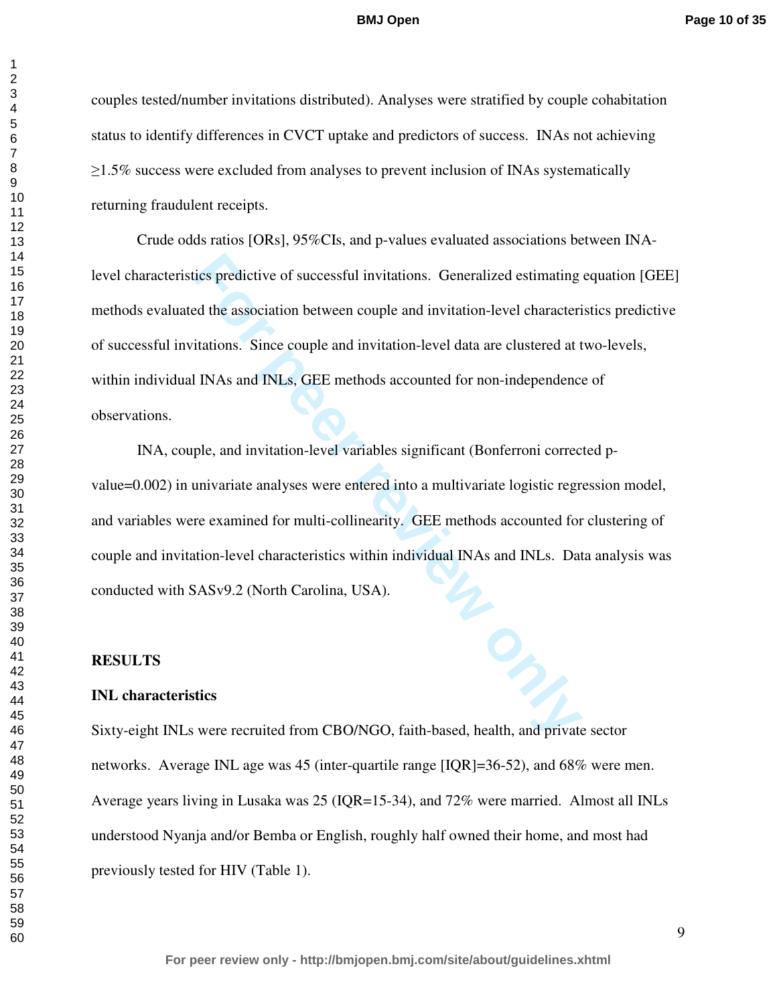### **BMJ Open**

couples tested/number invitations distributed). Analyses were stratified by couple cohabitation status to identify differences in CVCT uptake and predictors of success. INAs not achieving  $\geq$ 1.5% success were excluded from analyses to prevent inclusion of INAs systematically returning fraudulent receipts.

ration settential invitations. Generalized estimating<br> **For the association between couple and invitation-level characteric itations.** Since couple and invitation-level data are clustered at t<br> **FINAs and INLs, GEE methods** Crude odds ratios [ORs], 95%CIs, and p-values evaluated associations between INAlevel characteristics predictive of successful invitations. Generalized estimating equation [GEE] methods evaluated the association between couple and invitation-level characteristics predictive of successful invitations. Since couple and invitation-level data are clustered at two-levels, within individual INAs and INLs, GEE methods accounted for non-independence of observations.

INA, couple, and invitation-level variables significant (Bonferroni corrected pvalue=0.002) in univariate analyses were entered into a multivariate logistic regression model, and variables were examined for multi-collinearity. GEE methods accounted for clustering of couple and invitation-level characteristics within individual INAs and INLs. Data analysis was conducted with SASv9.2 (North Carolina, USA).

#### **RESULTS**

#### **INL characteristics**

Sixty-eight INLs were recruited from CBO/NGO, faith-based, health, and private sector networks. Average INL age was 45 (inter-quartile range [IQR]=36-52), and 68% were men. Average years living in Lusaka was 25 (IQR=15-34), and 72% were married. Almost all INLs understood Nyanja and/or Bemba or English, roughly half owned their home, and most had previously tested for HIV (Table 1).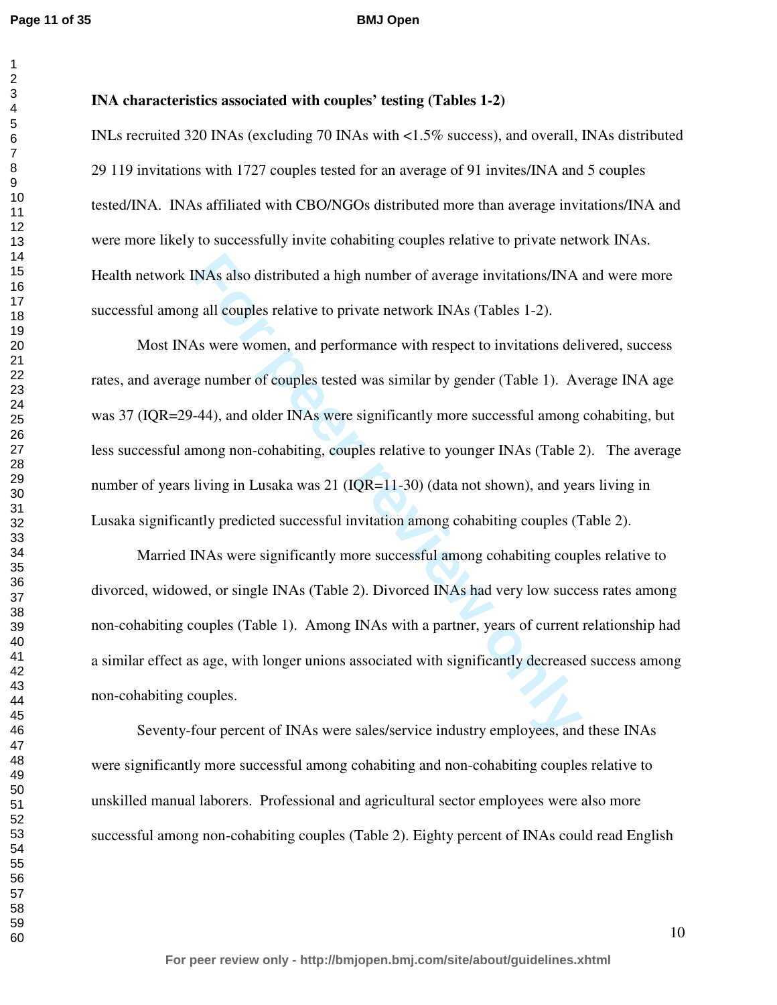#### **BMJ Open**

## **INA characteristics associated with couples' testing (Tables 1-2)**

INLs recruited 320 INAs (excluding 70 INAs with <1.5% success), and overall, INAs distributed 29 119 invitations with 1727 couples tested for an average of 91 invites/INA and 5 couples tested/INA. INAs affiliated with CBO/NGOs distributed more than average invitations/INA and were more likely to successfully invite cohabiting couples relative to private network INAs. Health network INAs also distributed a high number of average invitations/INA and were more successful among all couples relative to private network INAs (Tables 1-2).

INAs also distributed a high number of average invitations/INA a<br>g all couples relative to private network INAs (Tables 1-2).<br>As were women, and performance with respect to invitations deli<br>e number of couples tested was s Most INAs were women, and performance with respect to invitations delivered, success rates, and average number of couples tested was similar by gender (Table 1). Average INA age was 37 (IQR=29-44), and older INAs were significantly more successful among cohabiting, but less successful among non-cohabiting, couples relative to younger INAs (Table 2). The average number of years living in Lusaka was 21 (IQR=11-30) (data not shown), and years living in Lusaka significantly predicted successful invitation among cohabiting couples (Table 2).

Married INAs were significantly more successful among cohabiting couples relative to divorced, widowed, or single INAs (Table 2). Divorced INAs had very low success rates among non-cohabiting couples (Table 1). Among INAs with a partner, years of current relationship had a similar effect as age, with longer unions associated with significantly decreased success among non-cohabiting couples.

Seventy-four percent of INAs were sales/service industry employees, and these INAs were significantly more successful among cohabiting and non-cohabiting couples relative to unskilled manual laborers. Professional and agricultural sector employees were also more successful among non-cohabiting couples (Table 2). Eighty percent of INAs could read English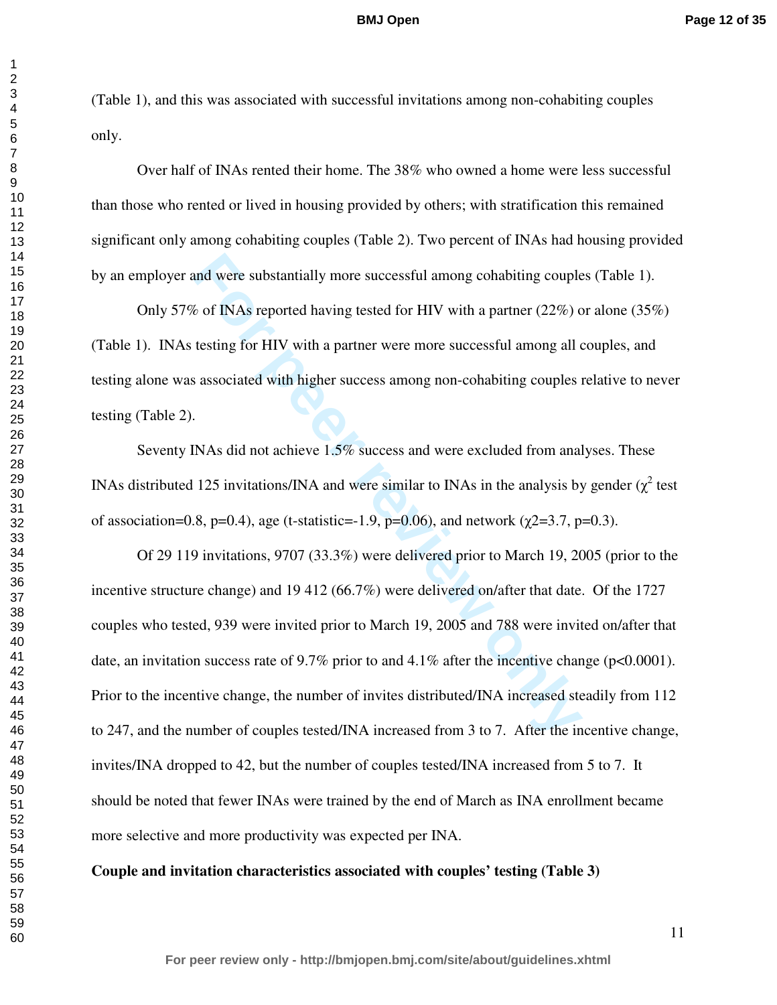(Table 1), and this was associated with successful invitations among non-cohabiting couples only.

Over half of INAs rented their home. The 38% who owned a home were less successful than those who rented or lived in housing provided by others; with stratification this remained significant only among cohabiting couples (Table 2). Two percent of INAs had housing provided by an employer and were substantially more successful among cohabiting couples (Table 1).

Only 57% of INAs reported having tested for HIV with a partner (22%) or alone (35%) (Table 1). INAs testing for HIV with a partner were more successful among all couples, and testing alone was associated with higher success among non-cohabiting couples relative to never testing (Table 2).

Seventy INAs did not achieve 1.5% success and were excluded from analyses. These INAs distributed 125 invitations/INA and were similar to INAs in the analysis by gender ( $\chi^2$  test of association=0.8, p=0.4), age (t-statistic=-1.9, p=0.06), and network ( $χ2=3.7$ , p=0.3).

and were substantially more successful among cohabiting couple<br>
6 of INAs reported having tested for HIV with a partner (22%) c<br>
testing for HIV with a partner were more successful among all c<br>
8 associated with higher suc Of 29 119 invitations, 9707 (33.3%) were delivered prior to March 19, 2005 (prior to the incentive structure change) and 19 412 (66.7%) were delivered on/after that date. Of the 1727 couples who tested, 939 were invited prior to March 19, 2005 and 788 were invited on/after that date, an invitation success rate of 9.7% prior to and 4.1% after the incentive change ( $p<0.0001$ ). Prior to the incentive change, the number of invites distributed/INA increased steadily from 112 to 247, and the number of couples tested/INA increased from 3 to 7. After the incentive change, invites/INA dropped to 42, but the number of couples tested/INA increased from 5 to 7. It should be noted that fewer INAs were trained by the end of March as INA enrollment became more selective and more productivity was expected per INA.

**Couple and invitation characteristics associated with couples' testing (Table 3)**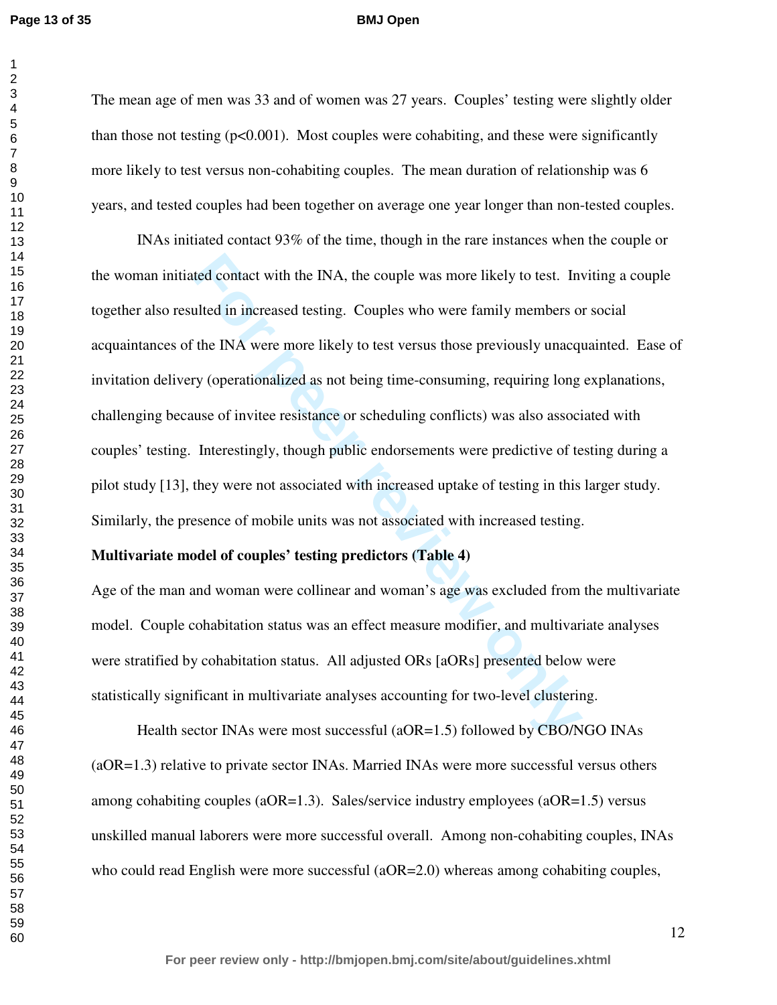#### **BMJ Open**

The mean age of men was 33 and of women was 27 years. Couples' testing were slightly older than those not testing ( $p<0.001$ ). Most couples were cohabiting, and these were significantly more likely to test versus non-cohabiting couples. The mean duration of relationship was 6 years, and tested couples had been together on average one year longer than non-tested couples.

ted contact with the INA, the couple was more likely to test. Inverted in increased testing. Couples who were family members of the INA were more likely to test versus those previously unacque of invitee resistance or sche INAs initiated contact 93% of the time, though in the rare instances when the couple or the woman initiated contact with the INA, the couple was more likely to test. Inviting a couple together also resulted in increased testing. Couples who were family members or social acquaintances of the INA were more likely to test versus those previously unacquainted. Ease of invitation delivery (operationalized as not being time-consuming, requiring long explanations, challenging because of invitee resistance or scheduling conflicts) was also associated with couples' testing. Interestingly, though public endorsements were predictive of testing during a pilot study [13], they were not associated with increased uptake of testing in this larger study. Similarly, the presence of mobile units was not associated with increased testing.

#### **Multivariate model of couples' testing predictors (Table 4)**

Age of the man and woman were collinear and woman's age was excluded from the multivariate model. Couple cohabitation status was an effect measure modifier, and multivariate analyses were stratified by cohabitation status. All adjusted ORs [aORs] presented below were statistically significant in multivariate analyses accounting for two-level clustering.

Health sector INAs were most successful (aOR=1.5) followed by CBO/NGO INAs (aOR=1.3) relative to private sector INAs. Married INAs were more successful versus others among cohabiting couples (aOR=1.3). Sales/service industry employees (aOR=1.5) versus unskilled manual laborers were more successful overall. Among non-cohabiting couples, INAs who could read English were more successful (aOR=2.0) whereas among cohabiting couples,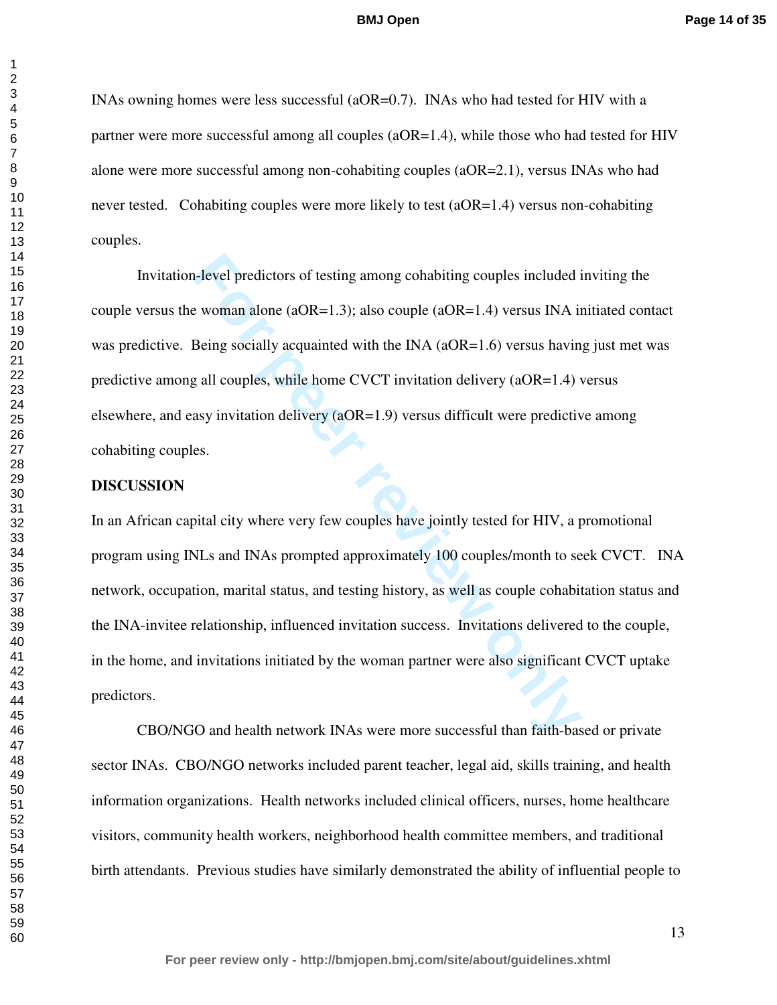#### **BMJ Open**

INAs owning homes were less successful (aOR=0.7). INAs who had tested for HIV with a partner were more successful among all couples (aOR=1.4), while those who had tested for HIV alone were more successful among non-cohabiting couples (aOR=2.1), versus INAs who had never tested. Cohabiting couples were more likely to test ( $aOR=1.4$ ) versus non-cohabiting couples.

n-level predictors of testing among cohabiting couples included i<br> **EVALUATE:** We woman alone (aOR=1.3); also couple (aOR=1.4) versus INA if<br> **For Being socially acquainted with the INA** (aOR=1.6) versus having<br>
all couple Invitation-level predictors of testing among cohabiting couples included inviting the couple versus the woman alone ( $aOR=1.3$ ); also couple ( $aOR=1.4$ ) versus INA initiated contact was predictive. Being socially acquainted with the INA ( $aOR=1.6$ ) versus having just met was predictive among all couples, while home CVCT invitation delivery (aOR=1.4) versus elsewhere, and easy invitation delivery (aOR=1.9) versus difficult were predictive among cohabiting couples.

#### **DISCUSSION**

In an African capital city where very few couples have jointly tested for HIV, a promotional program using INLs and INAs prompted approximately 100 couples/month to seek CVCT.INA network, occupation, marital status, and testing history, as well as couple cohabitation status and the INA-invitee relationship, influenced invitation success. Invitations delivered to the couple, in the home, and invitations initiated by the woman partner were also significant CVCT uptake predictors.

CBO/NGO and health network INAs were more successful than faith-based or private sector INAs. CBO/NGO networks included parent teacher, legal aid, skills training, and health information organizations. Health networks included clinical officers, nurses, home healthcare visitors, community health workers, neighborhood health committee members, and traditional birth attendants. Previous studies have similarly demonstrated the ability of influential people to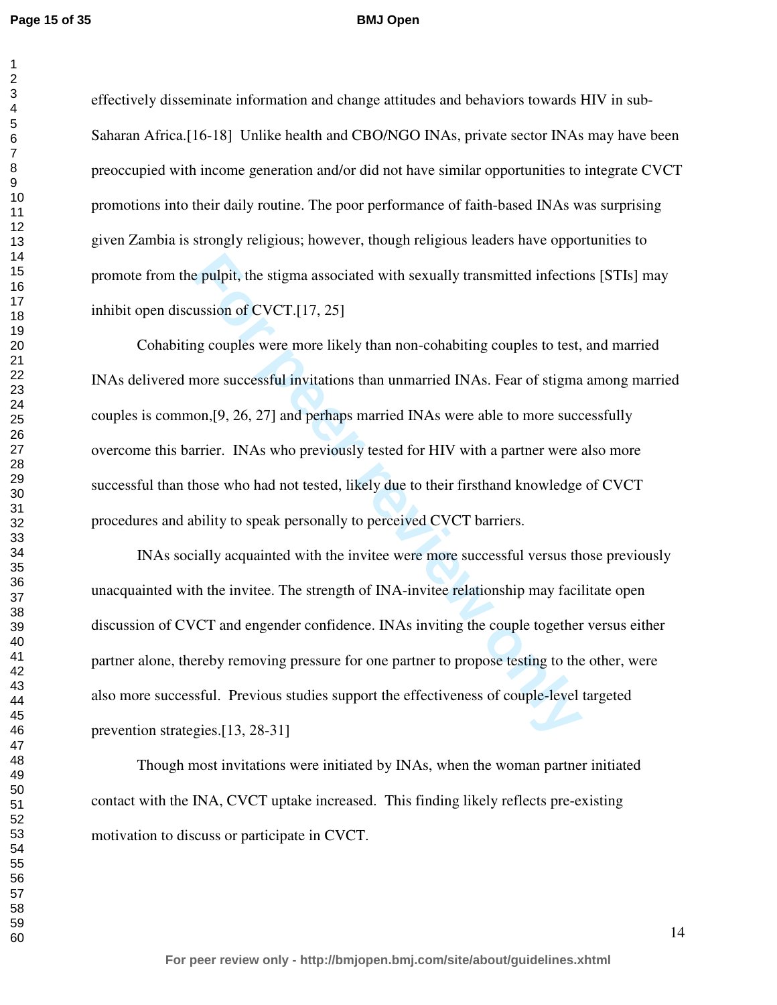#### **BMJ Open**

effectively disseminate information and change attitudes and behaviors towards HIV in sub-Saharan Africa.[16-18] Unlike health and CBO/NGO INAs, private sector INAs may have been preoccupied with income generation and/or did not have similar opportunities to integrate CVCT promotions into their daily routine. The poor performance of faith-based INAs was surprising given Zambia is strongly religious; however, though religious leaders have opportunities to promote from the pulpit, the stigma associated with sexually transmitted infections [STIs] may inhibit open discussion of CVCT.[17, 25]

Cohabiting couples were more likely than non-cohabiting couples to test, and married INAs delivered more successful invitations than unmarried INAs. Fear of stigma among married couples is common,[9, 26, 27] and perhaps married INAs were able to more successfully overcome this barrier. INAs who previously tested for HIV with a partner were also more successful than those who had not tested, likely due to their firsthand knowledge of CVCT procedures and ability to speak personally to perceived CVCT barriers.

Equalpit, the stigma associated with sexually transmitted infection<br>ussion of CVCT.[17, 25]<br>requested invitations than non-cohabiting couples to test,<br>more successful invitations than non-cohabiting couples to test,<br>more s INAs socially acquainted with the invitee were more successful versus those previously unacquainted with the invitee. The strength of INA-invitee relationship may facilitate open discussion of CVCT and engender confidence. INAs inviting the couple together versus either partner alone, thereby removing pressure for one partner to propose testing to the other, were also more successful. Previous studies support the effectiveness of couple-level targeted prevention strategies.[13, 28-31]

Though most invitations were initiated by INAs, when the woman partner initiated contact with the INA, CVCT uptake increased. This finding likely reflects pre-existing motivation to discuss or participate in CVCT.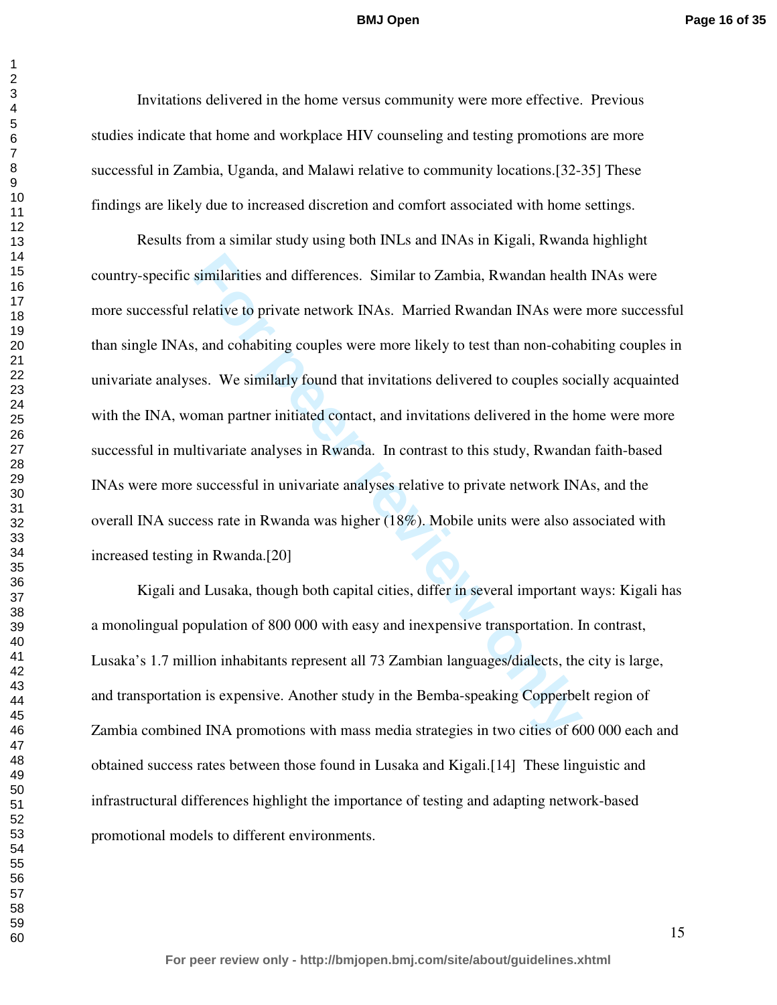#### **BMJ Open**

Invitations delivered in the home versus community were more effective. Previous studies indicate that home and workplace HIV counseling and testing promotions are more successful in Zambia, Uganda, and Malawi relative to community locations.[32-35] These findings are likely due to increased discretion and comfort associated with home settings.

similarities and differences. Similar to Zambia, Rwandan healther<br>
Felative to private network INAs. Married Rwandan INAs were<br>
i, and cohabiting couples were more likely to test than non-cohal<br>
Fes. We similarly found tha Results from a similar study using both INLs and INAs in Kigali, Rwanda highlight country-specific similarities and differences. Similar to Zambia, Rwandan health INAs were more successful relative to private network INAs. Married Rwandan INAs were more successful than single INAs, and cohabiting couples were more likely to test than non-cohabiting couples in univariate analyses. We similarly found that invitations delivered to couples socially acquainted with the INA, woman partner initiated contact, and invitations delivered in the home were more successful in multivariate analyses in Rwanda. In contrast to this study, Rwandan faith-based INAs were more successful in univariate analyses relative to private network INAs, and the overall INA success rate in Rwanda was higher (18%). Mobile units were also associated with increased testing in Rwanda.[20]

Kigali and Lusaka, though both capital cities, differ in several important ways: Kigali has a monolingual population of 800 000 with easy and inexpensive transportation. In contrast, Lusaka's 1.7 million inhabitants represent all 73 Zambian languages/dialects, the city is large, and transportation is expensive. Another study in the Bemba-speaking Copperbelt region of Zambia combined INA promotions with mass media strategies in two cities of 600 000 each and obtained success rates between those found in Lusaka and Kigali.[14] These linguistic and infrastructural differences highlight the importance of testing and adapting network-based promotional models to different environments.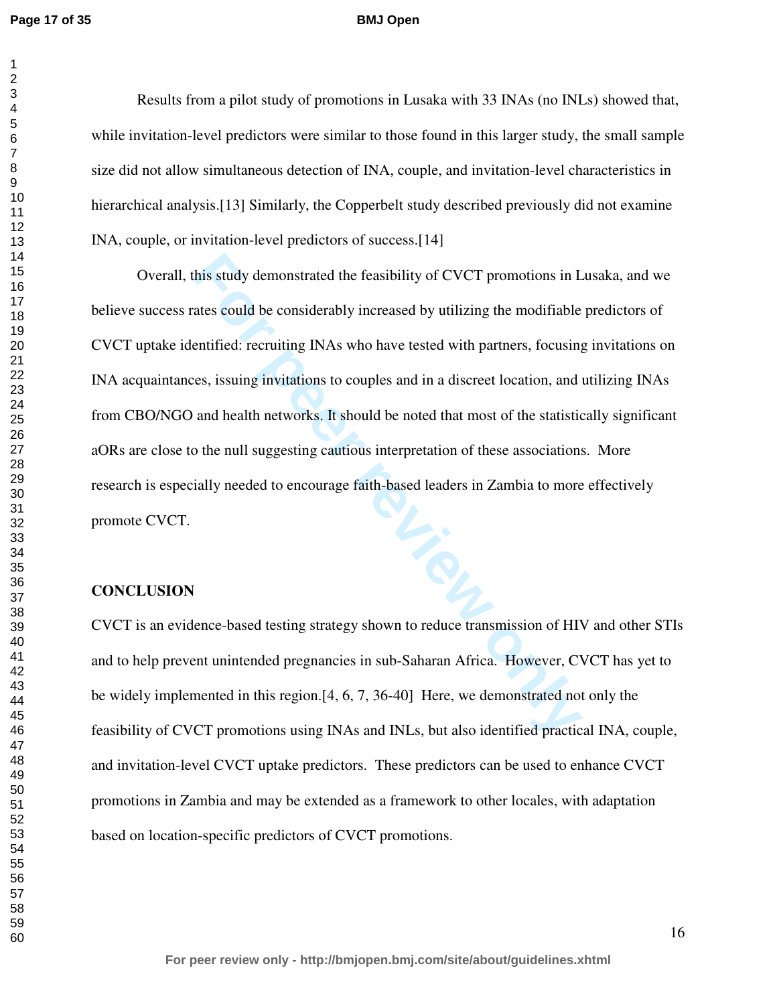#### **BMJ Open**

Results from a pilot study of promotions in Lusaka with 33 INAs (no INLs) showed that, while invitation-level predictors were similar to those found in this larger study, the small sample size did not allow simultaneous detection of INA, couple, and invitation-level characteristics in hierarchical analysis.[13] Similarly, the Copperbelt study described previously did not examine INA, couple, or invitation-level predictors of success.[14]

this study demonstrated the feasibility of CVCT promotions in L<br>ates could be considerably increased by utilizing the modifiable<br>entified: recruiting INAs who have tested with partners, focusing<br>res, issuing invitations to Overall, this study demonstrated the feasibility of CVCT promotions in Lusaka, and we believe success rates could be considerably increased by utilizing the modifiable predictors of CVCT uptake identified: recruiting INAs who have tested with partners, focusing invitations on INA acquaintances, issuing invitations to couples and in a discreet location, and utilizing INAs from CBO/NGO and health networks. It should be noted that most of the statistically significant aORs are close to the null suggesting cautious interpretation of these associations. More research is especially needed to encourage faith-based leaders in Zambia to more effectively promote CVCT.

## **CONCLUSION**

CVCT is an evidence-based testing strategy shown to reduce transmission of HIV and other STIs and to help prevent unintended pregnancies in sub-Saharan Africa. However, CVCT has yet to be widely implemented in this region.[4, 6, 7, 36-40] Here, we demonstrated not only the feasibility of CVCT promotions using INAs and INLs, but also identified practical INA, couple, and invitation-level CVCT uptake predictors. These predictors can be used to enhance CVCT promotions in Zambia and may be extended as a framework to other locales, with adaptation based on location-specific predictors of CVCT promotions.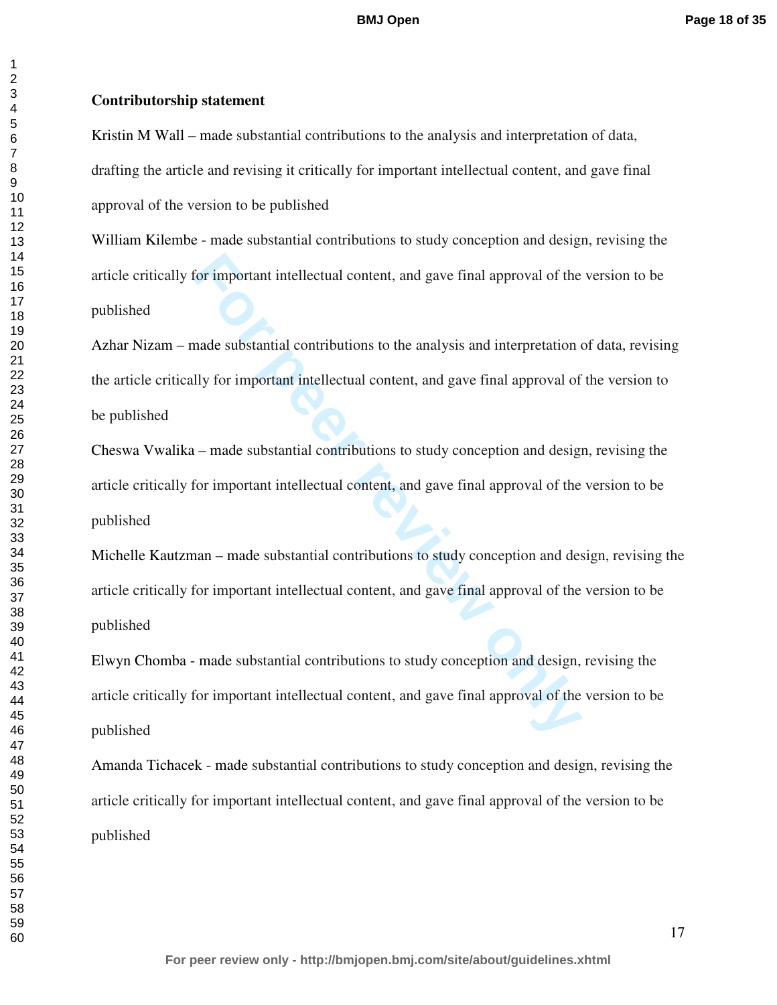#### **Contributorship statement**

Kristin M Wall – made substantial contributions to the analysis and interpretation of data, drafting the article and revising it critically for important intellectual content, and gave final approval of the version to be published

William Kilembe - made substantial contributions to study conception and design, revising the article critically for important intellectual content, and gave final approval of the version to be published

Azhar Nizam – made substantial contributions to the analysis and interpretation of data, revising the article critically for important intellectual content, and gave final approval of the version to be published

Cheswa Vwalika – made substantial contributions to study conception and design, revising the article critically for important intellectual content, and gave final approval of the version to be published

Michelle Kautzman – made substantial contributions to study conception and design, revising the article critically for important intellectual content, and gave final approval of the version to be published

for important intellectual content, and gave final approval of the<br>nade substantial contributions to the analysis and interpretation of<br>lly for important intellectual content, and gave final approval of<br>n-made substantial Elwyn Chomba - made substantial contributions to study conception and design, revising the article critically for important intellectual content, and gave final approval of the version to be published

Amanda Tichacek - made substantial contributions to study conception and design, revising the article critically for important intellectual content, and gave final approval of the version to be published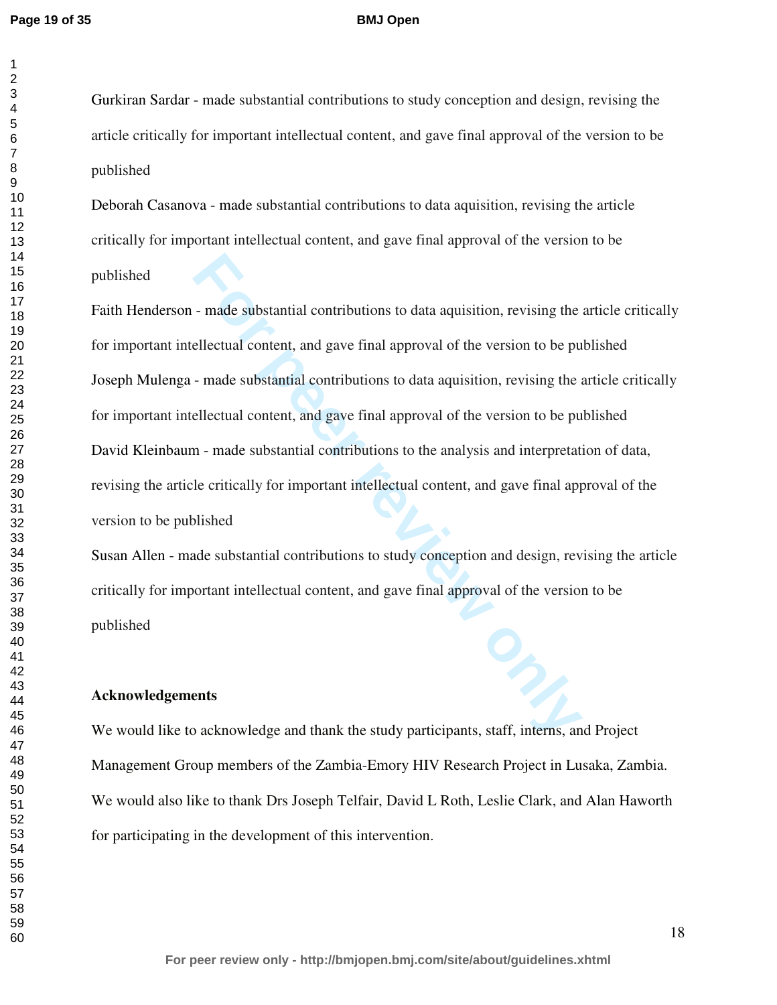#### **BMJ Open**

Gurkiran Sardar - made substantial contributions to study conception and design, revising the article critically for important intellectual content, and gave final approval of the version to be published

Deborah Casanova - made substantial contributions to data aquisition, revising the article critically for important intellectual content, and gave final approval of the version to be published

- made substantial contributions to data aquisition, revising the ellectual content, and gave final approval of the version to be pu - made substantial contributions to data aquisition, revising the rellectual content, and Faith Henderson - made substantial contributions to data aquisition, revising the article critically for important intellectual content, and gave final approval of the version to be published Joseph Mulenga - made substantial contributions to data aquisition, revising the article critically for important intellectual content, and gave final approval of the version to be published David Kleinbaum - made substantial contributions to the analysis and interpretation of data, revising the article critically for important intellectual content, and gave final approval of the version to be published

Susan Allen - made substantial contributions to study conception and design, revising the article critically for important intellectual content, and gave final approval of the version to be published

#### **Acknowledgements**

We would like to acknowledge and thank the study participants, staff, interns, and Project Management Group members of the Zambia-Emory HIV Research Project in Lusaka, Zambia. We would also like to thank Drs Joseph Telfair, David L Roth, Leslie Clark, and Alan Haworth for participating in the development of this intervention.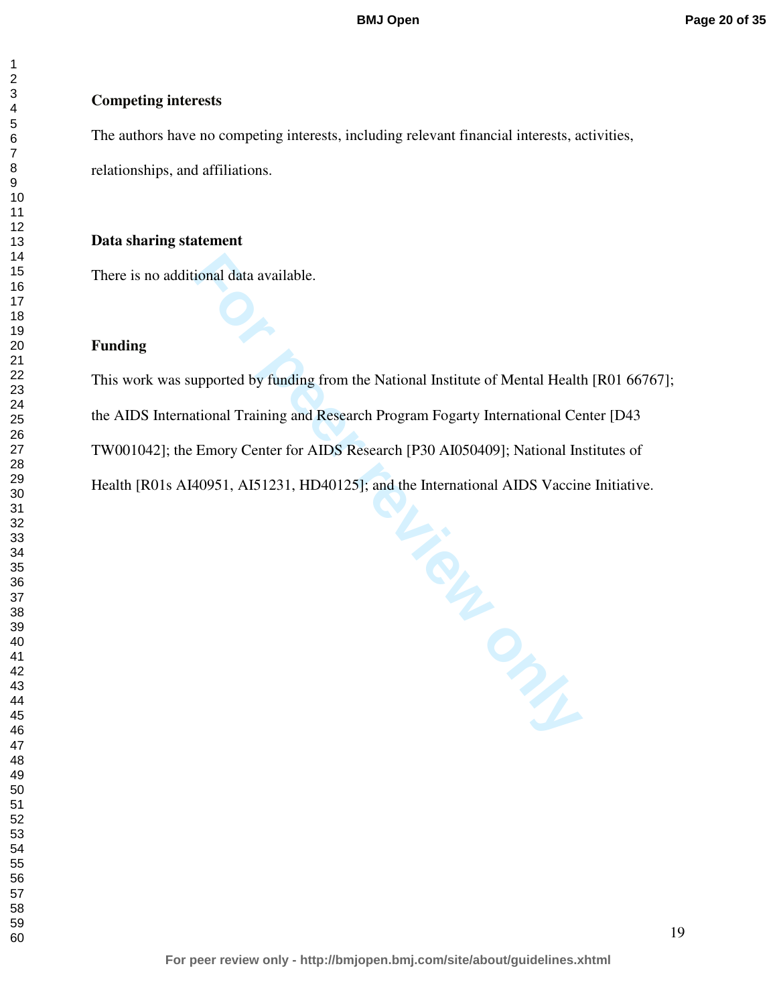## **Competing interests**

The authors have no competing interests, including relevant financial interests, activities, relationships, and affiliations.

## **Data sharing statement**

There is no additional data available.

## **Funding**

51; and *Clays Clays* This work was supported by funding from the National Institute of Mental Health [R01 66767]; the AIDS International Training and Research Program Fogarty International Center [D43 TW001042]; the Emory Center for AIDS Research [P30 AI050409]; National Institutes of Health [R01s AI40951, AI51231, HD40125]; and the International AIDS Vaccine Initiative.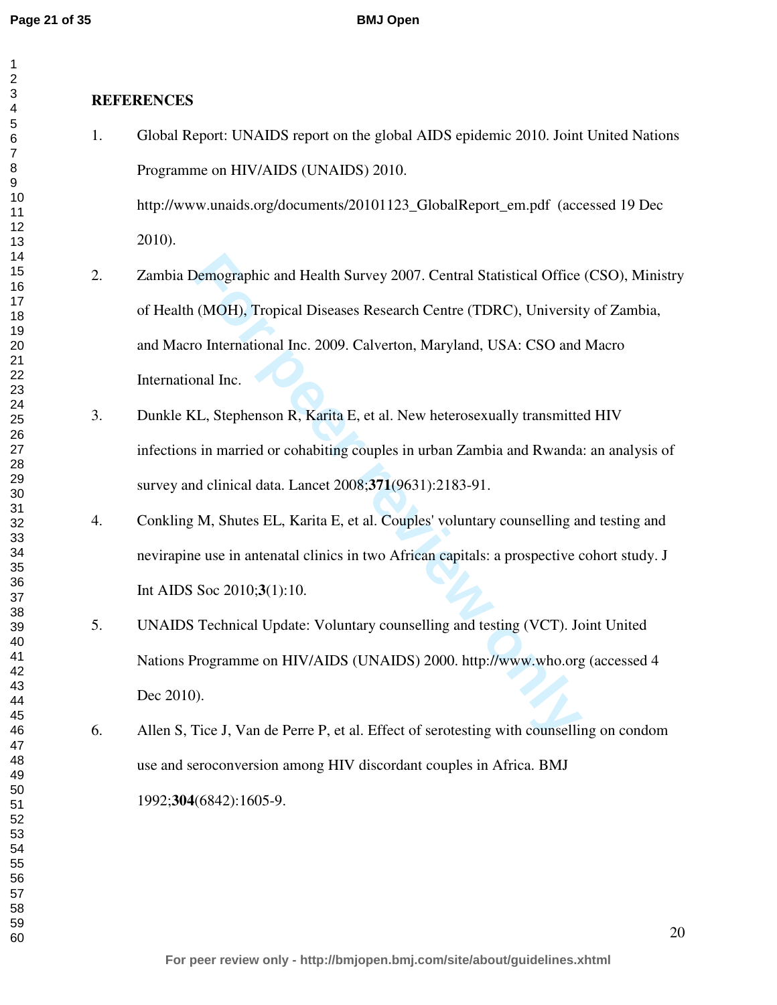#### **BMJ Open**

## **REFERENCES**

1. Global Report: UNAIDS report on the global AIDS epidemic 2010. Joint United Nations Programme on HIV/AIDS (UNAIDS) 2010.

http://www.unaids.org/documents/20101123\_GlobalReport\_em.pdf (accessed 19 Dec 2010).

- Demographic and Health Survey 2007. Central Statistical Office (MOH), Tropical Diseases Research Centre (TDRC), University<br>To International Inc. 2009. Calverton, Maryland, USA: CSO and<br>nal Inc.<br>IL, Stephenson R, Karita E, 2. Zambia Demographic and Health Survey 2007. Central Statistical Office (CSO), Ministry of Health (MOH), Tropical Diseases Research Centre (TDRC), University of Zambia, and Macro International Inc. 2009. Calverton, Maryland, USA: CSO and Macro International Inc.
- 3. Dunkle KL, Stephenson R, Karita E, et al. New heterosexually transmitted HIV infections in married or cohabiting couples in urban Zambia and Rwanda: an analysis of survey and clinical data. Lancet 2008;**371**(9631):2183-91.
- 4. Conkling M, Shutes EL, Karita E, et al. Couples' voluntary counselling and testing and nevirapine use in antenatal clinics in two African capitals: a prospective cohort study. J Int AIDS Soc 2010;**3**(1):10.
- 5. UNAIDS Technical Update: Voluntary counselling and testing (VCT). Joint United Nations Programme on HIV/AIDS (UNAIDS) 2000. http://www.who.org (accessed 4 Dec 2010).
- 6. Allen S, Tice J, Van de Perre P, et al. Effect of serotesting with counselling on condom use and seroconversion among HIV discordant couples in Africa. BMJ 1992;**304**(6842):1605-9.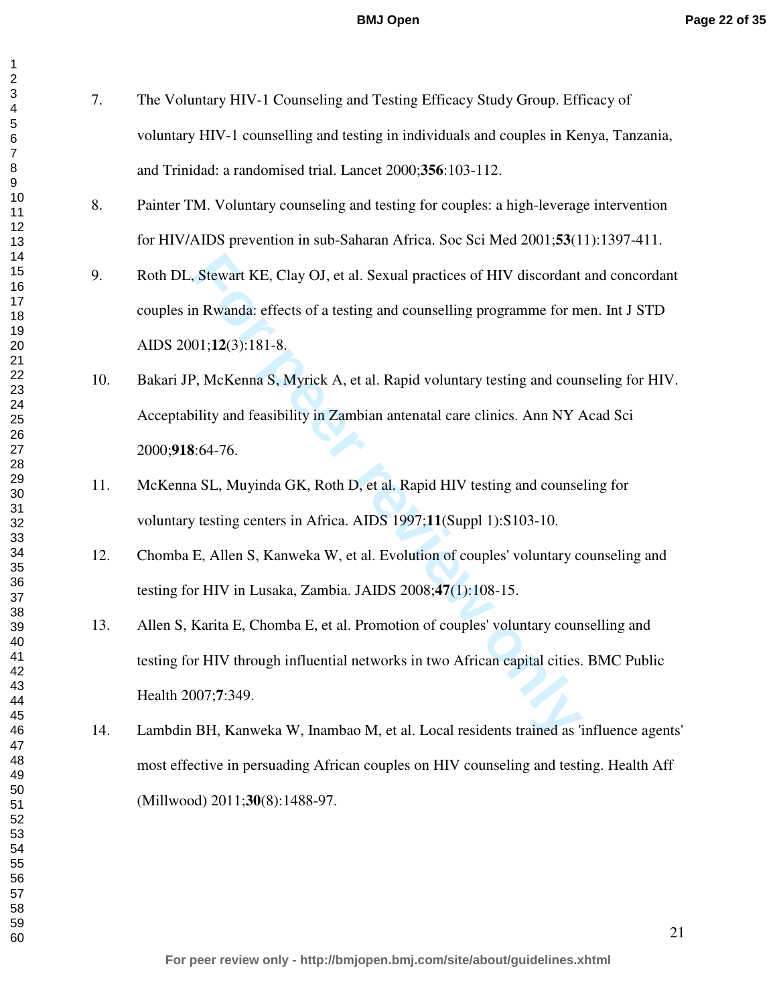## **BMJ Open**

| 7.  | The Voluntary HIV-1 Counseling and Testing Efficacy Study Group. Efficacy of           |
|-----|----------------------------------------------------------------------------------------|
|     | voluntary HIV-1 counselling and testing in individuals and couples in Kenya, Tanzania, |
|     | and Trinidad: a randomised trial. Lancet 2000;356:103-112.                             |
| 8.  | Painter TM. Voluntary counseling and testing for couples: a high-leverage intervention |
|     | for HIV/AIDS prevention in sub-Saharan Africa. Soc Sci Med 2001;53(11):1397-411.       |
| 9.  | Roth DL, Stewart KE, Clay OJ, et al. Sexual practices of HIV discordant and concordant |
|     | couples in Rwanda: effects of a testing and counselling programme for men. Int J STD   |
|     | AIDS 2001;12(3):181-8.                                                                 |
| 10. | Bakari JP, McKenna S, Myrick A, et al. Rapid voluntary testing and counseling for HIV. |
|     | Acceptability and feasibility in Zambian antenatal care clinics. Ann NY Acad Sci       |
|     | 2000;918:64-76.                                                                        |
| 11. | McKenna SL, Muyinda GK, Roth D, et al. Rapid HIV testing and counseling for            |
|     | voluntary testing centers in Africa. AIDS 1997;11(Suppl 1):S103-10.                    |
| 12. | Chomba E, Allen S, Kanweka W, et al. Evolution of couples' voluntary counseling and    |
|     | testing for HIV in Lusaka, Zambia. JAIDS $2008;47(1):108-15$ .                         |
| 13. | Allen S, Karita E, Chomba E, et al. Promotion of couples' voluntary counselling and    |
|     | testing for HIV through influential networks in two African capital cities. BMC Public |
|     | Health 2007;7:349.                                                                     |
| 14. | Lambdin BH, Kanweka W, Inambao M, et al. Local residents trained as 'influence agents' |
|     | most effective in persuading African couples on HIV counseling and testing. Health Aff |
|     | (Millwood) 2011;30(8):1488-97.                                                         |
|     |                                                                                        |
|     |                                                                                        |
|     |                                                                                        |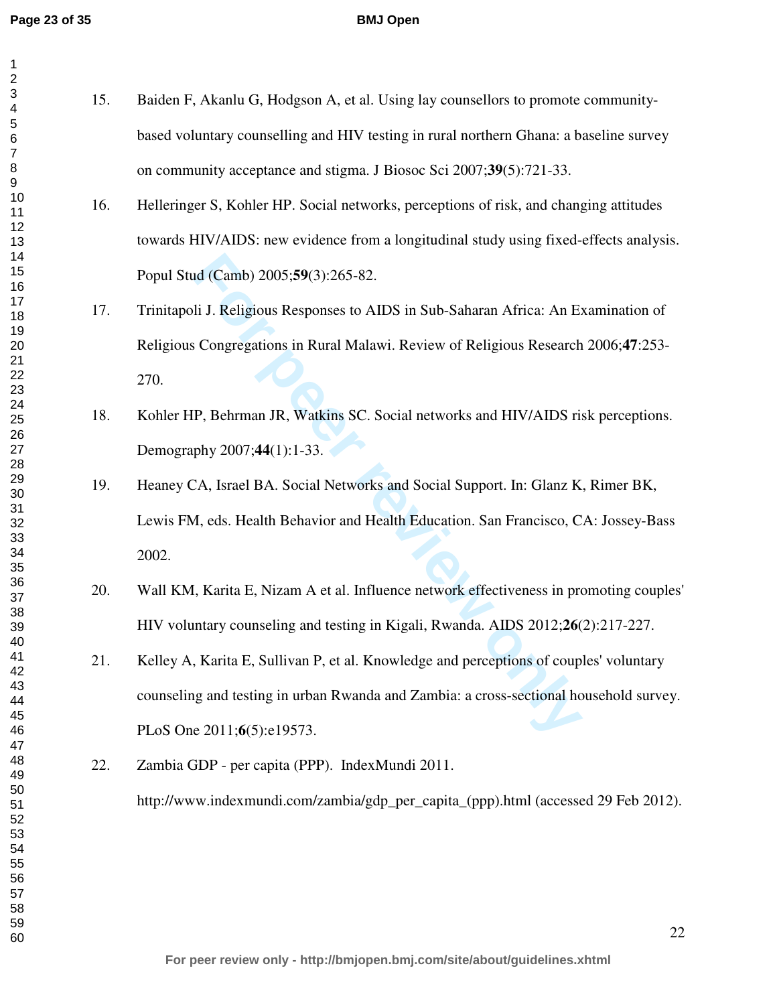### **BMJ Open**

| 15. | Baiden F, Akanlu G, Hodgson A, et al. Using lay counsellors to promote community-       |
|-----|-----------------------------------------------------------------------------------------|
|     | based voluntary counselling and HIV testing in rural northern Ghana: a baseline survey  |
|     | on community acceptance and stigma. J Biosoc Sci 2007;39(5):721-33.                     |
| 16. | Helleringer S, Kohler HP. Social networks, perceptions of risk, and changing attitudes  |
|     | towards HIV/AIDS: new evidence from a longitudinal study using fixed-effects analysis.  |
|     | Popul Stud (Camb) 2005;59(3):265-82.                                                    |
| 17. | Trinitapoli J. Religious Responses to AIDS in Sub-Saharan Africa: An Examination of     |
|     | Religious Congregations in Rural Malawi. Review of Religious Research 2006;47:253-      |
|     | 270.                                                                                    |
| 18. | Kohler HP, Behrman JR, Watkins SC. Social networks and HIV/AIDS risk perceptions.       |
|     | Demography 2007;44(1):1-33.                                                             |
| 19. | Heaney CA, Israel BA. Social Networks and Social Support. In: Glanz K, Rimer BK,        |
|     | Lewis FM, eds. Health Behavior and Health Education. San Francisco, CA: Jossey-Bass     |
|     | 2002.                                                                                   |
| 20. | Wall KM, Karita E, Nizam A et al. Influence network effectiveness in promoting couples' |
|     | HIV voluntary counseling and testing in Kigali, Rwanda. AIDS 2012;26(2):217-227.        |
| 21. | Kelley A, Karita E, Sullivan P, et al. Knowledge and perceptions of couples' voluntary  |
|     | counseling and testing in urban Rwanda and Zambia: a cross-sectional household survey.  |
|     | PLoS One 2011;6(5):e19573.                                                              |
| 22. | Zambia GDP - per capita (PPP). IndexMundi 2011.                                         |
|     | http://www.indexmundi.com/zambia/gdp_per_capita_(ppp).html (accessed 29 Feb 2012).      |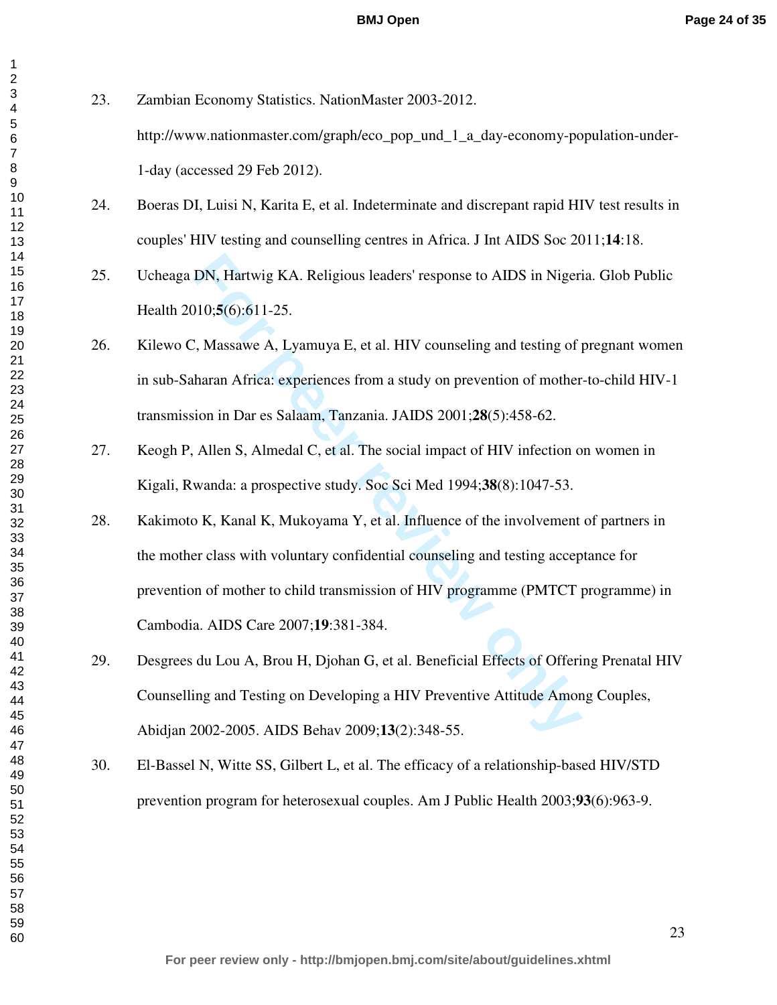**BMJ Open**

| $\frac{2}{3}$<br>4<br>5 | 23. | Zambian Economy Statistics. NationMaster 2003-2012.                                         |    |
|-------------------------|-----|---------------------------------------------------------------------------------------------|----|
|                         |     | http://www.nationmaster.com/graph/eco_pop_und_1_a_day-economy-population-under-             |    |
|                         |     | 1-day (accessed 29 Feb 2012).                                                               |    |
|                         | 24. | Boeras DI, Luisi N, Karita E, et al. Indeterminate and discrepant rapid HIV test results in |    |
|                         |     | couples' HIV testing and counselling centres in Africa. J Int AIDS Soc 2011;14:18.          |    |
|                         | 25. | Ucheaga DN, Hartwig KA. Religious leaders' response to AIDS in Nigeria. Glob Public         |    |
|                         |     | Health 2010;5(6):611-25.                                                                    |    |
|                         | 26. | Kilewo C, Massawe A, Lyamuya E, et al. HIV counseling and testing of pregnant women         |    |
|                         |     | in sub-Saharan Africa: experiences from a study on prevention of mother-to-child HIV-1      |    |
|                         |     | transmission in Dar es Salaam, Tanzania. JAIDS 2001;28(5):458-62.                           |    |
|                         | 27. | Keogh P, Allen S, Almedal C, et al. The social impact of HIV infection on women in          |    |
|                         |     | Kigali, Rwanda: a prospective study. Soc Sci Med 1994;38(8):1047-53.                        |    |
|                         | 28. | Kakimoto K, Kanal K, Mukoyama Y, et al. Influence of the involvement of partners in         |    |
|                         |     | the mother class with voluntary confidential counseling and testing acceptance for          |    |
|                         |     | prevention of mother to child transmission of HIV programme (PMTCT programme) in            |    |
|                         |     | Cambodia. AIDS Care 2007;19:381-384.                                                        |    |
|                         | 29. | Desgrees du Lou A, Brou H, Djohan G, et al. Beneficial Effects of Offering Prenatal HIV     |    |
|                         |     | Counselling and Testing on Developing a HIV Preventive Attitude Among Couples,              |    |
|                         |     | Abidjan 2002-2005. AIDS Behav 2009;13(2):348-55.                                            |    |
|                         | 30. | El-Bassel N, Witte SS, Gilbert L, et al. The efficacy of a relationship-based HIV/STD       |    |
| 49<br>50<br>51          |     | prevention program for heterosexual couples. Am J Public Health 2003;93(6):963-9.           |    |
| 52<br>53<br>54          |     |                                                                                             |    |
| 55<br>56                |     |                                                                                             |    |
| 57<br>58                |     |                                                                                             |    |
| 59<br>60                |     |                                                                                             | 23 |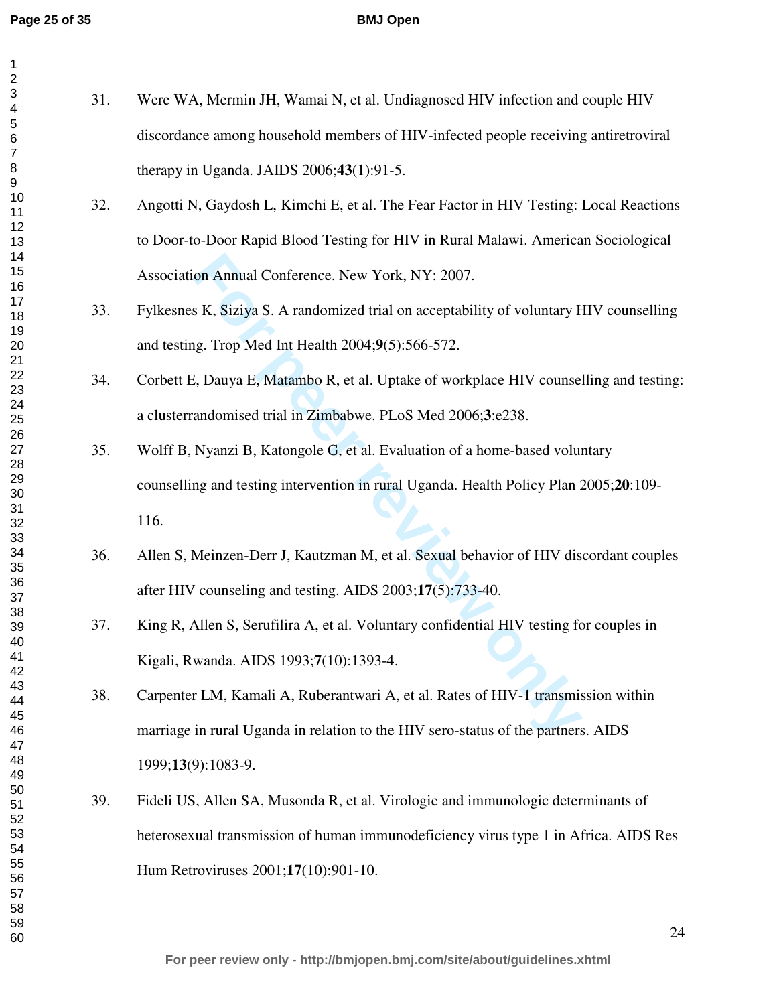## **BMJ Open**

| 2<br>3         |     |                                                                                         |
|----------------|-----|-----------------------------------------------------------------------------------------|
| 4              | 31. | Were WA, Mermin JH, Wamai N, et al. Undiagnosed HIV infection and couple HIV            |
| 5<br>6<br>7    |     | discordance among household members of HIV-infected people receiving antiretroviral     |
| 8<br>9         |     | therapy in Uganda. JAIDS $2006;43(1):91-5$ .                                            |
| 10<br>11       | 32. | Angotti N, Gaydosh L, Kimchi E, et al. The Fear Factor in HIV Testing: Local Reactions  |
| 12<br>13       |     | to Door-to-Door Rapid Blood Testing for HIV in Rural Malawi. American Sociological      |
| 14<br>15<br>16 |     | Association Annual Conference. New York, NY: 2007.                                      |
| 17<br>18       | 33. | Fylkesnes K, Siziya S. A randomized trial on acceptability of voluntary HIV counselling |
| 19<br>20       |     | and testing. Trop Med Int Health $2004;9(5):566-572$ .                                  |
| 21<br>22<br>23 | 34. | Corbett E, Dauya E, Matambo R, et al. Uptake of workplace HIV counselling and testing:  |
| 24<br>25       |     | a clusterrandomised trial in Zimbabwe. PLoS Med 2006;3:e238.                            |
| 26<br>27       | 35. | Wolff B, Nyanzi B, Katongole G, et al. Evaluation of a home-based voluntary             |
| 28<br>29<br>30 |     | counselling and testing intervention in rural Uganda. Health Policy Plan 2005;20:109-   |
| 31<br>32       |     | 116.                                                                                    |
| 33<br>34       | 36. | Allen S, Meinzen-Derr J, Kautzman M, et al. Sexual behavior of HIV discordant couples   |
| 35<br>36<br>37 |     | after HIV counseling and testing. AIDS 2003;17(5):733-40.                               |
| 38<br>39       | 37. | King R, Allen S, Serufilira A, et al. Voluntary confidential HIV testing for couples in |
| 40<br>41       |     | Kigali, Rwanda. AIDS 1993;7(10):1393-4.                                                 |
| 42<br>43<br>44 | 38. | Carpenter LM, Kamali A, Ruberantwari A, et al. Rates of HIV-1 transmission within       |
| 45<br>46       |     | marriage in rural Uganda in relation to the HIV sero-status of the partners. AIDS       |
| 47<br>48       |     | 1999;13(9):1083-9.                                                                      |
| 49<br>50<br>51 | 39. | Fideli US, Allen SA, Musonda R, et al. Virologic and immunologic determinants of        |
| 52<br>53       |     | heterosexual transmission of human immunodeficiency virus type 1 in Africa. AIDS Res    |
| 54<br>55       |     | Hum Retroviruses 2001;17(10):901-10.                                                    |
| 56<br>57       |     |                                                                                         |
| 58<br>59       |     | 24                                                                                      |
| 60             |     |                                                                                         |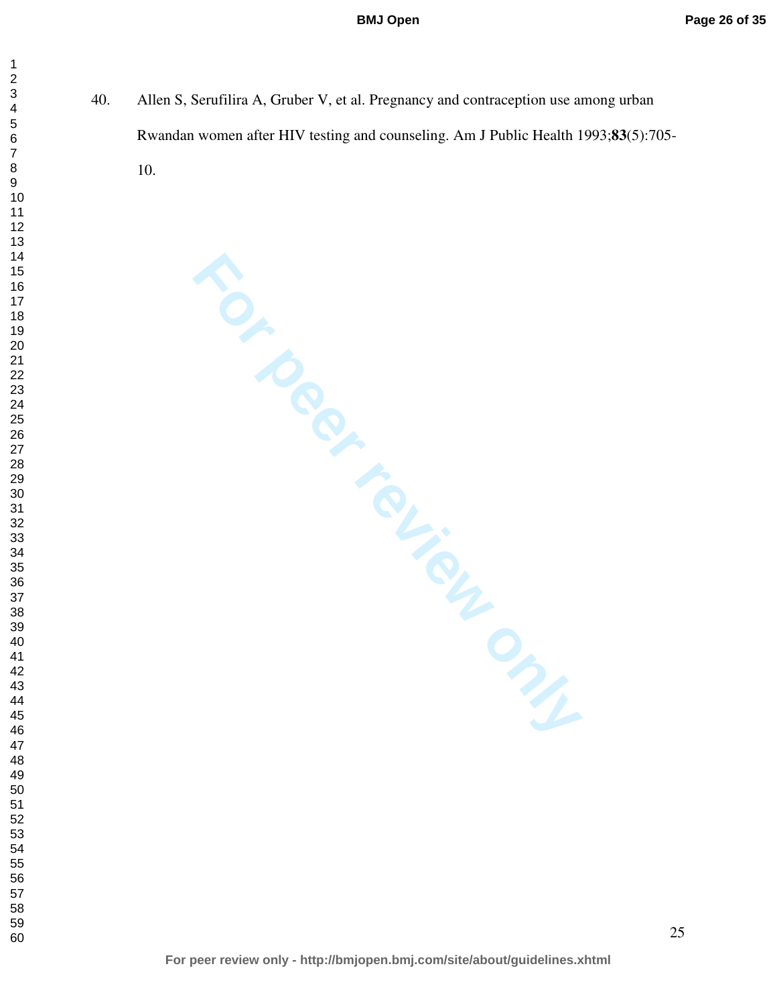40. Allen S, Serufilira A, Gruber V, et al. Pregnancy and contraception use among urban Rwandan women after HIV testing and counseling. Am J Public Health 1993;**83**(5):705- 10.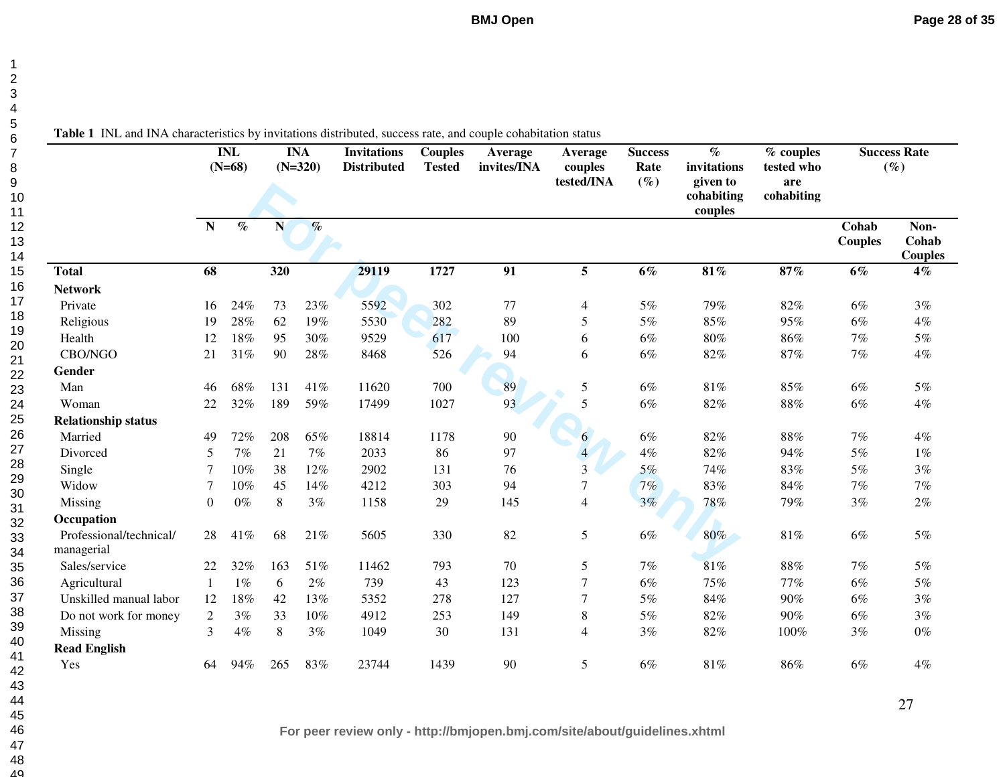**Table 1** INL and INA characteristics by invitations distributed, success rate, and couple cohabitation status

|                                       |                  | <b>INL</b><br>$(N=68)$ |     | <b>INA</b><br>$(N=320)$ | <b>Invitations</b><br><b>Distributed</b> | <b>Couples</b><br><b>Tested</b> | Average<br>invites/INA | Average<br>couples<br>tested/INA | <b>Success</b><br>Rate<br>$(\%)$ | $\%$<br>invitations<br>given to<br>cohabiting<br>couples | $%$ couples<br>tested who<br>are<br>cohabiting | <b>Success Rate</b><br>$(\%)$ |                                 |
|---------------------------------------|------------------|------------------------|-----|-------------------------|------------------------------------------|---------------------------------|------------------------|----------------------------------|----------------------------------|----------------------------------------------------------|------------------------------------------------|-------------------------------|---------------------------------|
|                                       | $\mathbf N$      | $\%$                   | N   | $\%$                    |                                          |                                 |                        |                                  |                                  |                                                          |                                                | Cohab<br><b>Couples</b>       | Non-<br>Cohab<br><b>Couples</b> |
| <b>Total</b>                          | 68               |                        | 320 |                         | 29119                                    | 1727                            | 91                     | 5                                | $6\%$                            | $81\%$                                                   | $87\%$                                         | $6\%$                         | $4\%$                           |
| <b>Network</b>                        |                  |                        |     |                         |                                          |                                 |                        |                                  |                                  |                                                          |                                                |                               |                                 |
| Private                               | 16               | 24%                    | 73  | 23%                     | 5592                                     | 302                             | 77                     | 4                                | 5%                               | 79%                                                      | 82%                                            | 6%                            | $3\%$                           |
| Religious                             | 19               | $28\%$                 | 62  | 19%                     | 5530                                     | 282                             | 89                     | 5                                | $5\%$                            | $85\%$                                                   | 95%                                            | $6\%$                         | $4\%$                           |
| Health                                | 12               | $18\%$                 | 95  | 30%                     | 9529                                     | 617                             | 100                    | 6                                | $6\%$                            | $80\%$                                                   | 86%                                            | 7%                            | $5\%$                           |
| CBO/NGO                               | 21               | 31%                    | 90  | 28%                     | 8468                                     | 526                             | 94                     | 6                                | $6\%$                            | $82\%$                                                   | $87\%$                                         | 7%                            | $4\%$                           |
| Gender                                |                  |                        |     |                         |                                          |                                 |                        |                                  |                                  |                                                          |                                                |                               |                                 |
| Man                                   | 46               | 68%                    | 131 | 41%                     | 11620                                    | 700                             | 89                     | 5                                | 6%                               | $81\%$                                                   | 85%                                            | 6%                            | $5\%$                           |
| Woman                                 | 22               | $32\%$                 | 189 | 59%                     | 17499                                    | 1027                            | 93                     | 5                                | $6\%$                            | $82\%$                                                   | $88\%$                                         | $6\%$                         | $4\%$                           |
| <b>Relationship status</b>            |                  |                        |     |                         |                                          |                                 |                        |                                  |                                  |                                                          |                                                |                               |                                 |
| Married                               | 49               | $72\%$                 | 208 | 65%                     | 18814                                    | 1178                            | 90                     | 6                                | $6\%$                            | 82%                                                      | $88\%$                                         | 7%                            | $4\%$                           |
| Divorced                              | 5                | $7\%$                  | 21  | $7\%$                   | 2033                                     | 86                              | 97                     | $\overline{4}$                   | $4\%$                            | $82\%$                                                   | $94\%$                                         | $5\%$                         | $1\%$                           |
| Single                                | 7                | 10%                    | 38  | 12%                     | 2902                                     | 131                             | 76                     | 3                                | $5\%$                            | 74%                                                      | 83%                                            | 5%                            | 3%                              |
| Widow                                 | $\overline{7}$   | $10\%$                 | 45  | 14%                     | 4212                                     | 303                             | 94                     | $\tau$                           | 7%                               | $83\%$                                                   | $84\%$                                         | $7\%$                         | $7\%$                           |
| Missing                               | $\boldsymbol{0}$ | $0\%$                  | 8   | 3%                      | 1158                                     | 29                              | 145                    | 4                                | 3%                               | 78%                                                      | 79%                                            | 3%                            | $2\%$                           |
| Occupation                            |                  |                        |     |                         |                                          |                                 |                        |                                  |                                  |                                                          |                                                |                               |                                 |
| Professional/technical/<br>managerial | 28               | 41%                    | 68  | 21%                     | 5605                                     | 330                             | 82                     | $\mathfrak{S}$                   | $6\%$                            | 80%                                                      | $81\%$                                         | 6%                            | $5\%$                           |
| Sales/service                         | 22               | 32%                    | 163 | 51%                     | 11462                                    | 793                             | $70\,$                 | 5                                | 7%                               | $81\%$                                                   | $88\%$                                         | 7%                            | $5\%$                           |
| Agricultural                          | $\mathbf{1}$     | $1\%$                  | 6   | $2\%$                   | 739                                      | 43                              | 123                    | 7                                | $6\%$                            | $75\%$                                                   | $77\%$                                         | $6\%$                         | $5\%$                           |
| Unskilled manual labor                | 12               | 18%                    | 42  | 13%                     | 5352                                     | 278                             | 127                    | 7                                | 5%                               | 84%                                                      | 90%                                            | 6%                            | $3\%$                           |
| Do not work for money                 | $\overline{2}$   | $3\%$                  | 33  | 10%                     | 4912                                     | 253                             | 149                    | $8\,$                            | $5\%$                            | $82\%$                                                   | 90%                                            | 6%                            | $3\%$                           |
| Missing                               | 3                | $4\%$                  | 8   | 3%                      | 1049                                     | 30                              | 131                    | $\overline{4}$                   | 3%                               | $82\%$                                                   | 100%                                           | 3%                            | $0\%$                           |
| <b>Read English</b>                   |                  |                        |     |                         |                                          |                                 |                        |                                  |                                  |                                                          |                                                |                               |                                 |
| Yes                                   | 64               | 94%                    | 265 | $83\%$                  | 23744                                    | 1439                            | $90\,$                 | 5                                | $6\%$                            | $81\%$                                                   | $86\%$                                         | $6\%$                         | $4\%$                           |
|                                       |                  |                        |     |                         |                                          |                                 |                        |                                  |                                  |                                                          |                                                |                               | 27                              |

**For peer review only - http://bmjopen.bmj.com/site/about/guidelines.xhtml**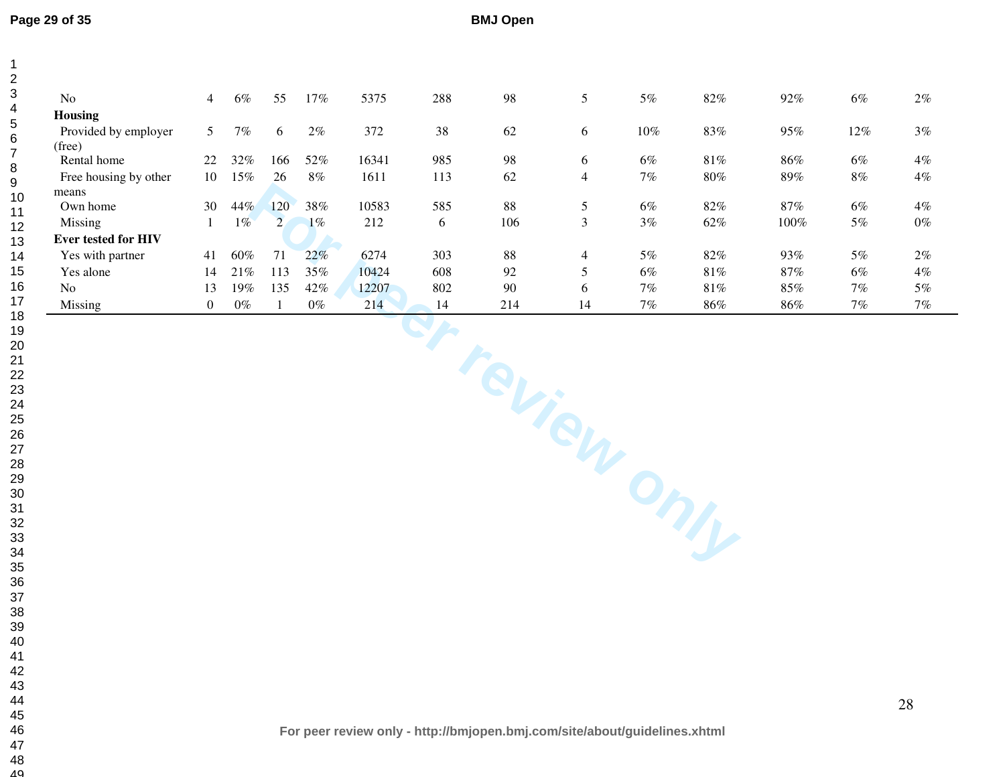**BMJ Open**

| No                         | $\overline{4}$   | $6\%$  | 55             | 17%   | 5375  | 288    | 98             | $\mathfrak{S}$   | 5%     | $82\%$ | 92%    | $6\%$  | $2\%$ |
|----------------------------|------------------|--------|----------------|-------|-------|--------|----------------|------------------|--------|--------|--------|--------|-------|
| <b>Housing</b>             |                  |        |                |       |       |        |                |                  |        |        |        |        |       |
| Provided by employer       | 5                | $7\%$  | 6              | $2\%$ | 372   | $38\,$ | 62             | $\boldsymbol{6}$ | $10\%$ | $83\%$ | $95\%$ | $12\%$ | $3\%$ |
| (free)                     |                  |        |                |       |       |        |                |                  |        |        |        |        |       |
| Rental home                | 22               | 32%    | 166            | 52%   | 16341 | 985    | 98             | 6                | $6\%$  | 81%    | 86%    | $6\%$  | 4%    |
| Free housing by other      | 10               | $15\%$ | 26             | $8\%$ | 1611  | 113    | 62             | $\overline{4}$   | $7\%$  | $80\%$ | $89\%$ | $8\%$  | $4\%$ |
| means                      |                  |        |                |       |       |        |                |                  |        |        |        |        |       |
| Own home                   | 30               | 44%    | 120            | 38%   | 10583 | 585    | 88             | 5                | $6\%$  | 82%    | 87%    | $6\%$  | $4\%$ |
| Missing                    | $\overline{1}$   | $1\%$  | $\overline{2}$ | $1\%$ | 212   | 6      | 106            | $\overline{3}$   | $3\%$  | $62\%$ | 100%   | $5\%$  | $0\%$ |
| <b>Ever tested for HIV</b> |                  |        |                |       |       |        |                |                  |        |        |        |        |       |
| Yes with partner           | 41               | 60%    | 71             | 22%   | 6274  | 303    | 88             | $\overline{4}$   | 5%     | 82%    | 93%    | 5%     | 2%    |
| Yes alone                  | 14               | $21\%$ | 113            | 35%   | 10424 | 608    | 92             | 5                | $6\%$  | 81%    | $87\%$ | 6%     | 4%    |
|                            |                  | 19%    | 135            | 42%   | 12207 | 802    | 90             | 6                | $7\%$  | 81%    | $85\%$ | $7\%$  | $5\%$ |
| No                         | 13               |        |                |       |       |        |                |                  |        |        |        |        |       |
|                            | $\boldsymbol{0}$ | $0\%$  | $\mathbf{1}$   | $0\%$ | 214   | 14     | 214            | 14               | $7\%$  | $86\%$ | 86%    | $7\%$  |       |
| Missing                    |                  |        |                |       |       |        |                |                  |        |        |        |        | $7\%$ |
|                            |                  |        |                |       |       |        |                |                  |        |        |        |        |       |
|                            |                  |        |                |       |       |        |                |                  |        |        |        |        |       |
|                            |                  |        |                |       |       |        |                |                  |        |        |        |        |       |
|                            |                  |        |                |       |       |        |                |                  |        |        |        |        |       |
|                            |                  |        |                |       |       |        |                |                  |        |        |        |        |       |
|                            |                  |        |                |       |       |        |                |                  |        |        |        |        |       |
|                            |                  |        |                |       |       |        |                |                  |        |        |        |        |       |
|                            |                  |        |                |       |       |        | dr review only |                  |        |        |        |        |       |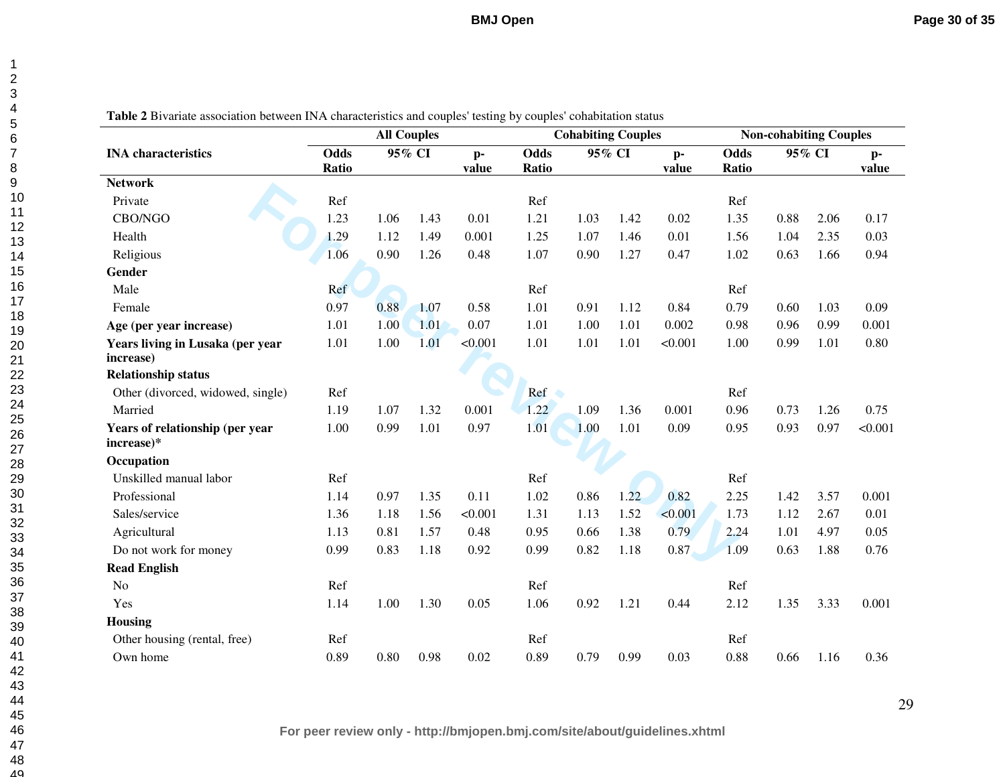|                      |      |      |                              |                      |      |      |               | <b>Non-cohabiting Couples</b> |      |      |               |
|----------------------|------|------|------------------------------|----------------------|------|------|---------------|-------------------------------|------|------|---------------|
| <b>Odds</b><br>Ratio |      |      | $p-$<br>value                | <b>Odds</b><br>Ratio |      |      | $p-$<br>value | Odds<br>Ratio                 |      |      | $p-$<br>value |
|                      |      |      |                              |                      |      |      |               |                               |      |      |               |
| Ref                  |      |      |                              | Ref                  |      |      |               | Ref                           |      |      |               |
| 1.23                 | 1.06 | 1.43 | 0.01                         | 1.21                 | 1.03 | 1.42 | 0.02          | 1.35                          | 0.88 | 2.06 | 0.17          |
| 1.29                 | 1.12 | 1.49 | 0.001                        | 1.25                 | 1.07 | 1.46 | 0.01          | 1.56                          | 1.04 | 2.35 | 0.03          |
| 1.06                 | 0.90 | 1.26 | 0.48                         | 1.07                 | 0.90 | 1.27 | 0.47          | 1.02                          | 0.63 | 1.66 | 0.94          |
|                      |      |      |                              |                      |      |      |               |                               |      |      |               |
| Ref                  |      |      |                              | Ref                  |      |      |               | Ref                           |      |      |               |
| 0.97                 | 0.88 | 1.07 | 0.58                         | 1.01                 | 0.91 | 1.12 | 0.84          | 0.79                          | 0.60 | 1.03 | 0.09          |
| 1.01                 | 1.00 | 1.01 | 0.07                         | 1.01                 | 1.00 | 1.01 | 0.002         | 0.98                          | 0.96 | 0.99 | 0.001         |
| 1.01                 | 1.00 | 1.01 | < 0.001                      | 1.01                 | 1.01 | 1.01 | < 0.001       | 1.00                          | 0.99 | 1.01 | 0.80          |
|                      |      |      |                              |                      |      |      |               |                               |      |      |               |
| Ref                  |      |      |                              | Ref                  |      |      |               | Ref                           |      |      |               |
| 1.19                 | 1.07 | 1.32 | 0.001                        | 1.22                 | 1.09 | 1.36 | 0.001         | 0.96                          | 0.73 | 1.26 | 0.75          |
| 1.00                 | 0.99 | 1.01 | 0.97                         | 1.01                 | 1.00 | 1.01 | 0.09          | 0.95                          | 0.93 | 0.97 | < 0.001       |
|                      |      |      |                              |                      |      |      |               |                               |      |      |               |
| Ref                  |      |      |                              | Ref                  |      |      |               | Ref                           |      |      |               |
| 1.14                 | 0.97 | 1.35 | 0.11                         | 1.02                 | 0.86 | 1.22 | 0.82          | 2.25                          | 1.42 | 3.57 | 0.001         |
| 1.36                 | 1.18 | 1.56 | < 0.001                      | 1.31                 | 1.13 | 1.52 | < 0.001       | 1.73                          | 1.12 | 2.67 | 0.01          |
| 1.13                 | 0.81 | 1.57 | 0.48                         | 0.95                 | 0.66 | 1.38 | 0.79          | 2.24                          | 1.01 | 4.97 | 0.05          |
| 0.99                 | 0.83 | 1.18 | 0.92                         | 0.99                 | 0.82 | 1.18 | 0.87          | 1.09                          | 0.63 | 1.88 | 0.76          |
|                      |      |      |                              |                      |      |      |               |                               |      |      |               |
| Ref                  |      |      |                              | Ref                  |      |      |               | Ref                           |      |      |               |
| 1.14                 | 1.00 | 1.30 | 0.05                         | 1.06                 | 0.92 | 1.21 | 0.44          | 2.12                          | 1.35 | 3.33 | 0.001         |
|                      |      |      |                              |                      |      |      |               |                               |      |      |               |
| Ref                  |      |      |                              | Ref                  |      |      |               | Ref                           |      |      |               |
| 0.89                 | 0.80 | 0.98 | 0.02                         | 0.89                 | 0.79 | 0.99 | 0.03          | 0.88                          | 0.66 | 1.16 | 0.36          |
|                      |      |      | <b>All Couples</b><br>95% CI |                      |      |      | 95% CI        | <b>Cohabiting Couples</b>     |      |      | 95% CI        |

**Table 2** Bivariate association between INA characteristics and couples' testing by couples' cohabitation status

**For peer review only - http://bmjopen.bmj.com/site/about/guidelines.xhtml**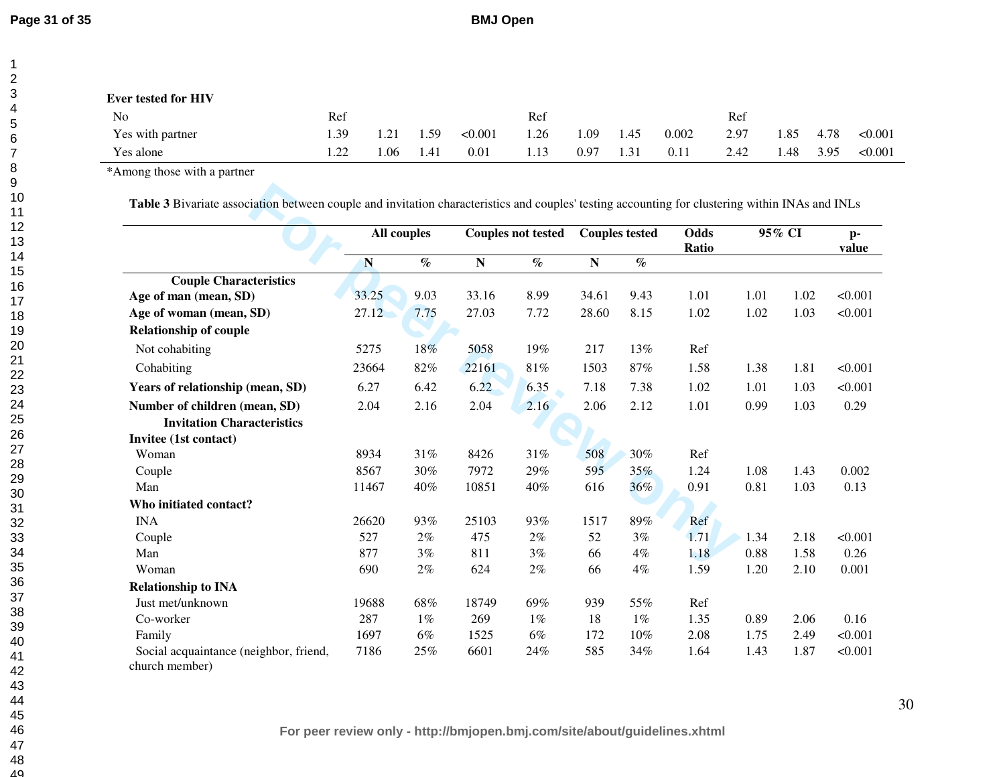**BMJ Open**

49

## **Ever tested for HIV**

| N <sub>0</sub>   | Ref                |       |      |         | Ref  |      |      |       | Ref  |      |      |         |
|------------------|--------------------|-------|------|---------|------|------|------|-------|------|------|------|---------|
| Yes with partner | 1.39               | .     | 1.59 | < 0.001 | 1.26 | . 09 | 1.45 | 0.002 | 2.97 | 1.85 | 4.78 | < 0.001 |
| Yes alone        | . $2^{\circ}$<br>. | . .06 | 1.41 | 0.01    | 1.13 | 0.97 |      | 0.11  | 2.42 | . 48 | 3.95 | < 0.001 |

\*Among those with a partner

|                                                          | <b>All couples</b> |       |           | <b>Couples not tested</b> | <b>Couples tested</b> |       | <b>Odds</b><br>Ratio | 95% CI |      | $p-$<br>value |
|----------------------------------------------------------|--------------------|-------|-----------|---------------------------|-----------------------|-------|----------------------|--------|------|---------------|
|                                                          | N                  | $\%$  | ${\bf N}$ | $\%$                      | ${\bf N}$             | $\%$  |                      |        |      |               |
| <b>Couple Characteristics</b>                            |                    |       |           |                           |                       |       |                      |        |      |               |
| Age of man (mean, SD)                                    | 33.25              | 9.03  | 33.16     | 8.99                      | 34.61                 | 9.43  | 1.01                 | 1.01   | 1.02 | < 0.001       |
| Age of woman (mean, SD)                                  | 27.12              | 7.75  | 27.03     | 7.72                      | 28.60                 | 8.15  | 1.02                 | 1.02   | 1.03 | < 0.001       |
| <b>Relationship of couple</b>                            |                    |       |           |                           |                       |       |                      |        |      |               |
| Not cohabiting                                           | 5275               | 18%   | 5058      | 19%                       | 217                   | 13%   | Ref                  |        |      |               |
| Cohabiting                                               | 23664              | 82%   | 22161     | $81\%$                    | 1503                  | 87%   | 1.58                 | 1.38   | 1.81 | < 0.001       |
| Years of relationship (mean, SD)                         | 6.27               | 6.42  | 6.22      | 6.35                      | 7.18                  | 7.38  | 1.02                 | 1.01   | 1.03 | < 0.001       |
| Number of children (mean, SD)                            | 2.04               | 2.16  | 2.04      | 2.16                      | 2.06                  | 2.12  | 1.01                 | 0.99   | 1.03 | 0.29          |
| <b>Invitation Characteristics</b>                        |                    |       |           |                           |                       |       |                      |        |      |               |
| Invitee (1st contact)                                    |                    |       |           |                           |                       |       |                      |        |      |               |
| Woman                                                    | 8934               | 31%   | 8426      | 31%                       | 508                   | 30%   | Ref                  |        |      |               |
| Couple                                                   | 8567               | 30%   | 7972      | 29%                       | 595                   | 35%   | 1.24                 | 1.08   | 1.43 | 0.002         |
| Man                                                      | 11467              | 40%   | 10851     | 40%                       | 616                   | 36%   | 0.91                 | 0.81   | 1.03 | 0.13          |
| Who initiated contact?                                   |                    |       |           |                           |                       |       |                      |        |      |               |
| <b>INA</b>                                               | 26620              | 93%   | 25103     | 93%                       | 1517                  | 89%   | Ref                  |        |      |               |
| Couple                                                   | 527                | $2\%$ | 475       | $2\%$                     | 52                    | 3%    | 1.71                 | 1.34   | 2.18 | < 0.001       |
| Man                                                      | 877                | 3%    | 811       | 3%                        | 66                    | $4\%$ | 1.18                 | 0.88   | 1.58 | 0.26          |
| Woman                                                    | 690                | 2%    | 624       | $2\%$                     | 66                    | 4%    | 1.59                 | 1.20   | 2.10 | 0.001         |
| <b>Relationship to INA</b>                               |                    |       |           |                           |                       |       |                      |        |      |               |
| Just met/unknown                                         | 19688              | 68%   | 18749     | 69%                       | 939                   | 55%   | Ref                  |        |      |               |
| Co-worker                                                | 287                | $1\%$ | 269       | $1\%$                     | 18                    | $1\%$ | 1.35                 | 0.89   | 2.06 | 0.16          |
| Family                                                   | 1697               | 6%    | 1525      | 6%                        | 172                   | 10%   | 2.08                 | 1.75   | 2.49 | < 0.001       |
| Social acquaintance (neighbor, friend,<br>church member) | 7186               | 25%   | 6601      | 24%                       | 585                   | 34%   | 1.64                 | 1.43   | 1.87 | < 0.001       |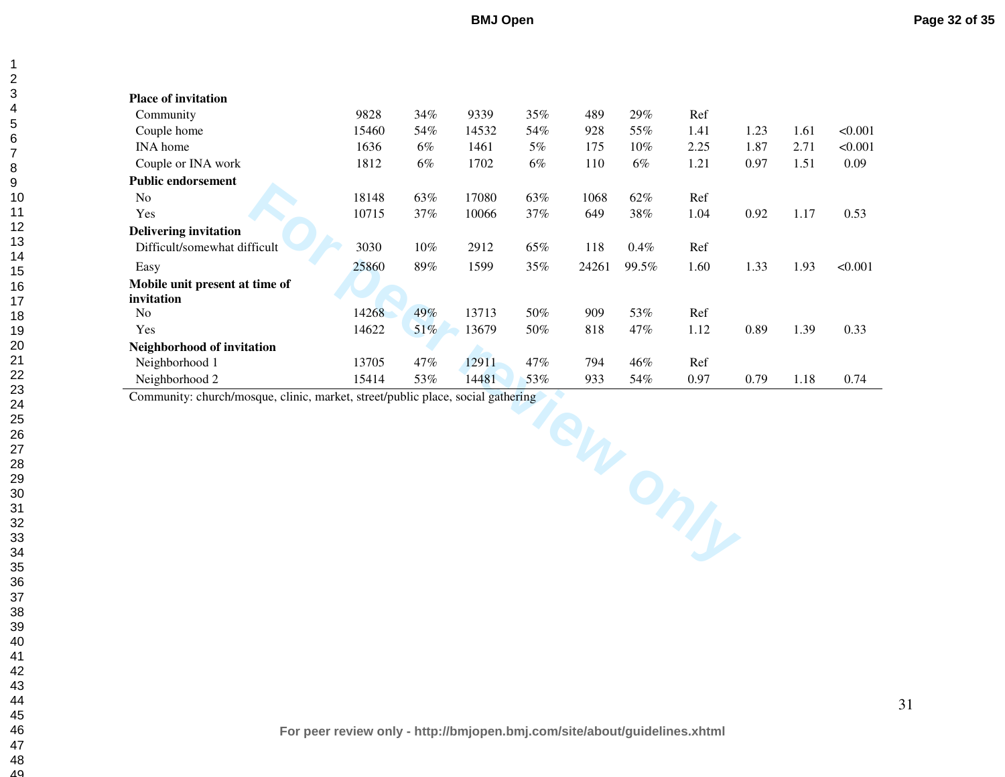| <b>Place of invitation</b>                                                      |       |        |       |        |       |         |         |      |      |         |
|---------------------------------------------------------------------------------|-------|--------|-------|--------|-------|---------|---------|------|------|---------|
| Community                                                                       | 9828  | 34%    | 9339  | 35%    | 489   | 29%     | Ref     |      |      |         |
| Couple home                                                                     | 15460 | 54%    | 14532 | 54%    | 928   | 55%     | 1.41    | 1.23 | 1.61 | < 0.001 |
| INA home                                                                        | 1636  | 6%     | 1461  | $5\%$  | 175   | $10\%$  | 2.25    | 1.87 | 2.71 | < 0.001 |
| Couple or INA work                                                              | 1812  | $6\%$  | 1702  | $6\%$  | 110   | $6\%$   | 1.21    | 0.97 | 1.51 | 0.09    |
| <b>Public endorsement</b>                                                       |       |        |       |        |       |         |         |      |      |         |
| No                                                                              | 18148 | 63%    | 17080 | 63%    | 1068  | 62%     | Ref     |      |      |         |
| Yes                                                                             | 10715 | $37\%$ | 10066 | $37\%$ | 649   | 38%     | 1.04    | 0.92 | 1.17 | 0.53    |
| <b>Delivering invitation</b>                                                    |       |        |       |        |       |         |         |      |      |         |
| Difficult/somewhat difficult                                                    | 3030  | $10\%$ | 2912  | $65\%$ | 118   | $0.4\%$ | Ref     |      |      |         |
| Easy                                                                            | 25860 | $89\%$ | 1599  | $35\%$ | 24261 | 99.5%   | 1.60    | 1.33 | 1.93 | < 0.001 |
| Mobile unit present at time of                                                  |       |        |       |        |       |         |         |      |      |         |
| invitation                                                                      |       |        |       |        |       |         |         |      |      |         |
| No                                                                              | 14268 | 49%    | 13713 | 50%    | 909   | 53%     | Ref     |      |      |         |
| Yes                                                                             | 14622 | 51%    | 13679 | 50%    | 818   | 47%     | 1.12    | 0.89 | 1.39 | 0.33    |
| Neighborhood of invitation                                                      |       |        |       |        |       |         |         |      |      |         |
| Neighborhood 1                                                                  | 13705 | 47%    | 12911 | 47%    | 794   | 46%     | Ref     |      |      |         |
| Neighborhood 2                                                                  | 15414 | 53%    | 14481 | 53%    | 933   | 54%     | 0.97    | 0.79 | 1.18 | 0.74    |
| Community: church/mosque, clinic, market, street/public place, social gathering |       |        |       |        |       |         |         |      |      |         |
|                                                                                 |       |        |       |        |       |         |         |      |      |         |
|                                                                                 |       |        |       |        |       |         |         |      |      |         |
|                                                                                 |       |        |       |        |       |         |         |      |      |         |
|                                                                                 |       |        |       |        |       |         |         |      |      |         |
|                                                                                 |       |        |       |        |       |         |         |      |      |         |
|                                                                                 |       |        |       |        |       |         |         |      |      |         |
|                                                                                 |       |        |       |        |       |         |         |      |      |         |
|                                                                                 |       |        |       |        |       |         |         |      |      |         |
|                                                                                 |       |        |       |        |       |         | TOW ONL |      |      |         |
|                                                                                 |       |        |       |        |       |         |         |      |      |         |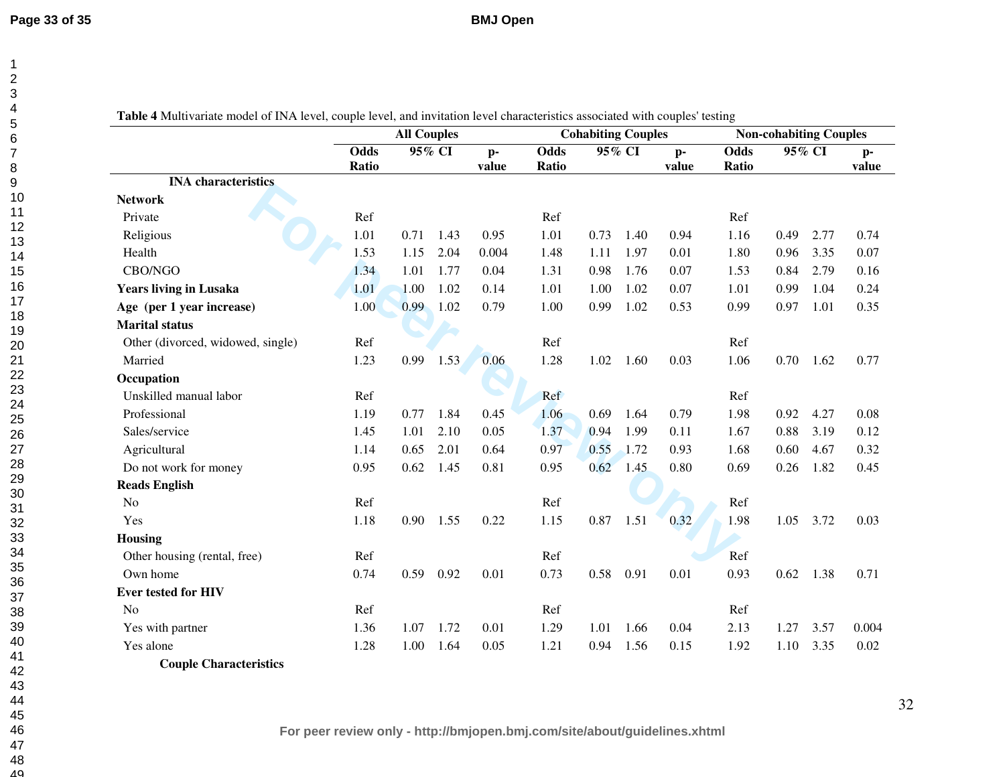**BMJ Open**

|                                   |       |        |      | <b>Cohabiting Couples</b> |       |        |         | <b>Non-cohabiting Couples</b> |       |        |      |       |
|-----------------------------------|-------|--------|------|---------------------------|-------|--------|---------|-------------------------------|-------|--------|------|-------|
|                                   | Odds  | 95% CI |      | $p-$                      | Odds  | 95% CI |         | $p-$                          | Odds  | 95% CI |      | $p-$  |
|                                   | Ratio |        |      | value                     | Ratio |        |         | value                         | Ratio |        |      | value |
| <b>INA</b> characteristics        |       |        |      |                           |       |        |         |                               |       |        |      |       |
| <b>Network</b>                    |       |        |      |                           |       |        |         |                               |       |        |      |       |
| Private                           | Ref   |        |      |                           | Ref   |        |         |                               | Ref   |        |      |       |
| Religious                         | 1.01  | 0.71   | 1.43 | 0.95                      | 1.01  | 0.73   | 1.40    | 0.94                          | 1.16  | 0.49   | 2.77 | 0.74  |
| Health                            | 1.53  | 1.15   | 2.04 | 0.004                     | 1.48  | 1.11   | 1.97    | 0.01                          | 1.80  | 0.96   | 3.35 | 0.07  |
| CBO/NGO                           | 1.34  | 1.01   | 1.77 | 0.04                      | 1.31  | 0.98   | 1.76    | 0.07                          | 1.53  | 0.84   | 2.79 | 0.16  |
| <b>Years living in Lusaka</b>     | 1.01  | 1.00   | 1.02 | 0.14                      | 1.01  | 1.00   | 1.02    | 0.07                          | 1.01  | 0.99   | 1.04 | 0.24  |
| Age (per 1 year increase)         | 1.00  | 0.99   | 1.02 | 0.79                      | 1.00  | 0.99   | 1.02    | 0.53                          | 0.99  | 0.97   | 1.01 | 0.35  |
| <b>Marital</b> status             |       |        |      |                           |       |        |         |                               |       |        |      |       |
| Other (divorced, widowed, single) | Ref   |        |      |                           | Ref   |        |         |                               | Ref   |        |      |       |
| Married                           | 1.23  | 0.99   | 1.53 | 0.06                      | 1.28  | 1.02   | 1.60    | 0.03                          | 1.06  | 0.70   | 1.62 | 0.77  |
| Occupation                        |       |        |      |                           |       |        |         |                               |       |        |      |       |
| Unskilled manual labor            | Ref   |        |      |                           | Ref   |        |         |                               | Ref   |        |      |       |
| Professional                      | 1.19  | 0.77   | 1.84 | 0.45                      | 1.06  | 0.69   | 1.64    | 0.79                          | 1.98  | 0.92   | 4.27 | 0.08  |
| Sales/service                     | 1.45  | 1.01   | 2.10 | 0.05                      | 1.37  | 0.94   | 1.99    | 0.11                          | 1.67  | 0.88   | 3.19 | 0.12  |
| Agricultural                      | 1.14  | 0.65   | 2.01 | 0.64                      | 0.97  | 0.55   | $-1.72$ | 0.93                          | 1.68  | 0.60   | 4.67 | 0.32  |
| Do not work for money             | 0.95  | 0.62   | 1.45 | 0.81                      | 0.95  | 0.62   | 1.45    | 0.80                          | 0.69  | 0.26   | 1.82 | 0.45  |
| <b>Reads English</b>              |       |        |      |                           |       |        |         |                               |       |        |      |       |
| N <sub>o</sub>                    | Ref   |        |      |                           | Ref   |        |         |                               | Ref   |        |      |       |
| Yes                               | 1.18  | 0.90   | 1.55 | 0.22                      | 1.15  | 0.87   | 1.51    | 0.32                          | 1.98  | 1.05   | 3.72 | 0.03  |
| <b>Housing</b>                    |       |        |      |                           |       |        |         |                               |       |        |      |       |
| Other housing (rental, free)      | Ref   |        |      |                           | Ref   |        |         |                               | Ref   |        |      |       |
| Own home                          | 0.74  | 0.59   | 0.92 | 0.01                      | 0.73  | 0.58   | 0.91    | 0.01                          | 0.93  | 0.62   | 1.38 | 0.71  |
| <b>Ever tested for HIV</b>        |       |        |      |                           |       |        |         |                               |       |        |      |       |
| No                                | Ref   |        |      |                           | Ref   |        |         |                               | Ref   |        |      |       |
| Yes with partner                  | 1.36  | 1.07   | 1.72 | 0.01                      | 1.29  | 1.01   | 1.66    | 0.04                          | 2.13  | 1.27   | 3.57 | 0.004 |
| Yes alone                         | 1.28  | 1.00   | 1.64 | 0.05                      | 1.21  | 0.94   | 1.56    | 0.15                          | 1.92  | 1.10   | 3.35 | 0.02  |
| <b>Couple Characteristics</b>     |       |        |      |                           |       |        |         |                               |       |        |      |       |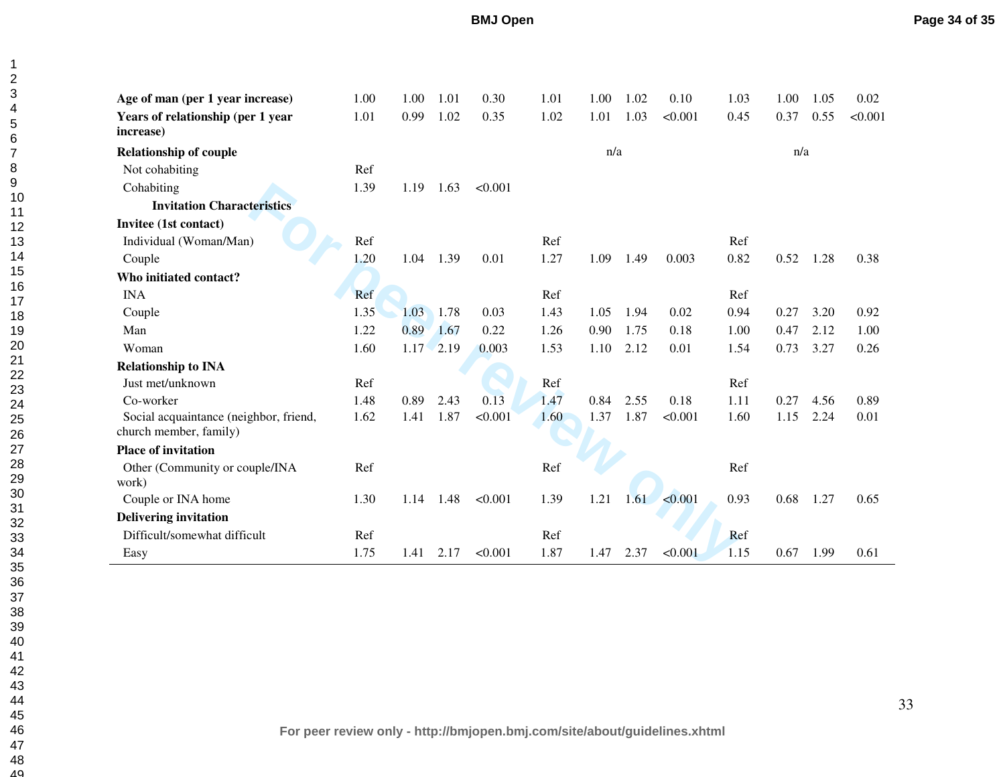| Age of man (per 1 year increase)                                 | 1.00 | 1.00 | 1.01 | 0.30    | 1.01 | 1.00 | 1.02 | 0.10    | 1.03 | 1.00 | 1.05 | 0.02    |
|------------------------------------------------------------------|------|------|------|---------|------|------|------|---------|------|------|------|---------|
| Years of relationship (per 1 year                                | 1.01 | 0.99 | 1.02 | 0.35    | 1.02 | 1.01 | 1.03 | < 0.001 | 0.45 | 0.37 | 0.55 | < 0.001 |
| increase)                                                        |      |      |      |         |      |      |      |         |      |      |      |         |
| <b>Relationship of couple</b>                                    |      |      |      |         |      | n/a  |      |         |      | n/a  |      |         |
| Not cohabiting                                                   | Ref  |      |      |         |      |      |      |         |      |      |      |         |
| Cohabiting                                                       | 1.39 | 1.19 | 1.63 | < 0.001 |      |      |      |         |      |      |      |         |
| <b>Invitation Characteristics</b>                                |      |      |      |         |      |      |      |         |      |      |      |         |
| Invitee (1st contact)                                            |      |      |      |         |      |      |      |         |      |      |      |         |
| Individual (Woman/Man)                                           | Ref  |      |      |         | Ref  |      |      |         | Ref  |      |      |         |
| Couple                                                           | 1.20 | 1.04 | 1.39 | 0.01    | 1.27 | 1.09 | 1.49 | 0.003   | 0.82 | 0.52 | 1.28 | 0.38    |
| Who initiated contact?                                           |      |      |      |         |      |      |      |         |      |      |      |         |
| <b>INA</b>                                                       | Ref  |      |      |         | Ref  |      |      |         | Ref  |      |      |         |
| Couple                                                           | 1.35 | 1.03 | 1.78 | 0.03    | 1.43 | 1.05 | 1.94 | 0.02    | 0.94 | 0.27 | 3.20 | 0.92    |
| Man                                                              | 1.22 | 0.89 | 1.67 | 0.22    | 1.26 | 0.90 | 1.75 | 0.18    | 1.00 | 0.47 | 2.12 | 1.00    |
| Woman                                                            | 1.60 | 1.17 | 2.19 | 0.003   | 1.53 | 1.10 | 2.12 | 0.01    | 1.54 | 0.73 | 3.27 | 0.26    |
| <b>Relationship to INA</b>                                       |      |      |      |         |      |      |      |         |      |      |      |         |
| Just met/unknown                                                 | Ref  |      |      |         | Ref  |      |      |         | Ref  |      |      |         |
| Co-worker                                                        | 1.48 | 0.89 | 2.43 | 0.13    | 1.47 | 0.84 | 2.55 | 0.18    | 1.11 | 0.27 | 4.56 | 0.89    |
| Social acquaintance (neighbor, friend,<br>church member, family) | 1.62 | 1.41 | 1.87 | < 0.001 | 1.60 | 1.37 | 1.87 | < 0.001 | 1.60 | 1.15 | 2.24 | 0.01    |
| <b>Place of invitation</b>                                       |      |      |      |         |      |      |      |         |      |      |      |         |
| Other (Community or couple/INA<br>work)                          | Ref  |      |      |         | Ref  |      |      |         | Ref  |      |      |         |
| Couple or INA home                                               | 1.30 | 1.14 | 1.48 | < 0.001 | 1.39 | 1.21 | 1.61 | < 0.001 | 0.93 | 0.68 | 1.27 | 0.65    |
| <b>Delivering invitation</b>                                     |      |      |      |         |      |      |      |         |      |      |      |         |
| Difficult/somewhat difficult                                     | Ref  |      |      |         | Ref  |      |      |         | Ref  |      |      |         |
| Easy                                                             | 1.75 | 1.41 | 2.17 | < 0.001 | 1.87 | 1.47 | 2.37 | < 0.001 | 1.15 | 0.67 | 1.99 | 0.61    |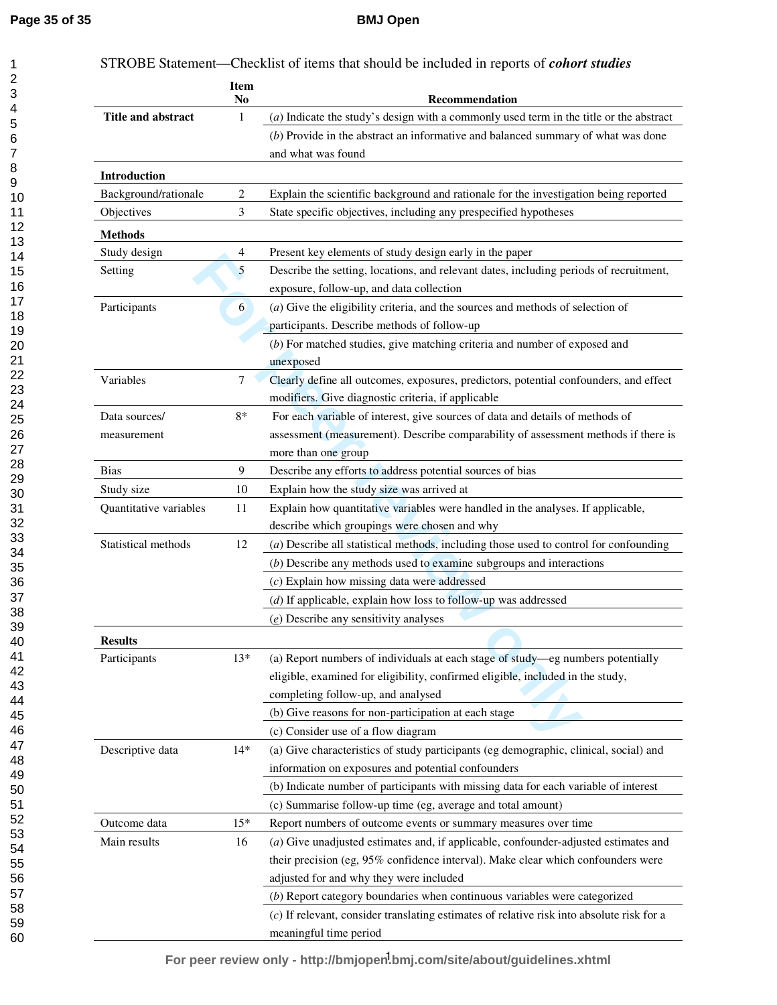### **BMJ Open**

|                           | <b>Item</b><br>N <sub>0</sub> | Recommendation                                                                              |
|---------------------------|-------------------------------|---------------------------------------------------------------------------------------------|
| <b>Title and abstract</b> | 1                             | $(a)$ Indicate the study's design with a commonly used term in the title or the abstract    |
|                           |                               | $(b)$ Provide in the abstract an informative and balanced summary of what was done          |
|                           |                               | and what was found                                                                          |
| Introduction              |                               |                                                                                             |
| Background/rationale      | 2                             | Explain the scientific background and rationale for the investigation being reported        |
| Objectives                | 3                             | State specific objectives, including any prespecified hypotheses                            |
| <b>Methods</b>            |                               |                                                                                             |
| Study design              | 4                             | Present key elements of study design early in the paper                                     |
| Setting                   | 5                             | Describe the setting, locations, and relevant dates, including periods of recruitment,      |
|                           |                               | exposure, follow-up, and data collection                                                    |
| Participants              | 6                             | $(a)$ Give the eligibility criteria, and the sources and methods of selection of            |
|                           |                               | participants. Describe methods of follow-up                                                 |
|                           |                               | $(b)$ For matched studies, give matching criteria and number of exposed and                 |
|                           |                               | unexposed                                                                                   |
| Variables                 | 7                             | Clearly define all outcomes, exposures, predictors, potential confounders, and effect       |
|                           |                               | modifiers. Give diagnostic criteria, if applicable                                          |
| Data sources/             | $8*$                          | For each variable of interest, give sources of data and details of methods of               |
| measurement               |                               | assessment (measurement). Describe comparability of assessment methods if there is          |
|                           |                               | more than one group                                                                         |
| <b>Bias</b>               | 9                             | Describe any efforts to address potential sources of bias                                   |
| Study size                | 10                            | Explain how the study size was arrived at                                                   |
| Quantitative variables    | 11                            | Explain how quantitative variables were handled in the analyses. If applicable,             |
|                           |                               | describe which groupings were chosen and why                                                |
| Statistical methods       | 12                            | (a) Describe all statistical methods, including those used to control for confounding       |
|                           |                               | $(b)$ Describe any methods used to examine subgroups and interactions                       |
|                           |                               | $(c)$ Explain how missing data were addressed                                               |
|                           |                               | (d) If applicable, explain how loss to follow-up was addressed                              |
|                           |                               | $(e)$ Describe any sensitivity analyses                                                     |
| <b>Results</b>            |                               |                                                                                             |
| Participants              | $13*$                         | (a) Report numbers of individuals at each stage of study-eg numbers potentially             |
|                           |                               | eligible, examined for eligibility, confirmed eligible, included in the study,              |
|                           |                               | completing follow-up, and analysed                                                          |
|                           |                               | (b) Give reasons for non-participation at each stage                                        |
|                           |                               | (c) Consider use of a flow diagram                                                          |
| Descriptive data          | $14*$                         | (a) Give characteristics of study participants (eg demographic, clinical, social) and       |
|                           |                               | information on exposures and potential confounders                                          |
|                           |                               | (b) Indicate number of participants with missing data for each variable of interest         |
|                           |                               | (c) Summarise follow-up time (eg, average and total amount)                                 |
| Outcome data              | $15*$                         | Report numbers of outcome events or summary measures over time                              |
| Main results              | 16                            | (a) Give unadjusted estimates and, if applicable, confounder-adjusted estimates and         |
|                           |                               | their precision (eg, 95% confidence interval). Make clear which confounders were            |
|                           |                               | adjusted for and why they were included                                                     |
|                           |                               | $(b)$ Report category boundaries when continuous variables were categorized                 |
|                           |                               | $(c)$ If relevant, consider translating estimates of relative risk into absolute risk for a |
|                           |                               | meaningful time period                                                                      |

STROBE Statement—Checklist of items that should be included in reports of *cohort studies*

1 **For peer review only - http://bmjopen.bmj.com/site/about/guidelines.xhtml**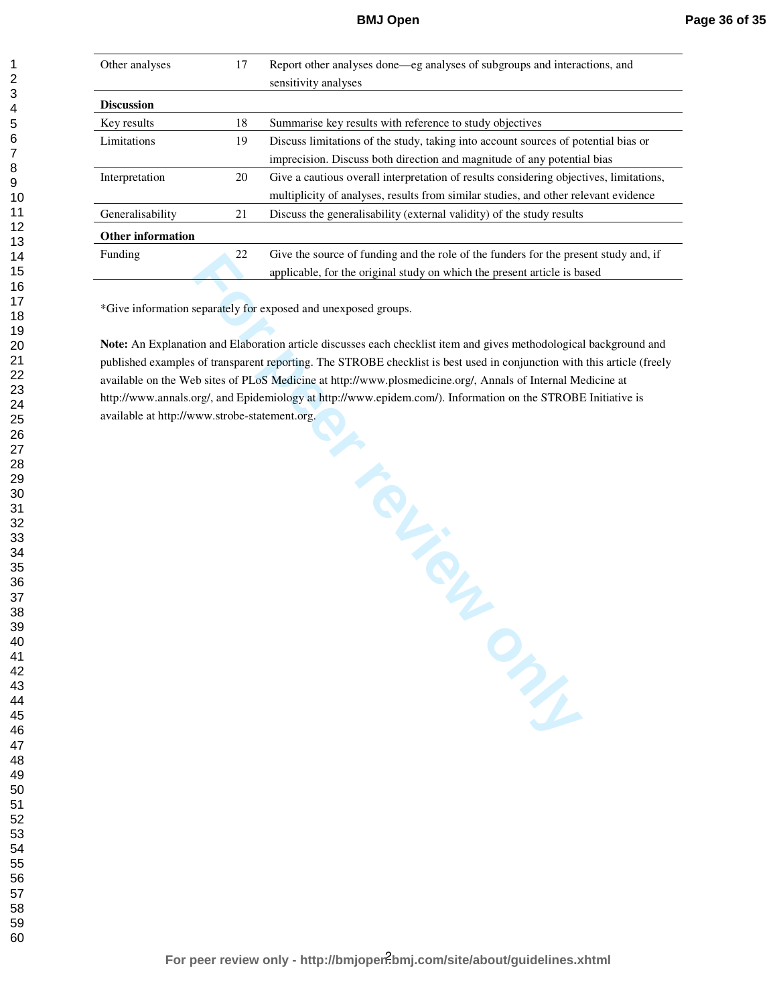| Other analyses           | 17 | Report other analyses done—eg analyses of subgroups and interactions, and              |
|--------------------------|----|----------------------------------------------------------------------------------------|
|                          |    | sensitivity analyses                                                                   |
| <b>Discussion</b>        |    |                                                                                        |
| Key results              | 18 | Summarise key results with reference to study objectives                               |
| Limitations              | 19 | Discuss limitations of the study, taking into account sources of potential bias or     |
|                          |    | imprecision. Discuss both direction and magnitude of any potential bias                |
| Interpretation           | 20 | Give a cautious overall interpretation of results considering objectives, limitations, |
|                          |    | multiplicity of analyses, results from similar studies, and other relevant evidence    |
| Generalisability         | 21 | Discuss the generalisability (external validity) of the study results                  |
| <b>Other information</b> |    |                                                                                        |
| Funding                  | 22 | Give the source of funding and the role of the funders for the present study and, if   |
|                          |    | applicable, for the original study on which the present article is based               |

\*Give information separately for exposed and unexposed groups.

**For peer review only Note:** An Explanation and Elaboration article discusses each checklist item and gives methodological background and published examples of transparent reporting. The STROBE checklist is best used in conjunction with this article (freely available on the Web sites of PLoS Medicine at http://www.plosmedicine.org/, Annals of Internal Medicine at http://www.annals.org/, and Epidemiology at http://www.epidem.com/). Information on the STROBE Initiative is available at http://www.strobe-statement.org.

For peer review only - http://bmjoper?bmj.com/site/about/guidelines.xhtml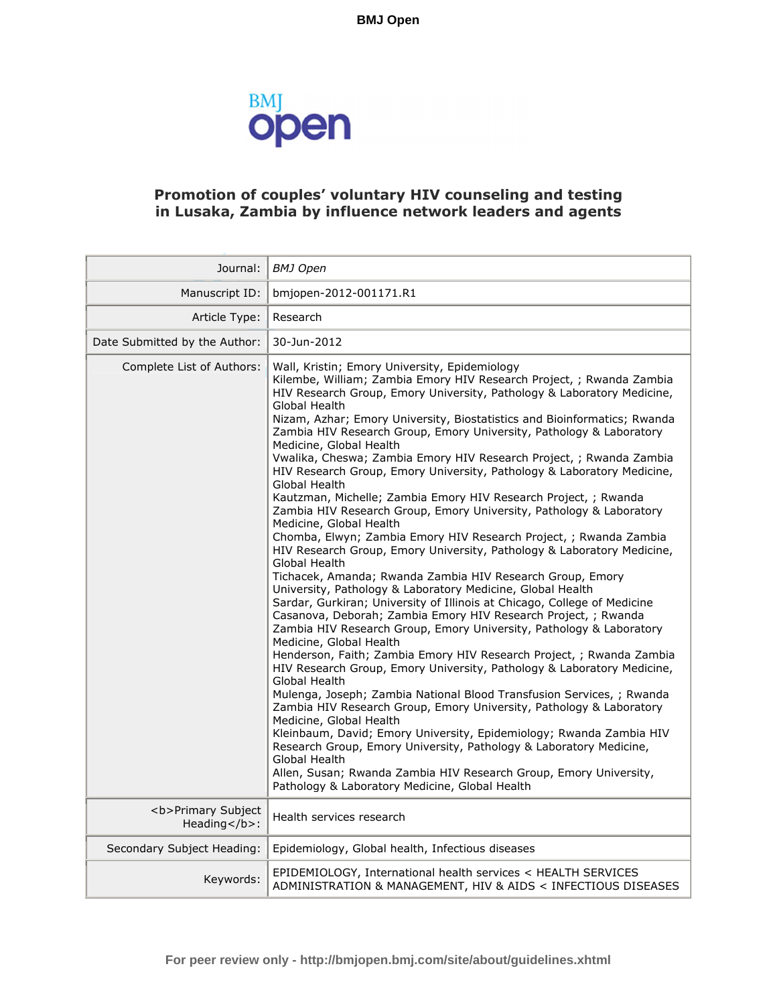

# **Promotion of couples' voluntary HIV counseling and testing in Lusaka, Zambia by influence network leaders and agents**

| Journal:                                                   | <b>BMJ</b> Open                                                                                                                                                                                                                                                                                                                                                                                                                                                                                                                                                                                                                                                                                                                                                                                                                                                                                                                                                                                                                                                                                                                                                                                                                                                                                                                                                                                                                                                                                                                                                                                                                                                                                                                                                                                                                                                                                                            |
|------------------------------------------------------------|----------------------------------------------------------------------------------------------------------------------------------------------------------------------------------------------------------------------------------------------------------------------------------------------------------------------------------------------------------------------------------------------------------------------------------------------------------------------------------------------------------------------------------------------------------------------------------------------------------------------------------------------------------------------------------------------------------------------------------------------------------------------------------------------------------------------------------------------------------------------------------------------------------------------------------------------------------------------------------------------------------------------------------------------------------------------------------------------------------------------------------------------------------------------------------------------------------------------------------------------------------------------------------------------------------------------------------------------------------------------------------------------------------------------------------------------------------------------------------------------------------------------------------------------------------------------------------------------------------------------------------------------------------------------------------------------------------------------------------------------------------------------------------------------------------------------------------------------------------------------------------------------------------------------------|
| Manuscript ID:                                             | bmjopen-2012-001171.R1                                                                                                                                                                                                                                                                                                                                                                                                                                                                                                                                                                                                                                                                                                                                                                                                                                                                                                                                                                                                                                                                                                                                                                                                                                                                                                                                                                                                                                                                                                                                                                                                                                                                                                                                                                                                                                                                                                     |
| Article Type:                                              | Research                                                                                                                                                                                                                                                                                                                                                                                                                                                                                                                                                                                                                                                                                                                                                                                                                                                                                                                                                                                                                                                                                                                                                                                                                                                                                                                                                                                                                                                                                                                                                                                                                                                                                                                                                                                                                                                                                                                   |
| Date Submitted by the Author:                              | 30-Jun-2012                                                                                                                                                                                                                                                                                                                                                                                                                                                                                                                                                                                                                                                                                                                                                                                                                                                                                                                                                                                                                                                                                                                                                                                                                                                                                                                                                                                                                                                                                                                                                                                                                                                                                                                                                                                                                                                                                                                |
| Complete List of Authors:                                  | Wall, Kristin; Emory University, Epidemiology<br>Kilembe, William; Zambia Emory HIV Research Project, ; Rwanda Zambia<br>HIV Research Group, Emory University, Pathology & Laboratory Medicine,<br>Global Health<br>Nizam, Azhar; Emory University, Biostatistics and Bioinformatics; Rwanda<br>Zambia HIV Research Group, Emory University, Pathology & Laboratory<br>Medicine, Global Health<br>Vwalika, Cheswa; Zambia Emory HIV Research Project, ; Rwanda Zambia<br>HIV Research Group, Emory University, Pathology & Laboratory Medicine,<br><b>Global Health</b><br>Kautzman, Michelle; Zambia Emory HIV Research Project, ; Rwanda<br>Zambia HIV Research Group, Emory University, Pathology & Laboratory<br>Medicine, Global Health<br>Chomba, Elwyn; Zambia Emory HIV Research Project, ; Rwanda Zambia<br>HIV Research Group, Emory University, Pathology & Laboratory Medicine,<br>Global Health<br>Tichacek, Amanda; Rwanda Zambia HIV Research Group, Emory<br>University, Pathology & Laboratory Medicine, Global Health<br>Sardar, Gurkiran; University of Illinois at Chicago, College of Medicine<br>Casanova, Deborah; Zambia Emory HIV Research Project, ; Rwanda<br>Zambia HIV Research Group, Emory University, Pathology & Laboratory<br>Medicine, Global Health<br>Henderson, Faith; Zambia Emory HIV Research Project, ; Rwanda Zambia<br>HIV Research Group, Emory University, Pathology & Laboratory Medicine,<br>Global Health<br>Mulenga, Joseph; Zambia National Blood Transfusion Services, ; Rwanda<br>Zambia HIV Research Group, Emory University, Pathology & Laboratory<br>Medicine, Global Health<br>Kleinbaum, David; Emory University, Epidemiology; Rwanda Zambia HIV<br>Research Group, Emory University, Pathology & Laboratory Medicine,<br>Global Health<br>Allen, Susan; Rwanda Zambia HIV Research Group, Emory University,<br>Pathology & Laboratory Medicine, Global Health |
| <b>Primary Subject<br/>Heading<math>&lt;</math>/b&gt;:</b> | Health services research                                                                                                                                                                                                                                                                                                                                                                                                                                                                                                                                                                                                                                                                                                                                                                                                                                                                                                                                                                                                                                                                                                                                                                                                                                                                                                                                                                                                                                                                                                                                                                                                                                                                                                                                                                                                                                                                                                   |
| Secondary Subject Heading:                                 | Epidemiology, Global health, Infectious diseases                                                                                                                                                                                                                                                                                                                                                                                                                                                                                                                                                                                                                                                                                                                                                                                                                                                                                                                                                                                                                                                                                                                                                                                                                                                                                                                                                                                                                                                                                                                                                                                                                                                                                                                                                                                                                                                                           |
| Keywords:                                                  | EPIDEMIOLOGY, International health services < HEALTH SERVICES<br>ADMINISTRATION & MANAGEMENT, HIV & AIDS < INFECTIOUS DISEASES                                                                                                                                                                                                                                                                                                                                                                                                                                                                                                                                                                                                                                                                                                                                                                                                                                                                                                                                                                                                                                                                                                                                                                                                                                                                                                                                                                                                                                                                                                                                                                                                                                                                                                                                                                                             |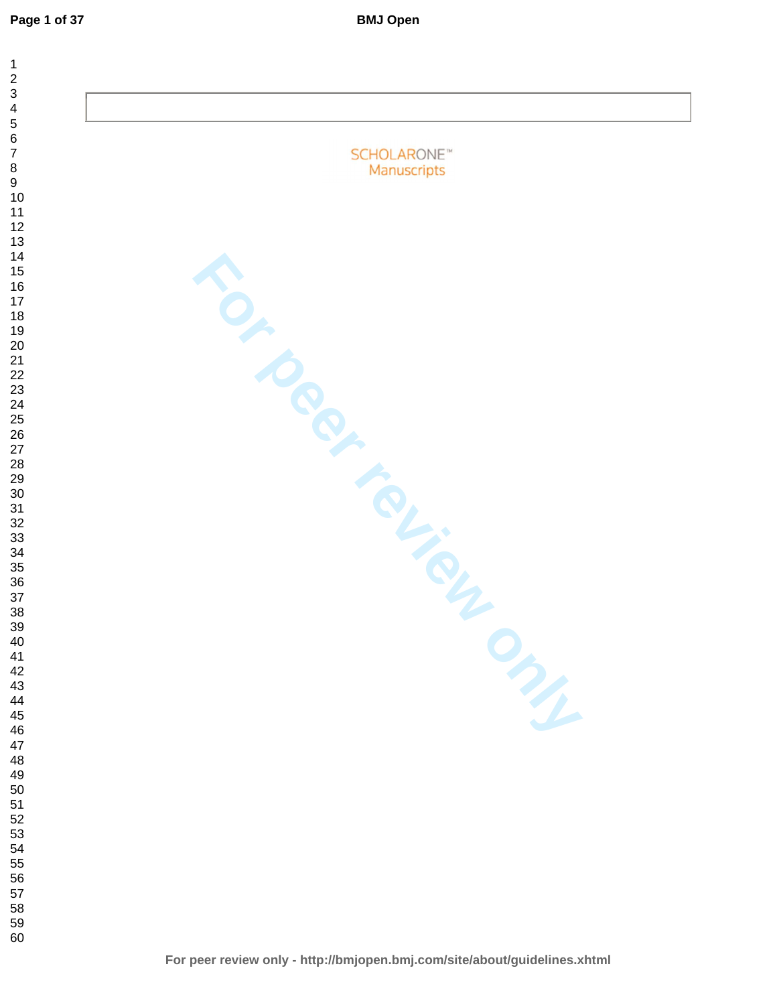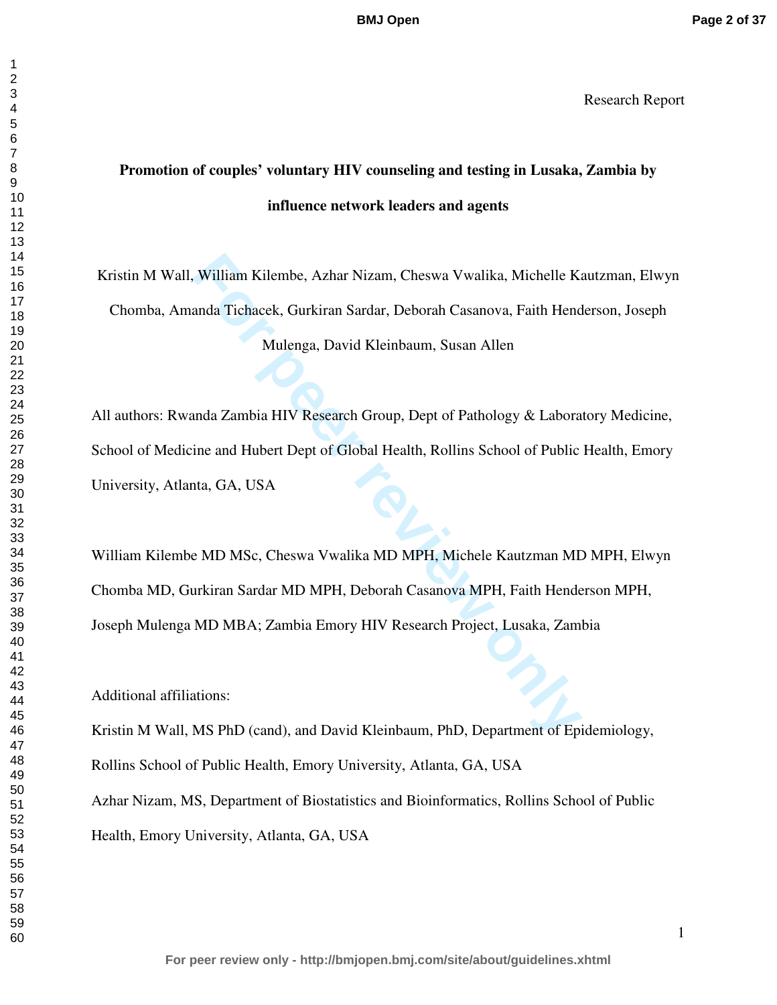Research Report

# **Promotion of couples' voluntary HIV counseling and testing in Lusaka, Zambia by influence network leaders and agents**

William Kilembe, Azhar Nizam, Cheswa Vwalika, Michelle Ka<br>
anda Tichacek, Gurkiran Sardar, Deborah Casanova, Faith Hend<br>
Mulenga, David Kleinbaum, Susan Allen<br>
mda Zambia HIV Research Group, Dept of Pathology & Labora<br>
ine Kristin M Wall, William Kilembe, Azhar Nizam, Cheswa Vwalika, Michelle Kautzman, Elwyn Chomba, Amanda Tichacek, Gurkiran Sardar, Deborah Casanova, Faith Henderson, Joseph Mulenga, David Kleinbaum, Susan Allen

All authors: Rwanda Zambia HIV Research Group, Dept of Pathology & Laboratory Medicine, School of Medicine and Hubert Dept of Global Health, Rollins School of Public Health, Emory University, Atlanta, GA, USA

William Kilembe MD MSc, Cheswa Vwalika MD MPH, Michele Kautzman MD MPH, Elwyn Chomba MD, Gurkiran Sardar MD MPH, Deborah Casanova MPH, Faith Henderson MPH, Joseph Mulenga MD MBA; Zambia Emory HIV Research Project, Lusaka, Zambia

Additional affiliations:

Kristin M Wall, MS PhD (cand), and David Kleinbaum, PhD, Department of Epidemiology, Rollins School of Public Health, Emory University, Atlanta, GA, USA Azhar Nizam, MS, Department of Biostatistics and Bioinformatics, Rollins School of Public Health, Emory University, Atlanta, GA, USA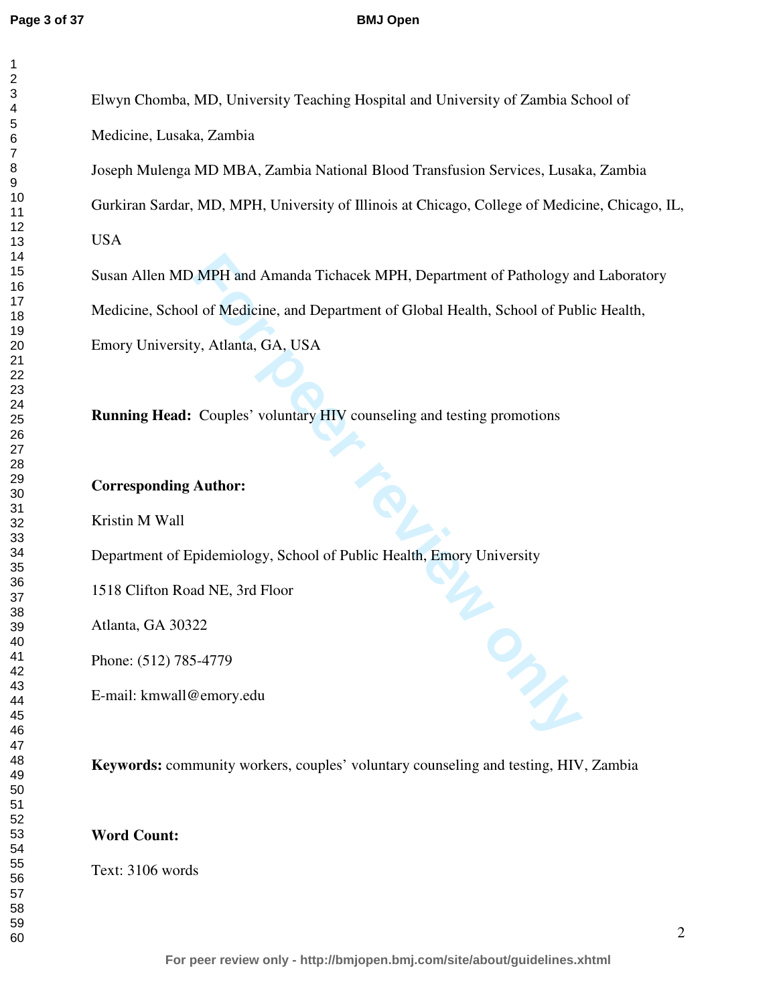#### **BMJ Open**

Elwyn Chomba, MD, University Teaching Hospital and University of Zambia School of Medicine, Lusaka, Zambia

Joseph Mulenga MD MBA, Zambia National Blood Transfusion Services, Lusaka, Zambia

Gurkiran Sardar, MD, MPH, University of Illinois at Chicago, College of Medicine, Chicago, IL,

USA

**FORTAL EXECTS APPLE SET ASSEMBED ASSEMBED ASSEM OF PROPERTIES AND REVIEW SOLUTIONS A COUPLES' voluntary HIV counseling and testing promotions<br>
At the couples' voluntary HIV counseling and testing promotions<br>
Author:<br>
Prop** Susan Allen MD MPH and Amanda Tichacek MPH, Department of Pathology and Laboratory Medicine, School of Medicine, and Department of Global Health, School of Public Health, Emory University, Atlanta, GA, USA

**Running Head:** Couples' voluntary HIV counseling and testing promotions

#### **Corresponding Author:**

Kristin M Wall

Department of Epidemiology, School of Public Health, Emory University

1518 Clifton Road NE, 3rd Floor

Atlanta, GA 30322

Phone: (512) 785-4779

E-mail: kmwall@emory.edu

**Keywords:** community workers, couples' voluntary counseling and testing, HIV, Zambia

#### **Word Count:**

Text: 3106 words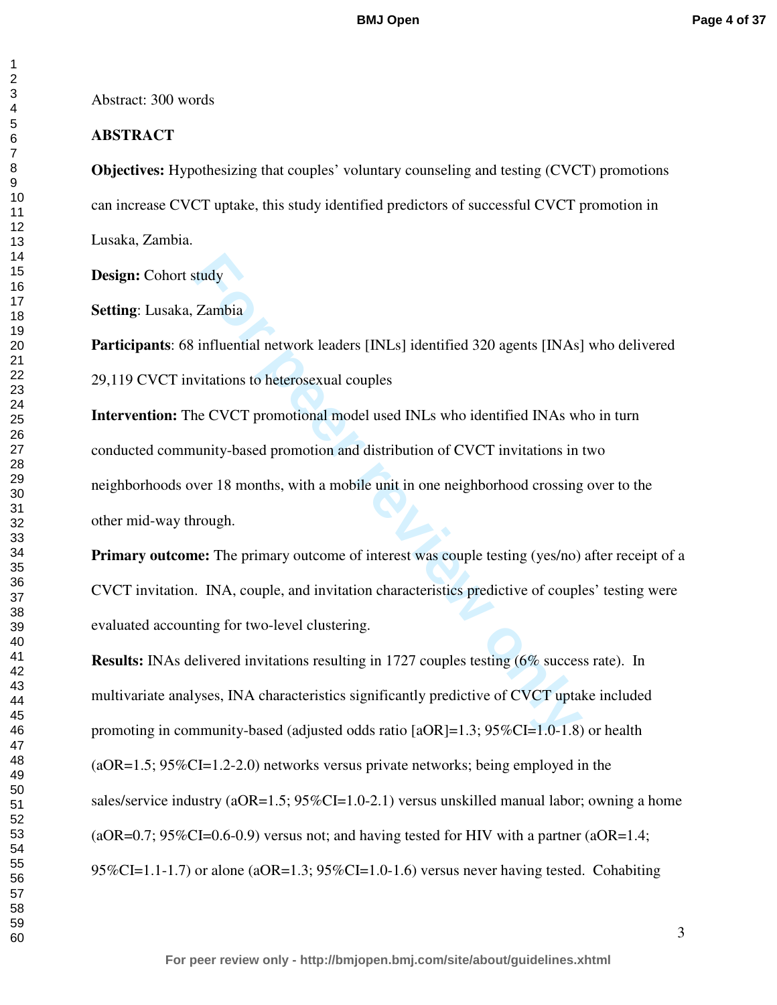Abstract: 300 words

#### **ABSTRACT**

**Objectives:** Hypothesizing that couples' voluntary counseling and testing (CVCT) promotions can increase CVCT uptake, this study identified predictors of successful CVCT promotion in Lusaka, Zambia.

**Design:** Cohort study

**Setting**: Lusaka, Zambia

**Participants**: 68 influential network leaders [INLs] identified 320 agents [INAs] who delivered 29,119 CVCT invitations to heterosexual couples

Exambia<br>
Formula Indiversity (INLs) identified 320 agents (INAs)<br>
influential network leaders (INLs) identified 320 agents (INAs)<br>
intiations to heterosexual couples<br>
he CVCT promotional model used INLs who identified INAs **Intervention:** The CVCT promotional model used INLs who identified INAs who in turn conducted community-based promotion and distribution of CVCT invitations in two neighborhoods over 18 months, with a mobile unit in one neighborhood crossing over to the other mid-way through.

**Primary outcome:** The primary outcome of interest was couple testing (yes/no) after receipt of a CVCT invitation. INA, couple, and invitation characteristics predictive of couples' testing were evaluated accounting for two-level clustering.

**Results:** INAs delivered invitations resulting in 1727 couples testing (6% success rate). In multivariate analyses, INA characteristics significantly predictive of CVCT uptake included promoting in community-based (adjusted odds ratio  $[aOR]=1.3$ ;  $95\%CI=1.0-1.8$ ) or health  $(aOR=1.5; 95\%CI=1.2-2.0)$  networks versus private networks; being employed in the sales/service industry ( $aOR=1.5$ ;  $95\%CI=1.0-2.1$ ) versus unskilled manual labor; owning a home  $(aOR=0.7; 95\%CI=0.6-0.9)$  versus not; and having tested for HIV with a partner  $(aOR=1.4;$  $95\%$ CI=1.1-1.7) or alone (aOR=1.3;  $95\%$ CI=1.0-1.6) versus never having tested. Cohabiting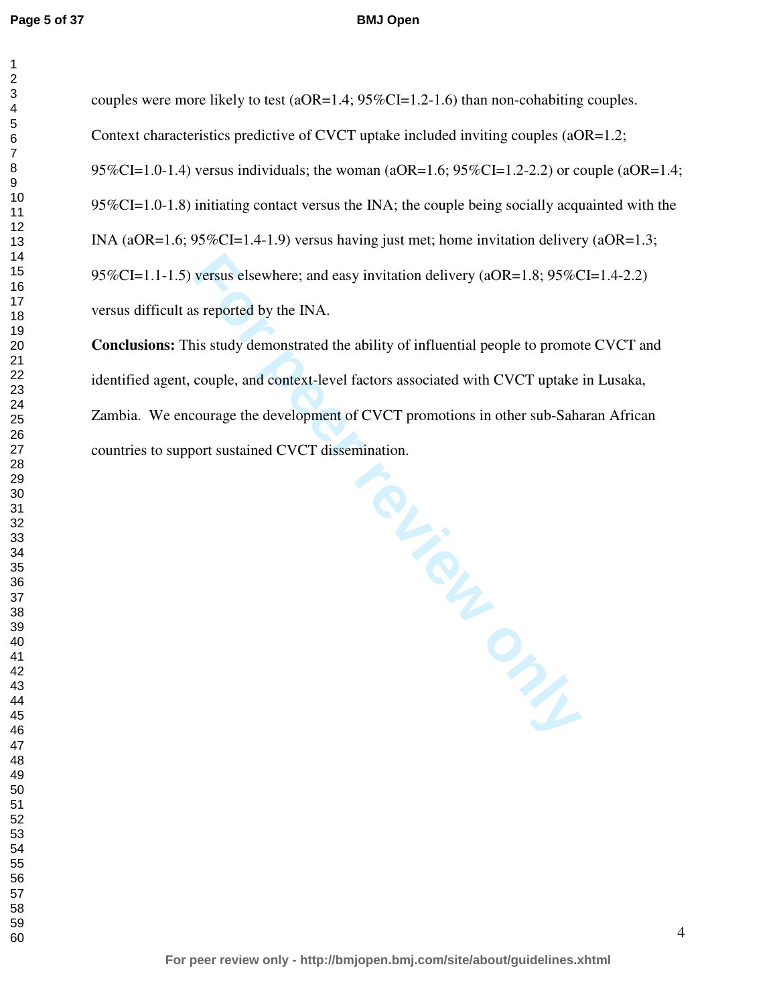#### **BMJ Open**

couples were more likely to test ( $aOR=1.4$ ;  $95\%CI=1.2-1.6$ ) than non-cohabiting couples. Context characteristics predictive of CVCT uptake included inviting couples (aOR=1.2; 95%CI=1.0-1.4) versus individuals; the woman (aOR=1.6;  $95\%$ CI=1.2-2.2) or couple (aOR=1.4;  $95\%$ CI=1.0-1.8) initiating contact versus the INA; the couple being socially acquainted with the INA (aOR=1.6;  $95\%CI=1.4-1.9$ ) versus having just met; home invitation delivery (aOR=1.3; 95%CI=1.1-1.5) versus elsewhere; and easy invitation delivery (aOR=1.8; 95%CI=1.4-2.2) versus difficult as reported by the INA.

**Conclusions:** This study demonstrated the ability of influential people to promote CVCT and identified agent, couple, and context-level factors associated with CVCT uptake in Lusaka, Zambia. We encourage the development of CVCT promotions in other sub-Saharan African countries to support sustained CVCT dissemination.

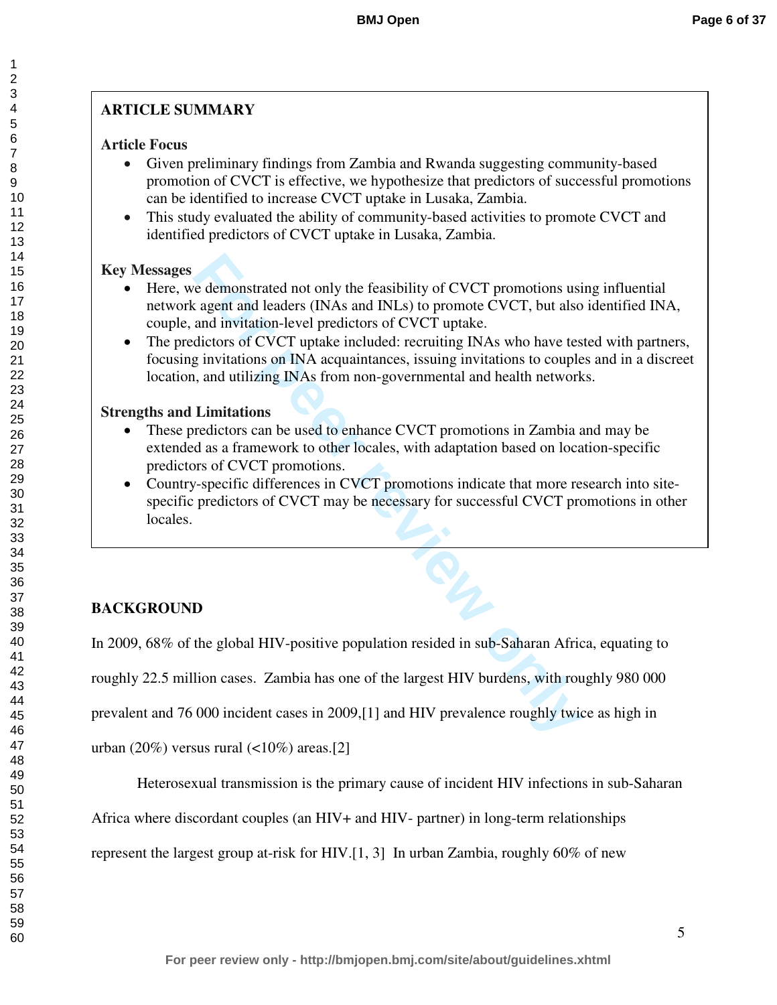# **ARTICLE SUMMARY**

### **Article Focus**

- Given preliminary findings from Zambia and Rwanda suggesting community-based promotion of CVCT is effective, we hypothesize that predictors of successful promotions can be identified to increase CVCT uptake in Lusaka, Zambia.
- This study evaluated the ability of community-based activities to promote CVCT and identified predictors of CVCT uptake in Lusaka, Zambia.

# **Key Messages**

- Here, we demonstrated not only the feasibility of CVCT promotions using influential network agent and leaders (INAs and INLs) to promote CVCT, but also identified INA, couple, and invitation-level predictors of CVCT uptake.
- re demonstrated not only the feasibility of CVCT promotions us<br>a gent and leaders (INAs and INLs) to promote CVCT, but also<br>and invitation-level predictors of CVCT uptake.<br>dictors of CVCT uptake included: recruiting INAs w • The predictors of CVCT uptake included: recruiting INAs who have tested with partners, focusing invitations on INA acquaintances, issuing invitations to couples and in a discreet location, and utilizing INAs from non-governmental and health networks.

# **Strengths and Limitations**

- These predictors can be used to enhance CVCT promotions in Zambia and may be extended as a framework to other locales, with adaptation based on location-specific predictors of CVCT promotions.
- Country-specific differences in CVCT promotions indicate that more research into sitespecific predictors of CVCT may be necessary for successful CVCT promotions in other locales.

# **BACKGROUND**

In 2009, 68% of the global HIV-positive population resided in sub-Saharan Africa, equating to

roughly 22.5 million cases. Zambia has one of the largest HIV burdens, with roughly 980 000

prevalent and 76 000 incident cases in 2009,[1] and HIV prevalence roughly twice as high in

urban (20%) versus rural  $\left($ <10%) areas.[2]

Heterosexual transmission is the primary cause of incident HIV infections in sub-Saharan

Africa where discordant couples (an HIV+ and HIV- partner) in long-term relationships

represent the largest group at-risk for HIV.[1, 3] In urban Zambia, roughly 60% of new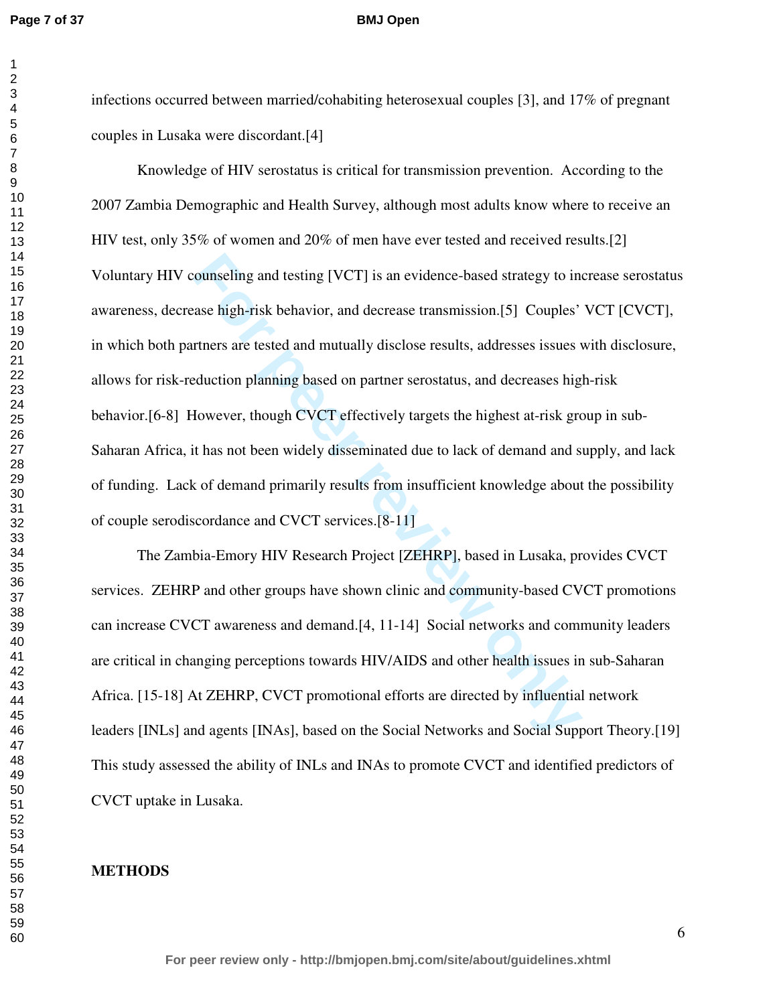#### **BMJ Open**

infections occurred between married/cohabiting heterosexual couples [3], and 17% of pregnant couples in Lusaka were discordant.[4]

rounseling and testing [VCT] is an evidence-based strategy to incase high-risk behavior, and decrease transmission.[5] Couples'<br>rtners are tested and mutually disclose results, addresses issues v<br>duction planning based on Knowledge of HIV serostatus is critical for transmission prevention. According to the 2007 Zambia Demographic and Health Survey, although most adults know where to receive an HIV test, only 35% of women and 20% of men have ever tested and received results.[2] Voluntary HIV counseling and testing [VCT] is an evidence-based strategy to increase serostatus awareness, decrease high-risk behavior, and decrease transmission.[5] Couples' VCT [CVCT], in which both partners are tested and mutually disclose results, addresses issues with disclosure, allows for risk-reduction planning based on partner serostatus, and decreases high-risk behavior.[6-8] However, though CVCT effectively targets the highest at-risk group in sub-Saharan Africa, it has not been widely disseminated due to lack of demand and supply, and lack of funding. Lack of demand primarily results from insufficient knowledge about the possibility of couple serodiscordance and CVCT services.[8-11]

The Zambia-Emory HIV Research Project [ZEHRP], based in Lusaka, provides CVCT services. ZEHRP and other groups have shown clinic and community-based CVCT promotions can increase CVCT awareness and demand.[4, 11-14] Social networks and community leaders are critical in changing perceptions towards HIV/AIDS and other health issues in sub-Saharan Africa. [15-18] At ZEHRP, CVCT promotional efforts are directed by influential network leaders [INLs] and agents [INAs], based on the Social Networks and Social Support Theory.[19] This study assessed the ability of INLs and INAs to promote CVCT and identified predictors of CVCT uptake in Lusaka.

#### **METHODS**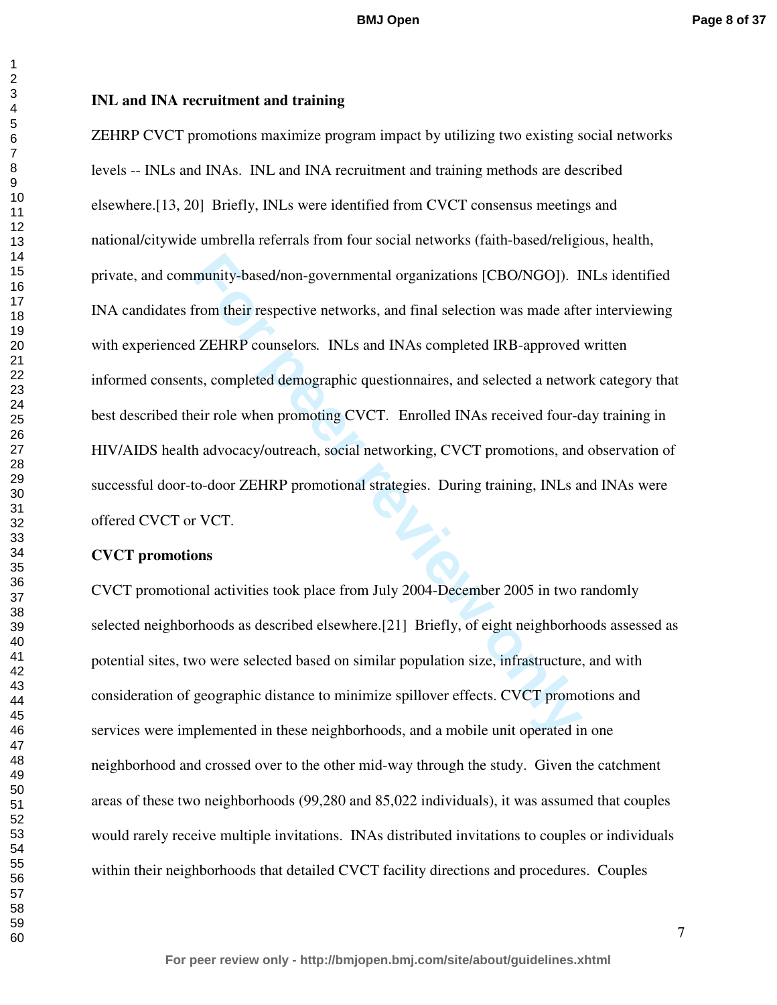#### **INL and INA recruitment and training**

munity-based/non-governmental organizations [CBO/NGO]). If<br>from their respective networks, and final selection was made after<br>1 ZEHRP counselors. INLs and INAs completed IRB-approved<br>1s, completed demographic questionnaire ZEHRP CVCT promotions maximize program impact by utilizing two existing social networks levels -- INLs and INAs. INL and INA recruitment and training methods are described elsewhere.[13, 20] Briefly, INLs were identified from CVCT consensus meetings and national/citywide umbrella referrals from four social networks (faith-based/religious, health, private, and community-based/non-governmental organizations [CBO/NGO]). INLs identified INA candidates from their respective networks, and final selection was made after interviewing with experienced ZEHRP counselors*.* INLs and INAs completed IRB-approved written informed consents, completed demographic questionnaires, and selected a network category that best described their role when promoting CVCT. Enrolled INAs received four-day training in HIV/AIDS health advocacy/outreach, social networking, CVCT promotions, and observation of successful door-to-door ZEHRP promotional strategies. During training, INLs and INAs were offered CVCT or VCT.

#### **CVCT promotions**

CVCT promotional activities took place from July 2004-December 2005 in two randomly selected neighborhoods as described elsewhere.[21] Briefly, of eight neighborhoods assessed as potential sites, two were selected based on similar population size, infrastructure, and with consideration of geographic distance to minimize spillover effects. CVCT promotions and services were implemented in these neighborhoods, and a mobile unit operated in one neighborhood and crossed over to the other mid-way through the study. Given the catchment areas of these two neighborhoods (99,280 and 85,022 individuals), it was assumed that couples would rarely receive multiple invitations. INAs distributed invitations to couples or individuals within their neighborhoods that detailed CVCT facility directions and procedures. Couples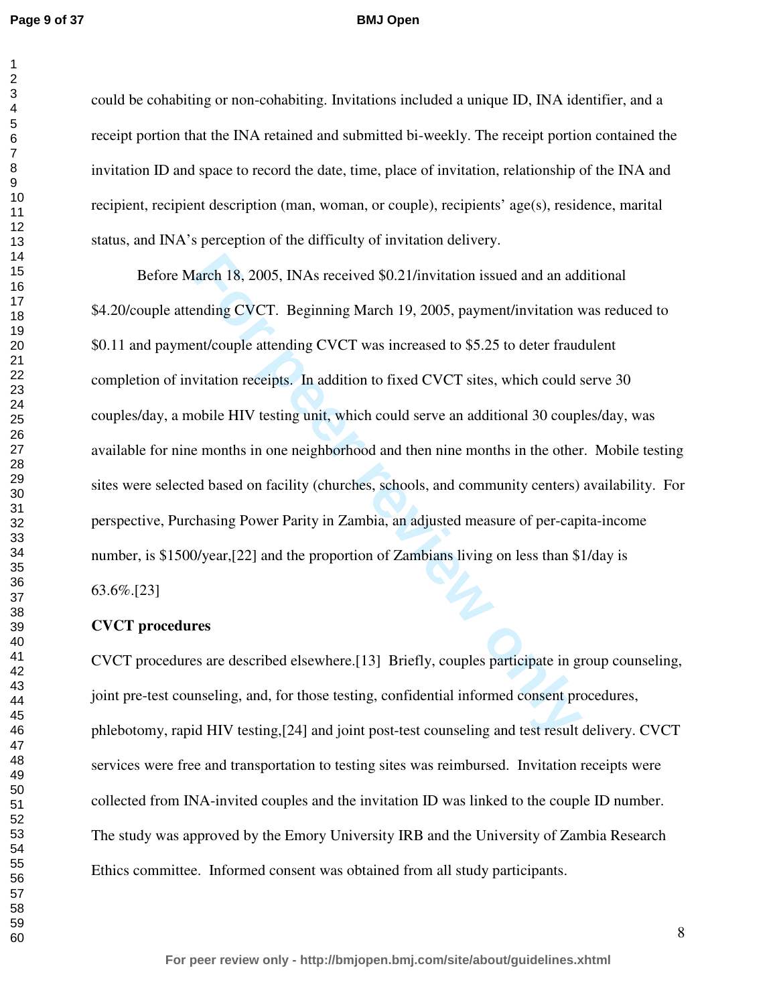#### **BMJ Open**

could be cohabiting or non-cohabiting. Invitations included a unique ID, INA identifier, and a receipt portion that the INA retained and submitted bi-weekly. The receipt portion contained the invitation ID and space to record the date, time, place of invitation, relationship of the INA and recipient, recipient description (man, woman, or couple), recipients' age(s), residence, marital status, and INA's perception of the difficulty of invitation delivery.

Iarch 18, 2005, INAs received \$0.21/invitation issued and an addending CVCT. Beginning March 19, 2005, payment/invitation vent/couple attending CVCT was increased to \$5.25 to deter fraud vitation receipts. In addition to f Before March 18, 2005, INAs received \$0.21/invitation issued and an additional \$4.20/couple attending CVCT. Beginning March 19, 2005, payment/invitation was reduced to \$0.11 and payment/couple attending CVCT was increased to \$5.25 to deter fraudulent completion of invitation receipts. In addition to fixed CVCT sites, which could serve 30 couples/day, a mobile HIV testing unit, which could serve an additional 30 couples/day, was available for nine months in one neighborhood and then nine months in the other. Mobile testing sites were selected based on facility (churches, schools, and community centers) availability. For perspective, Purchasing Power Parity in Zambia, an adjusted measure of per-capita-income number, is \$1500/year,[22] and the proportion of Zambians living on less than \$1/day is 63.6%.[23]

#### **CVCT procedures**

CVCT procedures are described elsewhere.[13] Briefly, couples participate in group counseling, joint pre-test counseling, and, for those testing, confidential informed consent procedures, phlebotomy, rapid HIV testing,[24] and joint post-test counseling and test result delivery. CVCT services were free and transportation to testing sites was reimbursed. Invitation receipts were collected from INA-invited couples and the invitation ID was linked to the couple ID number. The study was approved by the Emory University IRB and the University of Zambia Research Ethics committee. Informed consent was obtained from all study participants.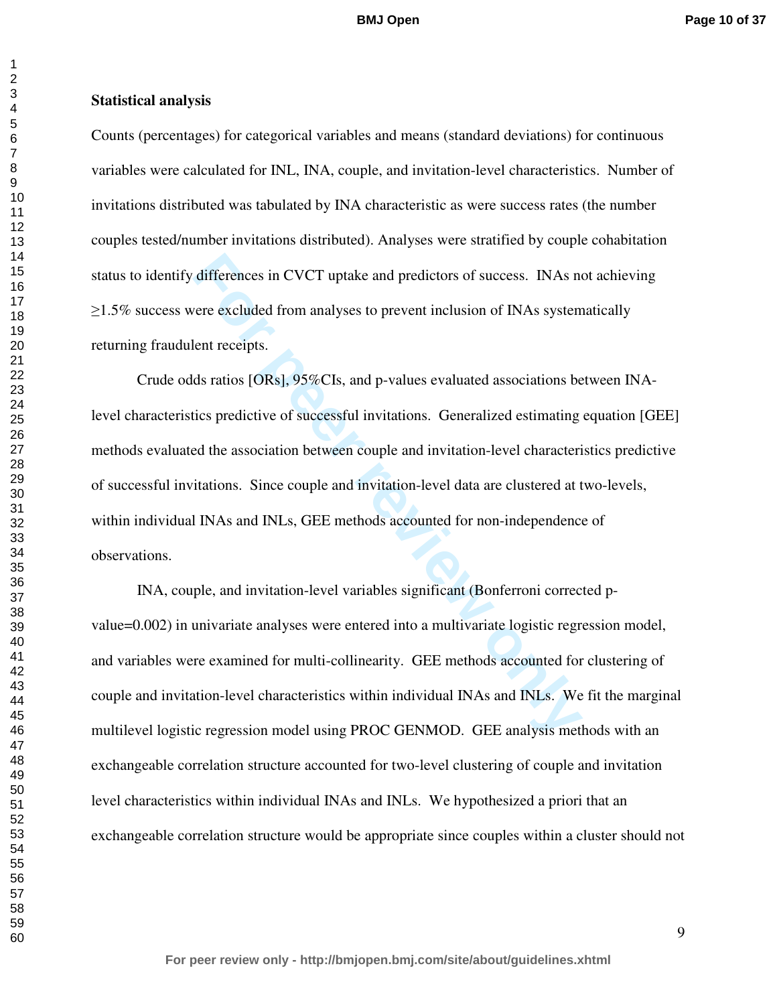Counts (percentages) for categorical variables and means (standard deviations) for continuous variables were calculated for INL, INA, couple, and invitation-level characteristics. Number of invitations distributed was tabulated by INA characteristic as were success rates (the number couples tested/number invitations distributed). Analyses were stratified by couple cohabitation status to identify differences in CVCT uptake and predictors of success. INAs not achieving  $\geq$ 1.5% success were excluded from analyses to prevent inclusion of INAs systematically returning fraudulent receipts.

differences in CVCT uptake and predictors of success. INAs now<br>the excluded from analyses to prevent inclusion of INAs system<br>lent receipts.<br>ds ratios [ORs], 95%CIs, and p-values evaluated associations be<br>tics predictive o Crude odds ratios [ORs], 95%CIs, and p-values evaluated associations between INAlevel characteristics predictive of successful invitations. Generalized estimating equation [GEE] methods evaluated the association between couple and invitation-level characteristics predictive of successful invitations. Since couple and invitation-level data are clustered at two-levels, within individual INAs and INLs, GEE methods accounted for non-independence of observations.

INA, couple, and invitation-level variables significant (Bonferroni corrected pvalue=0.002) in univariate analyses were entered into a multivariate logistic regression model, and variables were examined for multi-collinearity. GEE methods accounted for clustering of couple and invitation-level characteristics within individual INAs and INLs. We fit the marginal multilevel logistic regression model using PROC GENMOD. GEE analysis methods with an exchangeable correlation structure accounted for two-level clustering of couple and invitation level characteristics within individual INAs and INLs. We hypothesized a priori that an exchangeable correlation structure would be appropriate since couples within a cluster should not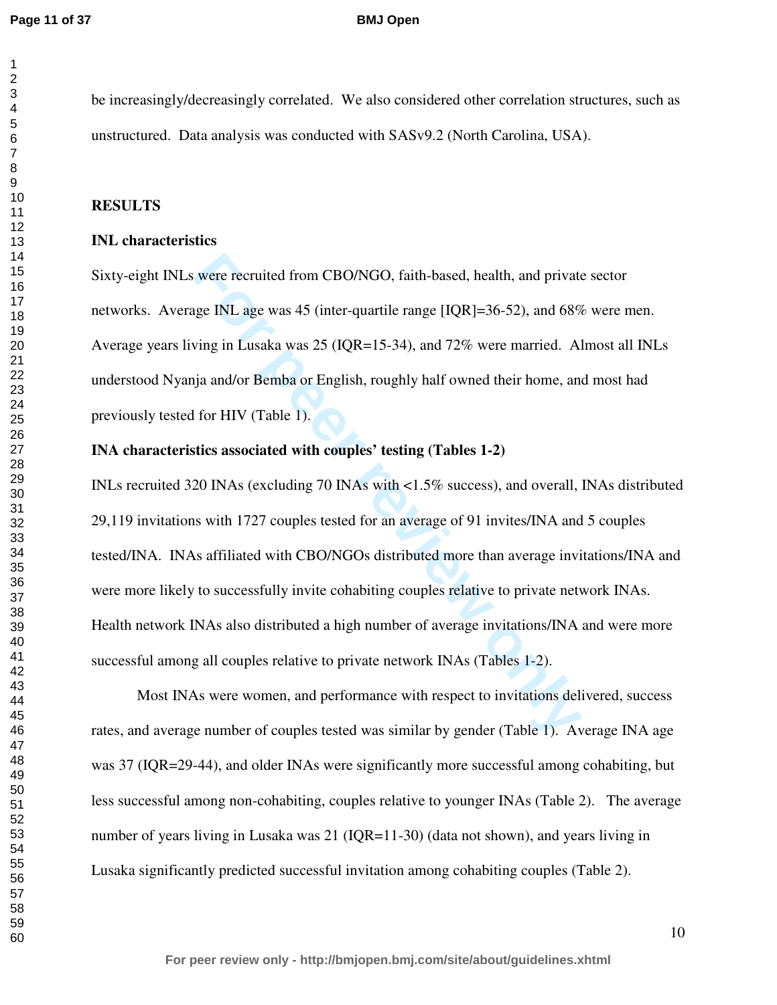#### **BMJ Open**

be increasingly/decreasingly correlated. We also considered other correlation structures, such as unstructured. Data analysis was conducted with SASv9.2 (North Carolina, USA).

#### **RESULTS**

#### **INL characteristics**

Sixty-eight INLs were recruited from CBO/NGO, faith-based, health, and private sector networks. Average INL age was 45 (inter-quartile range [IQR]=36-52), and 68% were men. Average years living in Lusaka was 25 (IQR=15-34), and 72% were married. Almost all INLs understood Nyanja and/or Bemba or English, roughly half owned their home, and most had previously tested for HIV (Table 1).

#### **INA characteristics associated with couples' testing (Tables 1-2)**

were recruited from CBO/NGO, faith-based, health, and private uge INL age was 45 (inter-quartile range [IQR]=36-52), and 68% wing in Lusaka was 25 (IQR=15-34), and 72% were married. Altija and/or Bemba or English, roughly INLs recruited 320 INAs (excluding 70 INAs with <1.5% success), and overall, INAs distributed 29,119 invitations with 1727 couples tested for an average of 91 invites/INA and 5 couples tested/INA. INAs affiliated with CBO/NGOs distributed more than average invitations/INA and were more likely to successfully invite cohabiting couples relative to private network INAs. Health network INAs also distributed a high number of average invitations/INA and were more successful among all couples relative to private network INAs (Tables 1-2).

Most INAs were women, and performance with respect to invitations delivered, success rates, and average number of couples tested was similar by gender (Table 1). Average INA age was 37 (IQR=29-44), and older INAs were significantly more successful among cohabiting, but less successful among non-cohabiting, couples relative to younger INAs (Table 2). The average number of years living in Lusaka was 21 (IQR=11-30) (data not shown), and years living in Lusaka significantly predicted successful invitation among cohabiting couples (Table 2).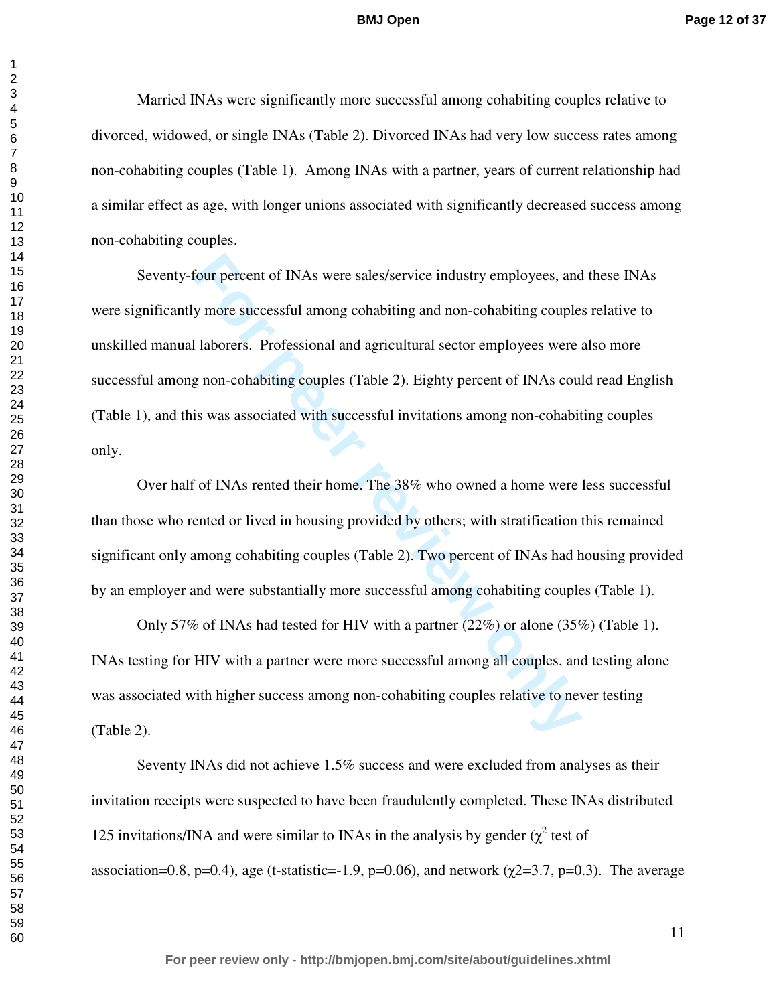#### **BMJ Open**

Married INAs were significantly more successful among cohabiting couples relative to divorced, widowed, or single INAs (Table 2). Divorced INAs had very low success rates among non-cohabiting couples (Table 1). Among INAs with a partner, years of current relationship had a similar effect as age, with longer unions associated with significantly decreased success among non-cohabiting couples.

four percent of INAs were sales/service industry employees, and<br>y more successful among cohabiting and non-cohabiting couple:<br>I laborers. Professional and agricultural sector employees were :<br>g non-cohabiting couples (Tabl Seventy-four percent of INAs were sales/service industry employees, and these INAs were significantly more successful among cohabiting and non-cohabiting couples relative to unskilled manual laborers. Professional and agricultural sector employees were also more successful among non-cohabiting couples (Table 2). Eighty percent of INAs could read English (Table 1), and this was associated with successful invitations among non-cohabiting couples only.

Over half of INAs rented their home. The 38% who owned a home were less successful than those who rented or lived in housing provided by others; with stratification this remained significant only among cohabiting couples (Table 2). Two percent of INAs had housing provided by an employer and were substantially more successful among cohabiting couples (Table 1).

Only 57% of INAs had tested for HIV with a partner  $(22%)$  or alone  $(35%)$  (Table 1). INAs testing for HIV with a partner were more successful among all couples, and testing alone was associated with higher success among non-cohabiting couples relative to never testing (Table 2).

Seventy INAs did not achieve 1.5% success and were excluded from analyses as their invitation receipts were suspected to have been fraudulently completed. These INAs distributed 125 invitations/INA and were similar to INAs in the analysis by gender  $(\chi^2$  test of association=0.8, p=0.4), age (t-statistic=-1.9, p=0.06), and network ( $\chi$ 2=3.7, p=0.3). The average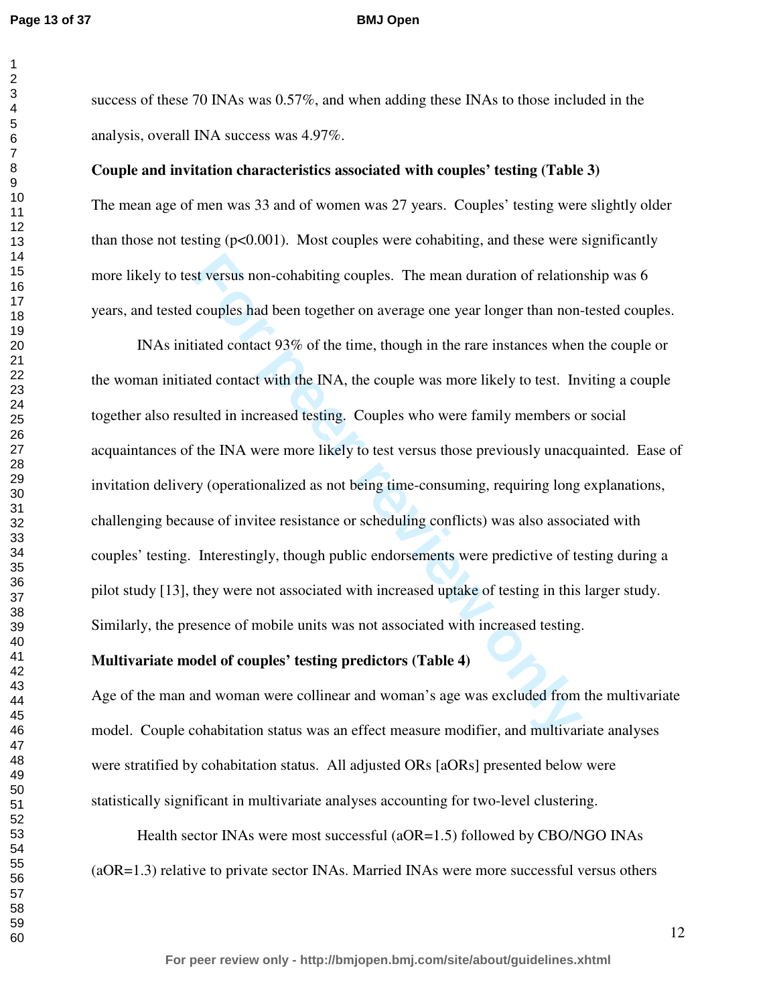#### **BMJ Open**

success of these 70 INAs was 0.57%, and when adding these INAs to those included in the analysis, overall INA success was 4.97%.

#### **Couple and invitation characteristics associated with couples' testing (Table 3)**

The mean age of men was 33 and of women was 27 years. Couples' testing were slightly older than those not testing  $(p<0.001)$ . Most couples were cohabiting, and these were significantly more likely to test versus non-cohabiting couples. The mean duration of relationship was 6 years, and tested couples had been together on average one year longer than non-tested couples.

st versus non-cohabiting couples. The mean duration of relation<br>couples had been together on average one year longer than non-<br>iated contact 93% of the time, though in the rare instances when<br>ted contact with the INA, the INAs initiated contact 93% of the time, though in the rare instances when the couple or the woman initiated contact with the INA, the couple was more likely to test. Inviting a couple together also resulted in increased testing. Couples who were family members or social acquaintances of the INA were more likely to test versus those previously unacquainted. Ease of invitation delivery (operationalized as not being time-consuming, requiring long explanations, challenging because of invitee resistance or scheduling conflicts) was also associated with couples' testing. Interestingly, though public endorsements were predictive of testing during a pilot study [13], they were not associated with increased uptake of testing in this larger study. Similarly, the presence of mobile units was not associated with increased testing.

#### **Multivariate model of couples' testing predictors (Table 4)**

Age of the man and woman were collinear and woman's age was excluded from the multivariate model. Couple cohabitation status was an effect measure modifier, and multivariate analyses were stratified by cohabitation status. All adjusted ORs [aORs] presented below were statistically significant in multivariate analyses accounting for two-level clustering.

Health sector INAs were most successful (aOR=1.5) followed by CBO/NGO INAs (aOR=1.3) relative to private sector INAs. Married INAs were more successful versus others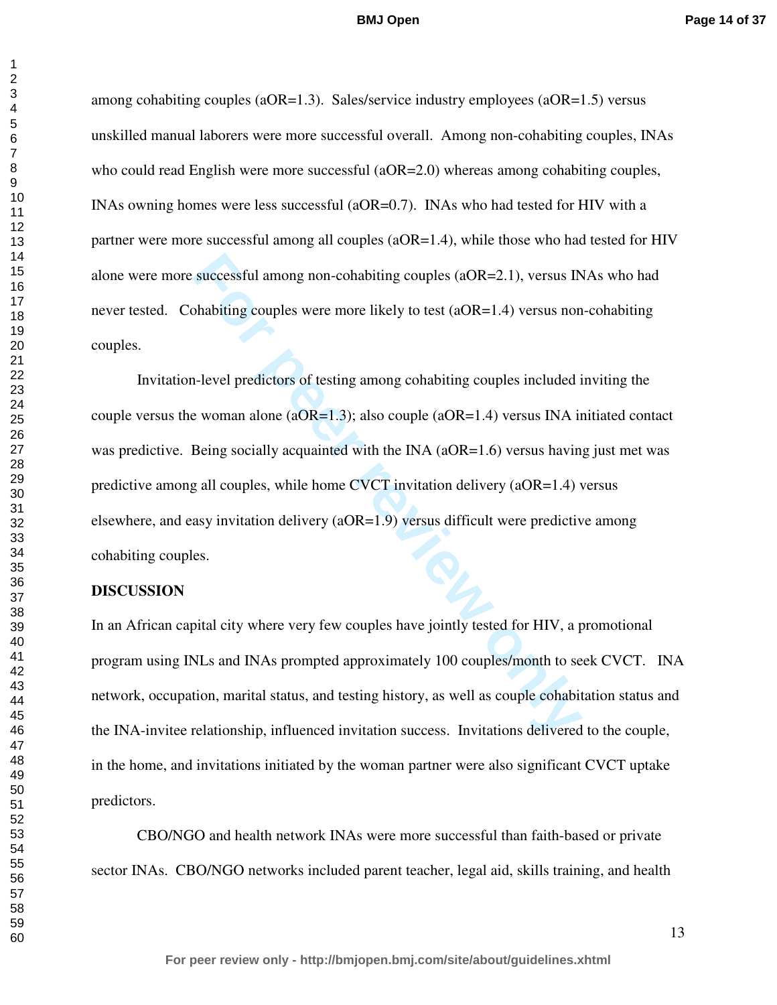#### **BMJ Open**

among cohabiting couples (aOR=1.3). Sales/service industry employees (aOR=1.5) versus unskilled manual laborers were more successful overall. Among non-cohabiting couples, INAs who could read English were more successful (aOR=2.0) whereas among cohabiting couples, INAs owning homes were less successful (aOR=0.7). INAs who had tested for HIV with a partner were more successful among all couples (aOR=1.4), while those who had tested for HIV alone were more successful among non-cohabiting couples (aOR=2.1), versus INAs who had never tested. Cohabiting couples were more likely to test ( $aOR=1.4$ ) versus non-cohabiting couples.

successful among non-cohabiting couples (aOR=2.1), versus IN<br>
bhabiting couples were more likely to test (aOR=1.4) versus non<br>
n-level predictors of testing among cohabiting couples included i<br>
e woman alone (aOR=1.3); als Invitation-level predictors of testing among cohabiting couples included inviting the couple versus the woman alone ( $aOR=1.3$ ); also couple ( $aOR=1.4$ ) versus INA initiated contact was predictive. Being socially acquainted with the INA (aOR=1.6) versus having just met was predictive among all couples, while home CVCT invitation delivery (aOR=1.4) versus elsewhere, and easy invitation delivery (aOR=1.9) versus difficult were predictive among cohabiting couples.

#### **DISCUSSION**

In an African capital city where very few couples have jointly tested for HIV, a promotional program using INLs and INAs prompted approximately 100 couples/month to seek CVCT.INA network, occupation, marital status, and testing history, as well as couple cohabitation status and the INA-invitee relationship, influenced invitation success. Invitations delivered to the couple, in the home, and invitations initiated by the woman partner were also significant CVCT uptake predictors.

CBO/NGO and health network INAs were more successful than faith-based or private sector INAs. CBO/NGO networks included parent teacher, legal aid, skills training, and health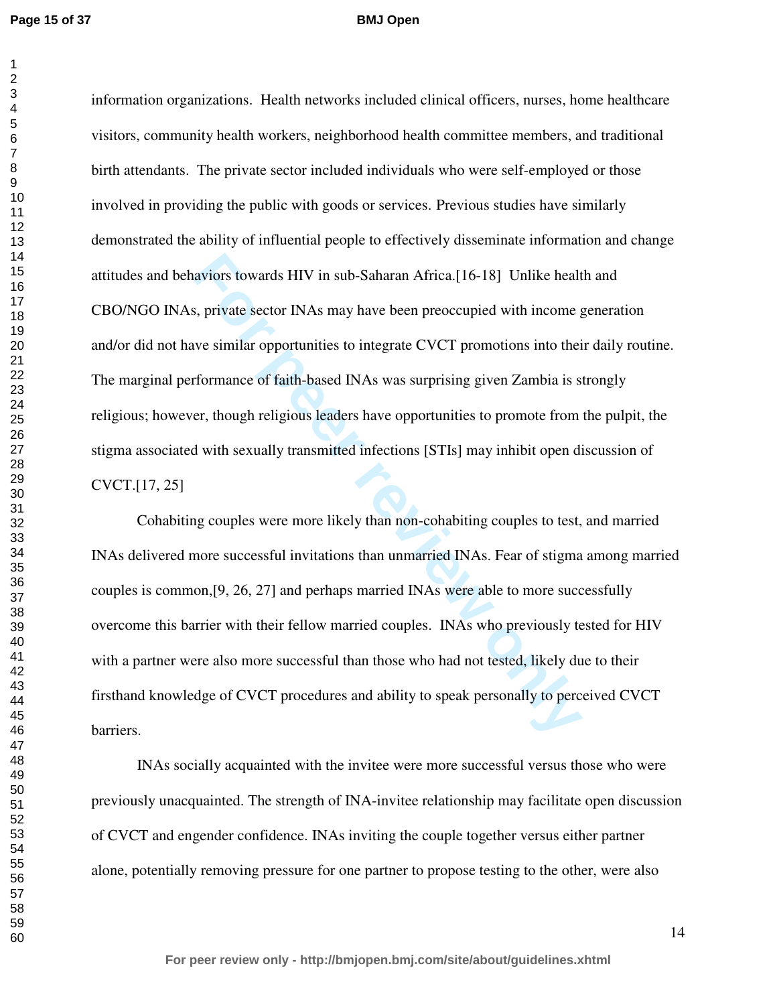#### **BMJ Open**

aviors towards HIV in sub-Saharan Africa.[16-18] Unlike healt<br>
5, private sector INAs may have been preoccupied with income g<br>
we similar opportunities to integrate CVCT promotions into their<br>
formance of faith-based INAs information organizations. Health networks included clinical officers, nurses, home healthcare visitors, community health workers, neighborhood health committee members, and traditional birth attendants. The private sector included individuals who were self-employed or those involved in providing the public with goods or services. Previous studies have similarly demonstrated the ability of influential people to effectively disseminate information and change attitudes and behaviors towards HIV in sub-Saharan Africa.[16-18] Unlike health and CBO/NGO INAs, private sector INAs may have been preoccupied with income generation and/or did not have similar opportunities to integrate CVCT promotions into their daily routine. The marginal performance of faith-based INAs was surprising given Zambia is strongly religious; however, though religious leaders have opportunities to promote from the pulpit, the stigma associated with sexually transmitted infections [STIs] may inhibit open discussion of CVCT.[17, 25]

Cohabiting couples were more likely than non-cohabiting couples to test, and married INAs delivered more successful invitations than unmarried INAs. Fear of stigma among married couples is common,[9, 26, 27] and perhaps married INAs were able to more successfully overcome this barrier with their fellow married couples. INAs who previously tested for HIV with a partner were also more successful than those who had not tested, likely due to their firsthand knowledge of CVCT procedures and ability to speak personally to perceived CVCT barriers.

INAs socially acquainted with the invitee were more successful versus those who were previously unacquainted. The strength of INA-invitee relationship may facilitate open discussion of CVCT and engender confidence. INAs inviting the couple together versus either partner alone, potentially removing pressure for one partner to propose testing to the other, were also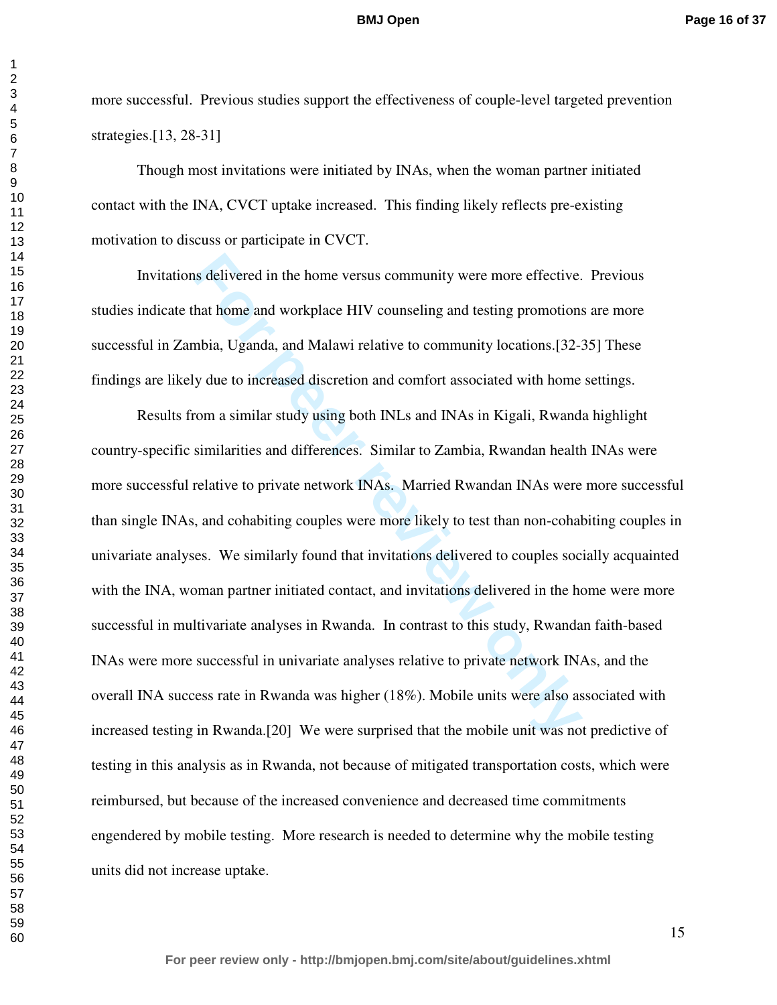more successful. Previous studies support the effectiveness of couple-level targeted prevention strategies.[13, 28-31]

Though most invitations were initiated by INAs, when the woman partner initiated contact with the INA, CVCT uptake increased. This finding likely reflects pre-existing motivation to discuss or participate in CVCT.

Invitations delivered in the home versus community were more effective. Previous studies indicate that home and workplace HIV counseling and testing promotions are more successful in Zambia, Uganda, and Malawi relative to community locations.[32-35] These findings are likely due to increased discretion and comfort associated with home settings.

In the home versus community were more effective.<br>
And home and workplace HIV counseling and testing promotions<br>
Inbia, Uganda, and Malawi relative to community locations.<br>
[32-1]<br>
Iy due to increased discretion and comfor Results from a similar study using both INLs and INAs in Kigali, Rwanda highlight country-specific similarities and differences. Similar to Zambia, Rwandan health INAs were more successful relative to private network INAs. Married Rwandan INAs were more successful than single INAs, and cohabiting couples were more likely to test than non-cohabiting couples in univariate analyses. We similarly found that invitations delivered to couples socially acquainted with the INA, woman partner initiated contact, and invitations delivered in the home were more successful in multivariate analyses in Rwanda. In contrast to this study, Rwandan faith-based INAs were more successful in univariate analyses relative to private network INAs, and the overall INA success rate in Rwanda was higher (18%). Mobile units were also associated with increased testing in Rwanda.[20] We were surprised that the mobile unit was not predictive of testing in this analysis as in Rwanda, not because of mitigated transportation costs, which were reimbursed, but because of the increased convenience and decreased time commitments engendered by mobile testing. More research is needed to determine why the mobile testing units did not increase uptake.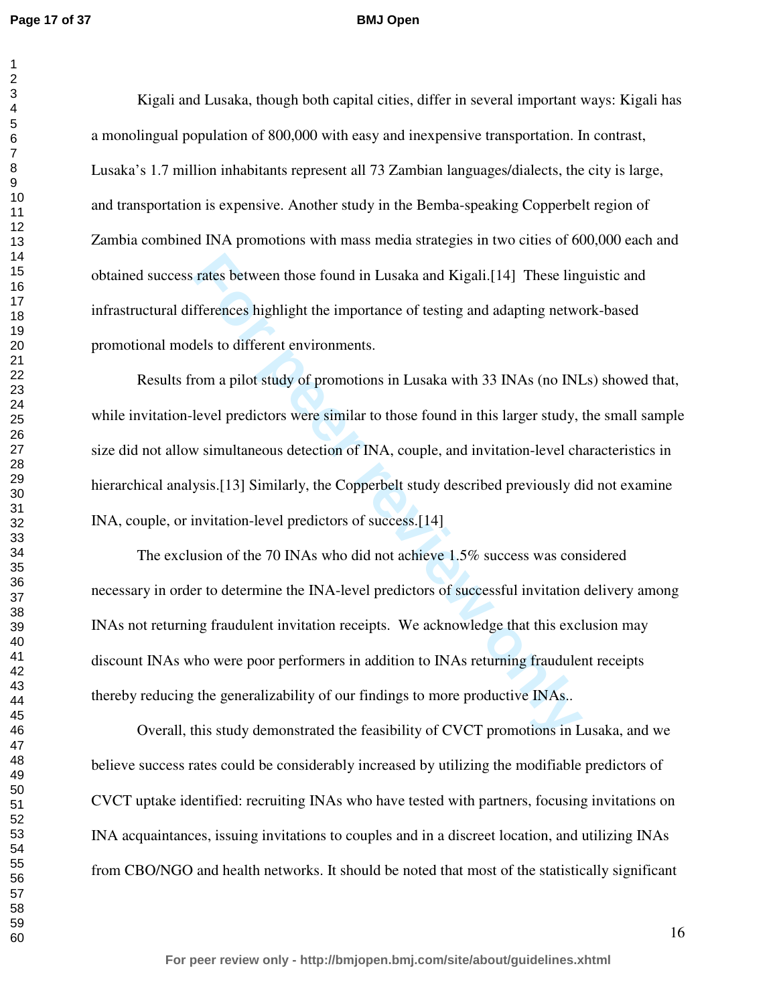#### **BMJ Open**

Kigali and Lusaka, though both capital cities, differ in several important ways: Kigali has a monolingual population of 800,000 with easy and inexpensive transportation. In contrast, Lusaka's 1.7 million inhabitants represent all 73 Zambian languages/dialects, the city is large, and transportation is expensive. Another study in the Bemba-speaking Copperbelt region of Zambia combined INA promotions with mass media strategies in two cities of 600,000 each and obtained success rates between those found in Lusaka and Kigali.[14] These linguistic and infrastructural differences highlight the importance of testing and adapting network-based promotional models to different environments.

rates between those found in Lusaka and Kigali.[14] These ling<br>fferences highlight the importance of testing and adapting netwo<br>dels to different environments.<br>Form a pilot study of promotions in Lusaka with 33 INAs (no IN Results from a pilot study of promotions in Lusaka with 33 INAs (no INLs) showed that, while invitation-level predictors were similar to those found in this larger study, the small sample size did not allow simultaneous detection of INA, couple, and invitation-level characteristics in hierarchical analysis.[13] Similarly, the Copperbelt study described previously did not examine INA, couple, or invitation-level predictors of success.[14]

The exclusion of the 70 INAs who did not achieve 1.5% success was considered necessary in order to determine the INA-level predictors of successful invitation delivery among INAs not returning fraudulent invitation receipts. We acknowledge that this exclusion may discount INAs who were poor performers in addition to INAs returning fraudulent receipts thereby reducing the generalizability of our findings to more productive INAs..

Overall, this study demonstrated the feasibility of CVCT promotions in Lusaka, and we believe success rates could be considerably increased by utilizing the modifiable predictors of CVCT uptake identified: recruiting INAs who have tested with partners, focusing invitations on INA acquaintances, issuing invitations to couples and in a discreet location, and utilizing INAs from CBO/NGO and health networks. It should be noted that most of the statistically significant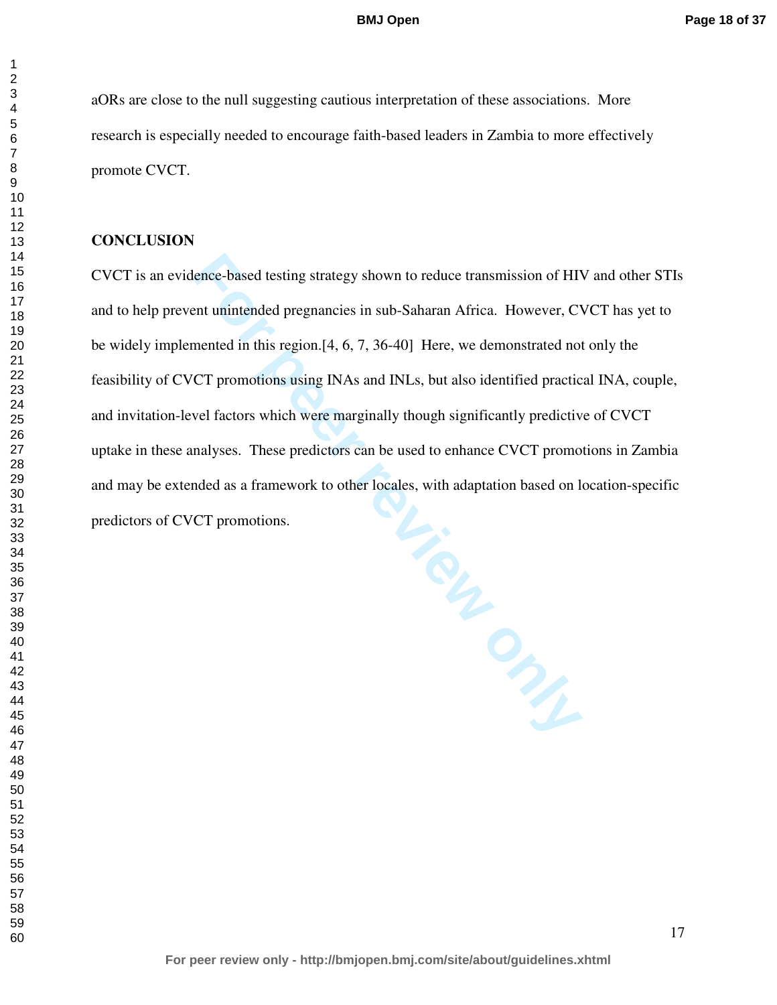aORs are close to the null suggesting cautious interpretation of these associations. More research is especially needed to encourage faith-based leaders in Zambia to more effectively promote CVCT.

#### **CONCLUSION**

From Put Put Put Put CVCT is an evidence-based testing strategy shown to reduce transmission of HIV and other STIs and to help prevent unintended pregnancies in sub-Saharan Africa. However, CVCT has yet to be widely implemented in this region.[4, 6, 7, 36-40] Here, we demonstrated not only the feasibility of CVCT promotions using INAs and INLs, but also identified practical INA, couple, and invitation-level factors which were marginally though significantly predictive of CVCT uptake in these analyses. These predictors can be used to enhance CVCT promotions in Zambia and may be extended as a framework to other locales, with adaptation based on location-specific predictors of CVCT promotions.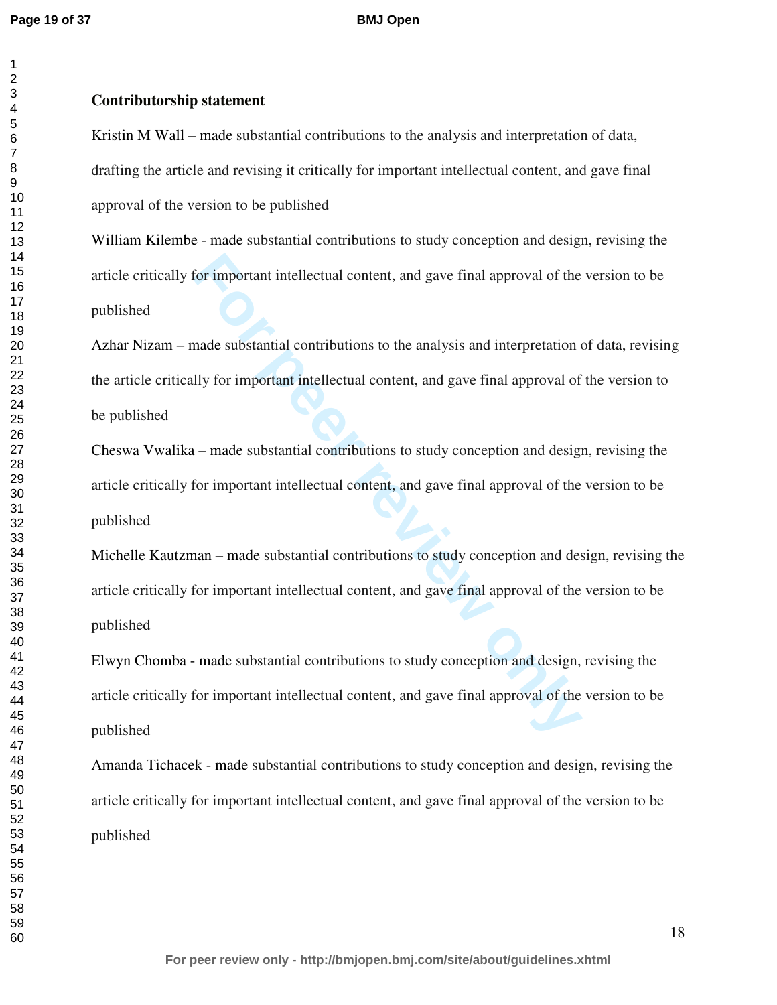#### **BMJ Open**

#### **Contributorship statement**

Kristin M Wall – made substantial contributions to the analysis and interpretation of data, drafting the article and revising it critically for important intellectual content, and gave final approval of the version to be published

William Kilembe - made substantial contributions to study conception and design, revising the article critically for important intellectual content, and gave final approval of the version to be published

Azhar Nizam – made substantial contributions to the analysis and interpretation of data, revising the article critically for important intellectual content, and gave final approval of the version to be published

for important intellectual content, and gave final approval of the<br>nade substantial contributions to the analysis and interpretation of<br>lly for important intellectual content, and gave final approval of<br>n-made substantial Cheswa Vwalika – made substantial contributions to study conception and design, revising the article critically for important intellectual content, and gave final approval of the version to be published

Michelle Kautzman – made substantial contributions to study conception and design, revising the article critically for important intellectual content, and gave final approval of the version to be published

Elwyn Chomba - made substantial contributions to study conception and design, revising the article critically for important intellectual content, and gave final approval of the version to be published

Amanda Tichacek - made substantial contributions to study conception and design, revising the article critically for important intellectual content, and gave final approval of the version to be published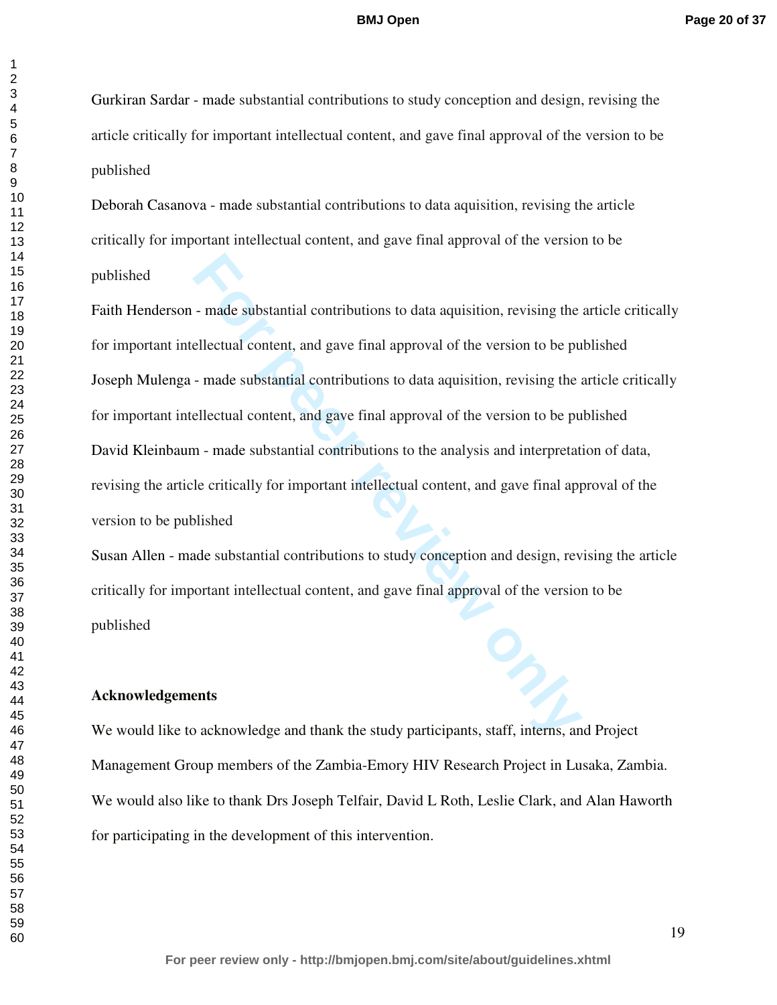#### **BMJ Open**

Gurkiran Sardar - made substantial contributions to study conception and design, revising the article critically for important intellectual content, and gave final approval of the version to be published

Deborah Casanova - made substantial contributions to data aquisition, revising the article critically for important intellectual content, and gave final approval of the version to be published

- made substantial contributions to data aquisition, revising the ellectual content, and gave final approval of the version to be pu - made substantial contributions to data aquisition, revising the rellectual content, and Faith Henderson - made substantial contributions to data aquisition, revising the article critically for important intellectual content, and gave final approval of the version to be published Joseph Mulenga - made substantial contributions to data aquisition, revising the article critically for important intellectual content, and gave final approval of the version to be published David Kleinbaum - made substantial contributions to the analysis and interpretation of data, revising the article critically for important intellectual content, and gave final approval of the version to be published

Susan Allen - made substantial contributions to study conception and design, revising the article critically for important intellectual content, and gave final approval of the version to be published

#### **Acknowledgements**

We would like to acknowledge and thank the study participants, staff, interns, and Project Management Group members of the Zambia-Emory HIV Research Project in Lusaka, Zambia. We would also like to thank Drs Joseph Telfair, David L Roth, Leslie Clark, and Alan Haworth for participating in the development of this intervention.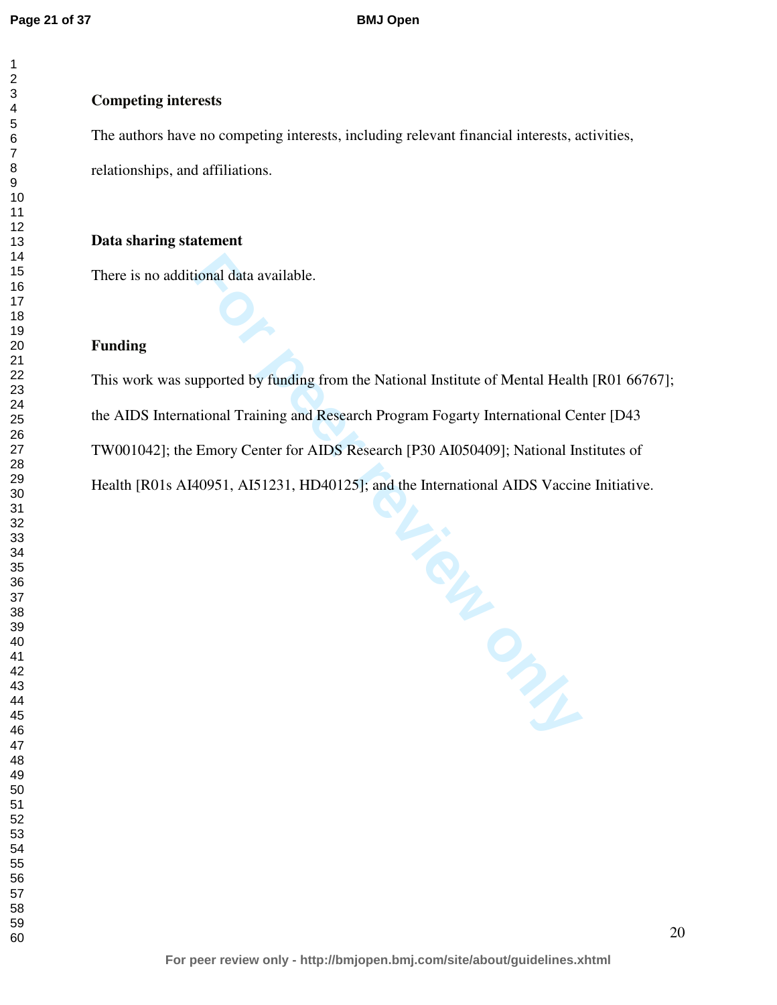#### **Competing interests**

The authors have no competing interests, including relevant financial interests, activities, relationships, and affiliations.

#### **Data sharing statement**

There is no additional data available.

# **Funding**

5]; and *Clays Clays* This work was supported by funding from the National Institute of Mental Health [R01 66767]; the AIDS International Training and Research Program Fogarty International Center [D43 TW001042]; the Emory Center for AIDS Research [P30 AI050409]; National Institutes of Health [R01s AI40951, AI51231, HD40125]; and the International AIDS Vaccine Initiative.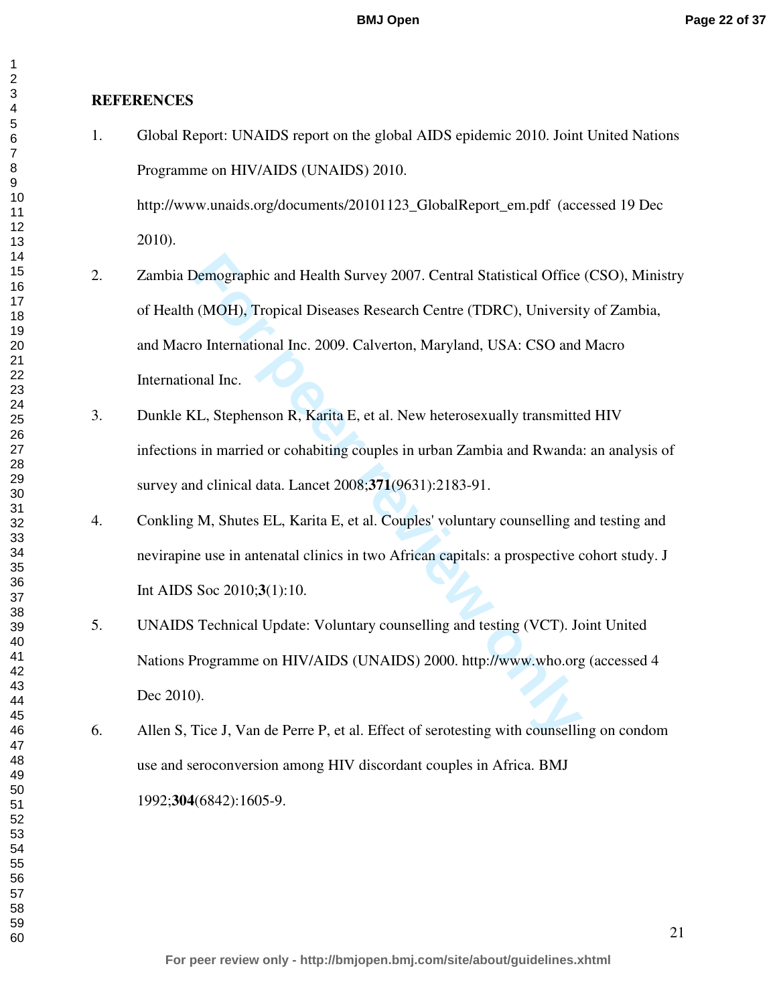# **REFERENCES**

- 1. Global Report: UNAIDS report on the global AIDS epidemic 2010. Joint United Nations Programme on HIV/AIDS (UNAIDS) 2010. http://www.unaids.org/documents/20101123\_GlobalReport\_em.pdf (accessed 19 Dec 2010).
- Demographic and Health Survey 2007. Central Statistical Office (MOH), Tropical Diseases Research Centre (TDRC), University<br>To International Inc. 2009. Calverton, Maryland, USA: CSO and<br>nal Inc.<br>IL, Stephenson R, Karita E, 2. Zambia Demographic and Health Survey 2007. Central Statistical Office (CSO), Ministry of Health (MOH), Tropical Diseases Research Centre (TDRC), University of Zambia, and Macro International Inc. 2009. Calverton, Maryland, USA: CSO and Macro International Inc.
- 3. Dunkle KL, Stephenson R, Karita E, et al. New heterosexually transmitted HIV infections in married or cohabiting couples in urban Zambia and Rwanda: an analysis of survey and clinical data. Lancet 2008;**371**(9631):2183-91.
- 4. Conkling M, Shutes EL, Karita E, et al. Couples' voluntary counselling and testing and nevirapine use in antenatal clinics in two African capitals: a prospective cohort study. J Int AIDS Soc 2010;**3**(1):10.
- 5. UNAIDS Technical Update: Voluntary counselling and testing (VCT). Joint United Nations Programme on HIV/AIDS (UNAIDS) 2000. http://www.who.org (accessed 4 Dec 2010).
- 6. Allen S, Tice J, Van de Perre P, et al. Effect of serotesting with counselling on condom use and seroconversion among HIV discordant couples in Africa. BMJ 1992;**304**(6842):1605-9.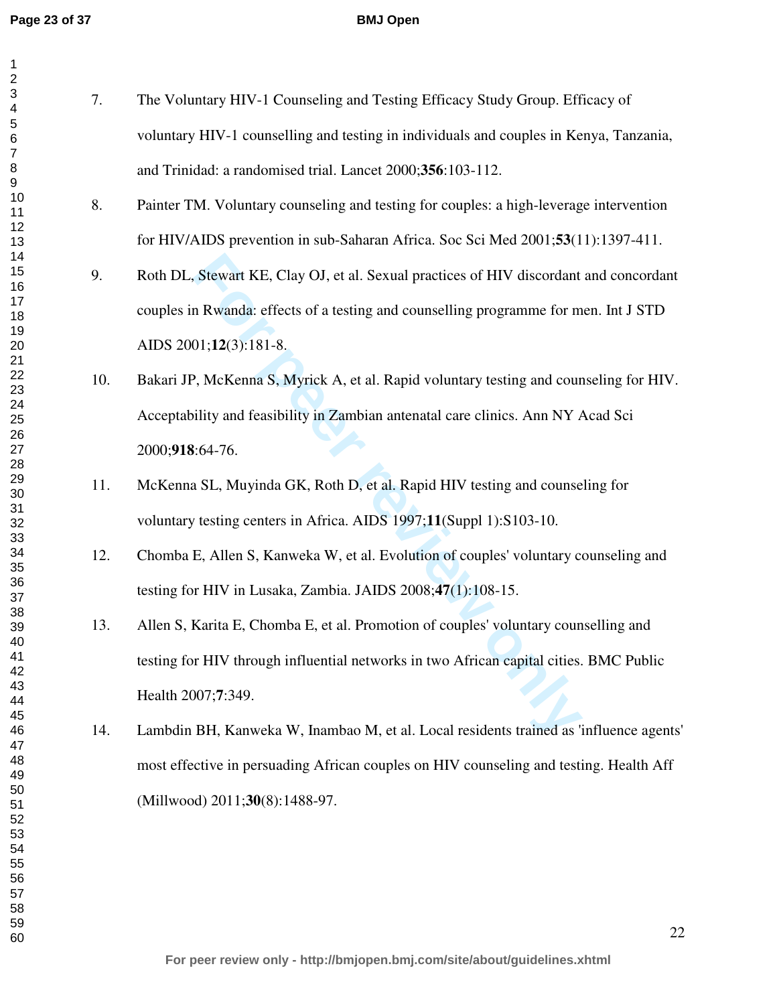#### **BMJ Open**

| 7.  | The Voluntary HIV-1 Counseling and Testing Efficacy Study Group. Efficacy of           |
|-----|----------------------------------------------------------------------------------------|
|     | voluntary HIV-1 counselling and testing in individuals and couples in Kenya, Tanzania, |
|     | and Trinidad: a randomised trial. Lancet 2000;356:103-112.                             |
| 8.  | Painter TM. Voluntary counseling and testing for couples: a high-leverage intervention |
|     | for HIV/AIDS prevention in sub-Saharan Africa. Soc Sci Med 2001;53(11):1397-411.       |
| 9.  | Roth DL, Stewart KE, Clay OJ, et al. Sexual practices of HIV discordant and concordant |
|     | couples in Rwanda: effects of a testing and counselling programme for men. Int J STD   |
|     | AIDS 2001;12(3):181-8.                                                                 |
| 10. | Bakari JP, McKenna S, Myrick A, et al. Rapid voluntary testing and counseling for HIV. |
|     | Acceptability and feasibility in Zambian antenatal care clinics. Ann NY Acad Sci       |
|     | 2000;918:64-76.                                                                        |
| 11. | McKenna SL, Muyinda GK, Roth D, et al. Rapid HIV testing and counseling for            |
|     | voluntary testing centers in Africa. AIDS 1997;11(Suppl 1):S103-10.                    |
| 12. | Chomba E, Allen S, Kanweka W, et al. Evolution of couples' voluntary counseling and    |
|     | testing for HIV in Lusaka, Zambia. JAIDS 2008;47(1):108-15.                            |
| 13. | Allen S, Karita E, Chomba E, et al. Promotion of couples' voluntary counselling and    |
|     | testing for HIV through influential networks in two African capital cities. BMC Public |
|     | Health 2007;7:349.                                                                     |
| 14. | Lambdin BH, Kanweka W, Inambao M, et al. Local residents trained as 'influence agents' |
|     | most effective in persuading African couples on HIV counseling and testing. Health Aff |
|     | (Millwood) 2011;30(8):1488-97.                                                         |
|     |                                                                                        |
|     |                                                                                        |
|     |                                                                                        |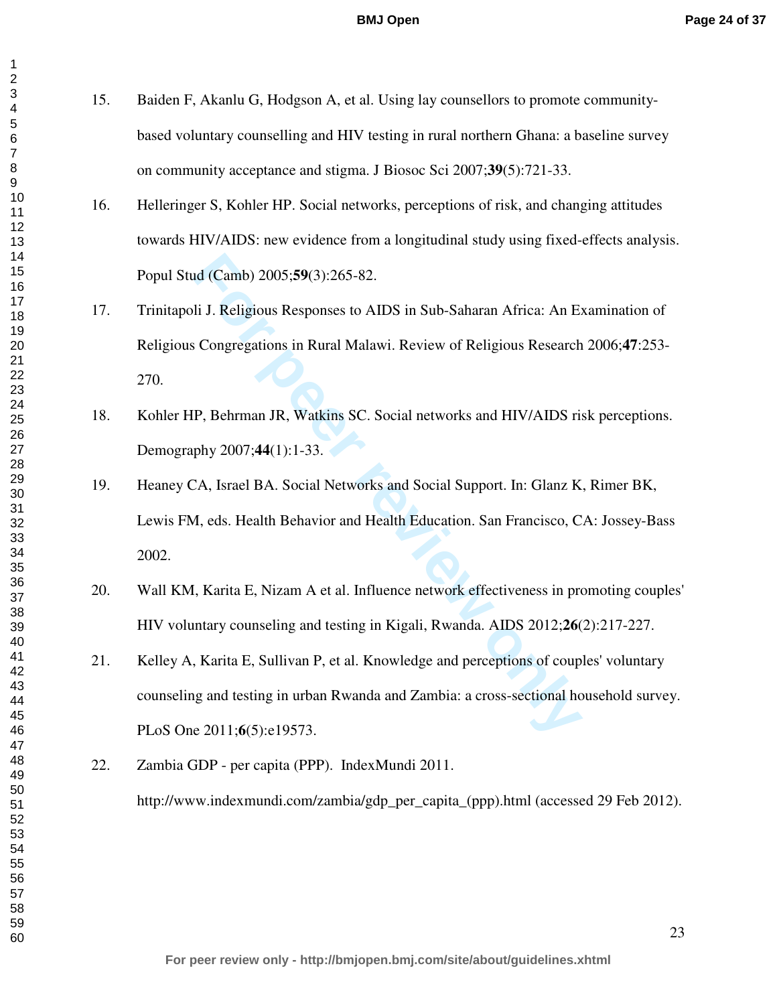- 15. Baiden F, Akanlu G, Hodgson A, et al. Using lay counsellors to promote communitybased voluntary counselling and HIV testing in rural northern Ghana: a baseline survey on community acceptance and stigma. J Biosoc Sci 2007;**39**(5):721-33.
- 16. Helleringer S, Kohler HP. Social networks, perceptions of risk, and changing attitudes towards HIV/AIDS: new evidence from a longitudinal study using fixed-effects analysis. Popul Stud (Camb) 2005;**59**(3):265-82.
- Id (Camb) 2005;**59**(3):265-82.<br>
Id J. Religious Responses to AIDS in Sub-Saharan Africa: An E:<br>
For Peergeations in Rural Malawi. Review of Religious Research<br>
P. Behrman JR, Watkins SC. Social networks and HIV/AIDS risp<br> 17. Trinitapoli J. Religious Responses to AIDS in Sub-Saharan Africa: An Examination of Religious Congregations in Rural Malawi. Review of Religious Research 2006;**47**:253- 270.
- 18. Kohler HP, Behrman JR, Watkins SC. Social networks and HIV/AIDS risk perceptions. Demography 2007;**44**(1):1-33.
- 19. Heaney CA, Israel BA. Social Networks and Social Support. In: Glanz K, Rimer BK, Lewis FM, eds. Health Behavior and Health Education. San Francisco, CA: Jossey-Bass 2002.
- 20. Wall KM, Karita E, Nizam A et al. Influence network effectiveness in promoting couples' HIV voluntary counseling and testing in Kigali, Rwanda. AIDS 2012;**26**(2):217-227.
- 21. Kelley A, Karita E, Sullivan P, et al. Knowledge and perceptions of couples' voluntary counseling and testing in urban Rwanda and Zambia: a cross-sectional household survey. PLoS One 2011;**6**(5):e19573.
- 22. Zambia GDP per capita (PPP). IndexMundi 2011.

http://www.indexmundi.com/zambia/gdp\_per\_capita\_(ppp).html (accessed 29 Feb 2012).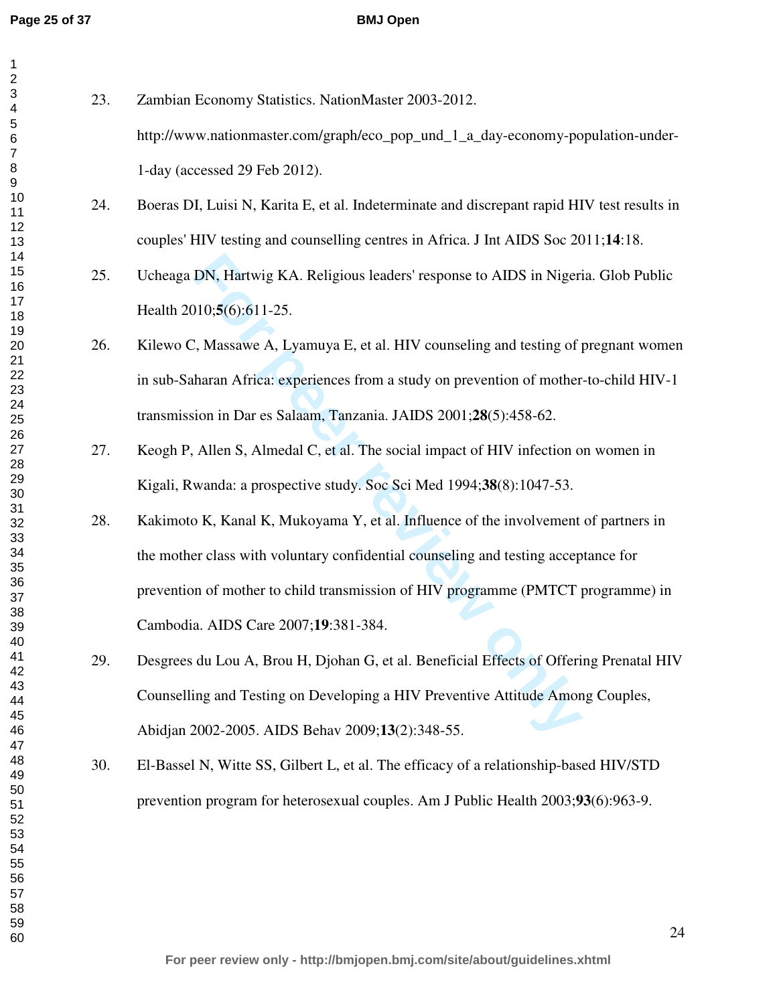#### **BMJ Open**

| 2                                       |     |                                                                                             |
|-----------------------------------------|-----|---------------------------------------------------------------------------------------------|
| 3<br>4                                  | 23. | Zambian Economy Statistics. NationMaster 2003-2012.                                         |
| 5<br>$\,6$                              |     | http://www.nationmaster.com/graph/eco_pop_und_1_a_day-economy-population-under-             |
| $\overline{7}$<br>8<br>$\boldsymbol{9}$ |     | 1-day (accessed 29 Feb 2012).                                                               |
| 10<br>11                                | 24. | Boeras DI, Luisi N, Karita E, et al. Indeterminate and discrepant rapid HIV test results in |
| 12<br>13                                |     | couples' HIV testing and counselling centres in Africa. J Int AIDS Soc 2011;14:18.          |
| 14<br>15<br>16                          | 25. | Ucheaga DN, Hartwig KA. Religious leaders' response to AIDS in Nigeria. Glob Public         |
| 17<br>18                                |     | Health 2010;5(6):611-25.                                                                    |
| 19<br>20                                | 26. | Kilewo C, Massawe A, Lyamuya E, et al. HIV counseling and testing of pregnant women         |
| 21<br>22<br>23                          |     | in sub-Saharan Africa: experiences from a study on prevention of mother-to-child HIV-1      |
| 24<br>25                                |     | transmission in Dar es Salaam, Tanzania. JAIDS 2001;28(5):458-62.                           |
| 26<br>27<br>28                          | 27. | Keogh P, Allen S, Almedal C, et al. The social impact of HIV infection on women in          |
| 29<br>30                                |     | Kigali, Rwanda: a prospective study. Soc Sci Med 1994;38(8):1047-53.                        |
| 31<br>32                                | 28. | Kakimoto K, Kanal K, Mukoyama Y, et al. Influence of the involvement of partners in         |
| 33<br>34<br>35                          |     | the mother class with voluntary confidential counseling and testing acceptance for          |
| 36<br>37                                |     | prevention of mother to child transmission of HIV programme (PMTCT programme) in            |
| 38<br>39                                |     | Cambodia. AIDS Care 2007;19:381-384.                                                        |
| 40<br>41<br>42                          | 29. | Desgrees du Lou A, Brou H, Djohan G, et al. Beneficial Effects of Offering Prenatal HIV     |
| 43<br>44                                |     | Counselling and Testing on Developing a HIV Preventive Attitude Among Couples,              |
| 45<br>46<br>47                          |     | Abidjan 2002-2005. AIDS Behav 2009;13(2):348-55.                                            |
| 48<br>49                                | 30. | El-Bassel N, Witte SS, Gilbert L, et al. The efficacy of a relationship-based HIV/STD       |
| 50<br>51                                |     | prevention program for heterosexual couples. Am J Public Health 2003;93(6):963-9.           |
| 52<br>53<br>54                          |     |                                                                                             |
| 55<br>56                                |     |                                                                                             |
| 57<br>58                                |     |                                                                                             |
| 59<br>60                                |     | 24                                                                                          |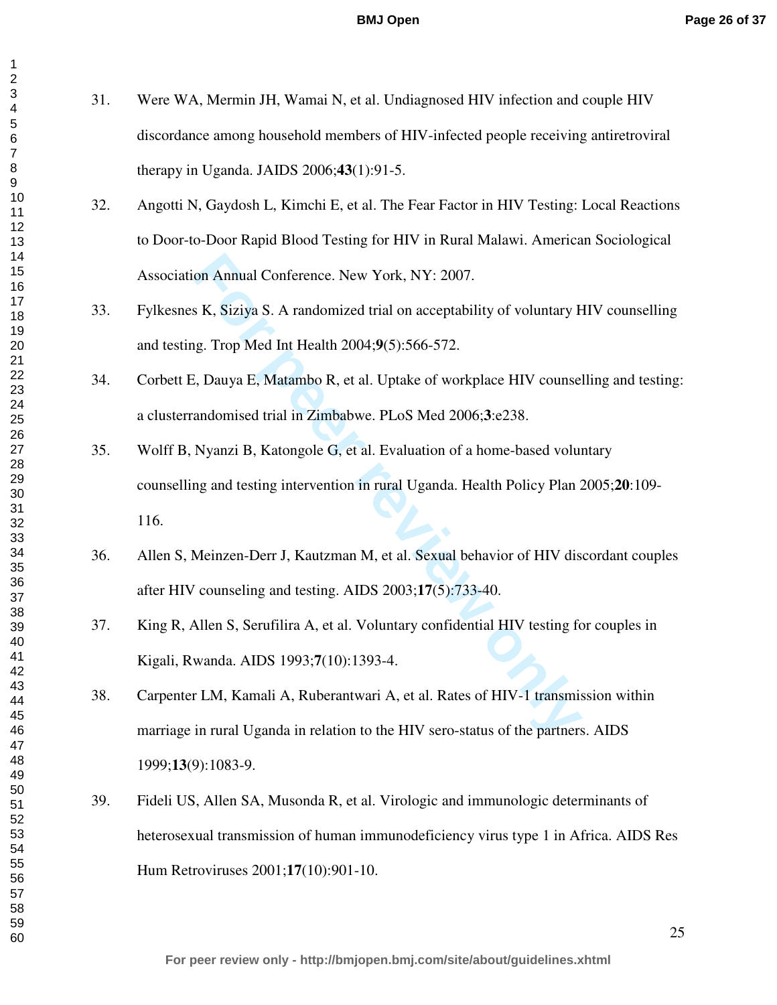#### **BMJ Open**

| discordance among household members of HIV-infected people receiving antiretroviral<br>Angotti N, Gaydosh L, Kimchi E, et al. The Fear Factor in HIV Testing: Local Reactions<br>to Door-to-Door Rapid Blood Testing for HIV in Rural Malawi. American Sociological |
|---------------------------------------------------------------------------------------------------------------------------------------------------------------------------------------------------------------------------------------------------------------------|
|                                                                                                                                                                                                                                                                     |
|                                                                                                                                                                                                                                                                     |
|                                                                                                                                                                                                                                                                     |
|                                                                                                                                                                                                                                                                     |
|                                                                                                                                                                                                                                                                     |
| Fylkesnes K, Siziya S. A randomized trial on acceptability of voluntary HIV counselling                                                                                                                                                                             |
|                                                                                                                                                                                                                                                                     |
| Corbett E, Dauya E, Matambo R, et al. Uptake of workplace HIV counselling and testing:                                                                                                                                                                              |
|                                                                                                                                                                                                                                                                     |
|                                                                                                                                                                                                                                                                     |
| counselling and testing intervention in rural Uganda. Health Policy Plan 2005;20:109-                                                                                                                                                                               |
|                                                                                                                                                                                                                                                                     |
| Allen S, Meinzen-Derr J, Kautzman M, et al. Sexual behavior of HIV discordant couples                                                                                                                                                                               |
|                                                                                                                                                                                                                                                                     |
| King R, Allen S, Serufilira A, et al. Voluntary confidential HIV testing for couples in                                                                                                                                                                             |
|                                                                                                                                                                                                                                                                     |
| Carpenter LM, Kamali A, Ruberantwari A, et al. Rates of HIV-1 transmission within                                                                                                                                                                                   |
|                                                                                                                                                                                                                                                                     |
|                                                                                                                                                                                                                                                                     |
| Fideli US, Allen SA, Musonda R, et al. Virologic and immunologic determinants of                                                                                                                                                                                    |
| heterosexual transmission of human immunodeficiency virus type 1 in Africa. AIDS Res                                                                                                                                                                                |
|                                                                                                                                                                                                                                                                     |
|                                                                                                                                                                                                                                                                     |
| marriage in rural Uganda in relation to the HIV sero-status of the partners. AIDS                                                                                                                                                                                   |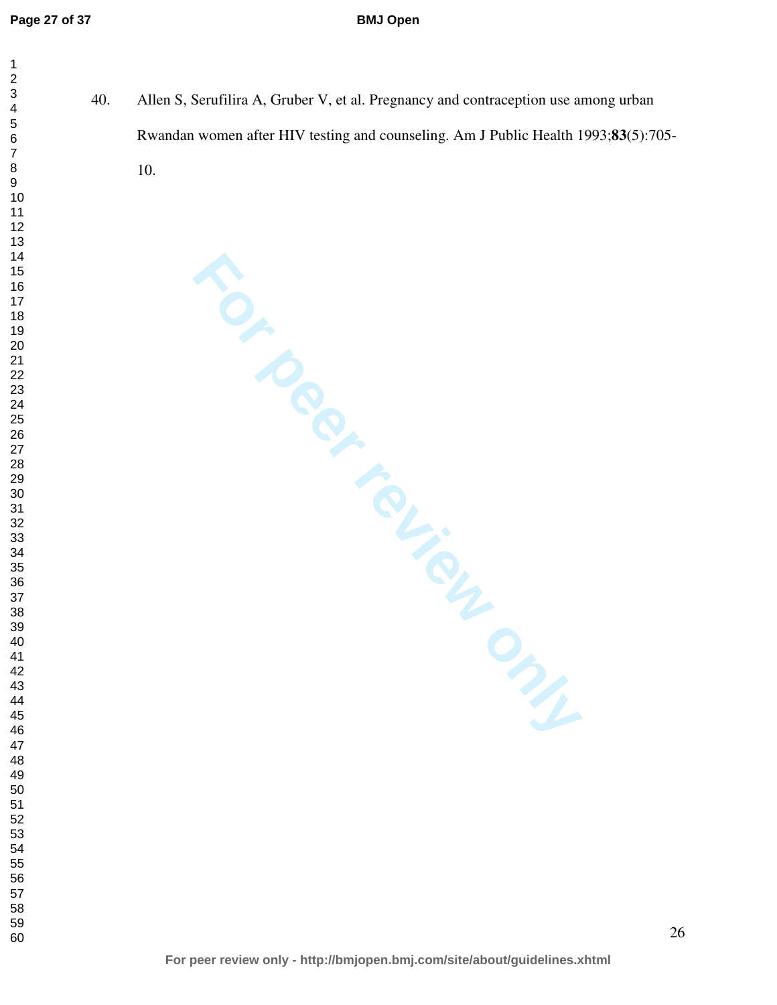#### **BMJ Open**

| 40. | Allen S, Serufilira A, Gruber V, et al. Pregnancy and contraception use among urban |
|-----|-------------------------------------------------------------------------------------|
|     | Rwandan women after HIV testing and counseling. Am J Public Health 1993;83(5):705-  |
|     | 10.                                                                                 |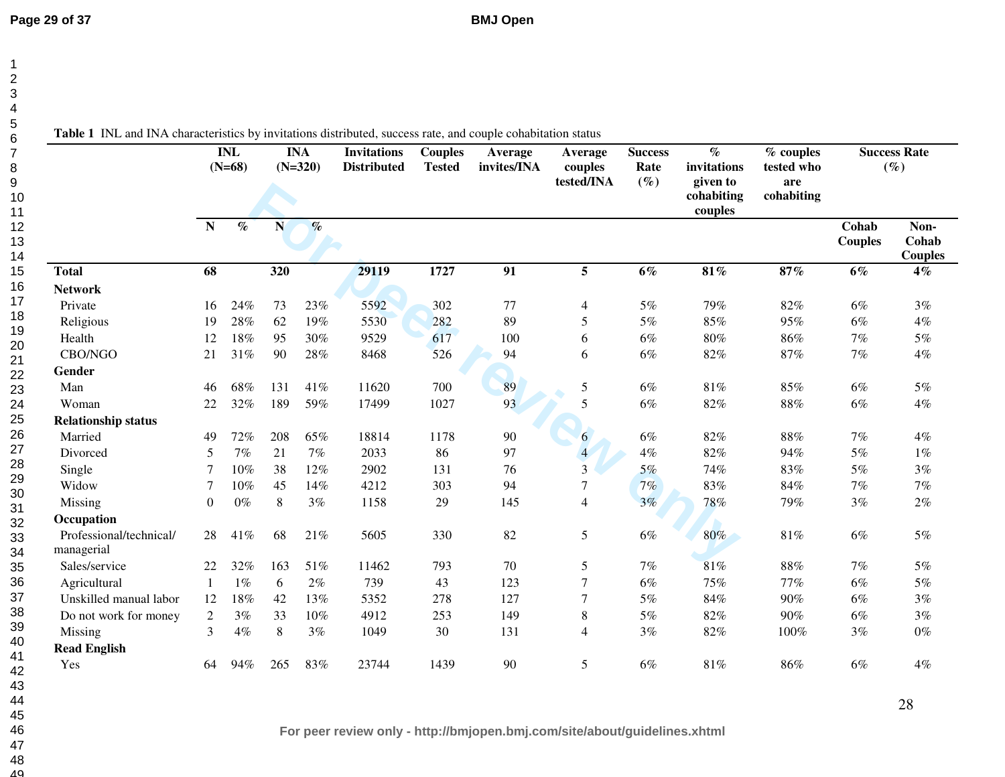> 4849

#### **Table 1** INL and INA characteristics by invitations distributed, success rate, and couple cohabitation status

|                                       |                  | <b>INL</b><br><b>INA</b><br>$(N=68)$<br>$(N=320)$ |         | <b>Invitations</b><br><b>Distributed</b> | <b>Couples</b><br><b>Tested</b>                                           | Average<br>invites/INA | Average<br>couples<br>tested/INA | <b>Success</b><br>Rate<br>$(\%)$ | $\%$<br>invitations<br>given to<br>cohabiting<br>couples | $%$ couples<br>tested who<br>are<br>cohabiting |        | <b>Success Rate</b><br>$(\%)$ |                                 |
|---------------------------------------|------------------|---------------------------------------------------|---------|------------------------------------------|---------------------------------------------------------------------------|------------------------|----------------------------------|----------------------------------|----------------------------------------------------------|------------------------------------------------|--------|-------------------------------|---------------------------------|
|                                       | $\mathbf N$      | $\%$                                              | N       | $\%$                                     |                                                                           |                        |                                  |                                  |                                                          |                                                |        | Cohab<br><b>Couples</b>       | Non-<br>Cohab<br><b>Couples</b> |
| <b>Total</b>                          | 68               |                                                   | 320     |                                          | 29119                                                                     | 1727                   | 91                               | 5                                | 6%                                                       | 81%                                            | 87%    | 6%                            | $4\%$                           |
| <b>Network</b>                        |                  |                                                   |         |                                          |                                                                           |                        |                                  |                                  |                                                          |                                                |        |                               |                                 |
| Private                               | 16               | 24%                                               | 73      | 23%                                      | 5592                                                                      | 302                    | 77                               | 4                                | 5%                                                       | 79%                                            | 82%    | 6%                            | 3%                              |
| Religious                             | 19               | 28%                                               | 62      | 19%                                      | 5530                                                                      | 282                    | 89                               | 5                                | 5%                                                       | 85%                                            | 95%    | 6%                            | $4\%$                           |
| Health                                | 12               | $18\%$                                            | 95      | 30%                                      | 9529                                                                      | 617                    | 100                              | 6                                | $6\%$                                                    | $80\%$                                         | $86\%$ | $7\%$                         | $5\%$                           |
| CBO/NGO                               | 21               | 31%                                               | 90      | $28\%$                                   | 8468                                                                      | 526                    | 94                               | 6                                | $6\%$                                                    | 82%                                            | 87%    | $7\%$                         | $4\%$                           |
| Gender                                |                  |                                                   |         |                                          |                                                                           |                        |                                  |                                  |                                                          |                                                |        |                               |                                 |
| Man                                   | 46               | 68%                                               | 131     | 41%                                      | 11620                                                                     | 700                    | 89                               | 5                                | 6%                                                       | 81%                                            | 85%    | 6%                            | 5%                              |
| Woman                                 | 22               | 32%                                               | 189     | 59%                                      | 17499                                                                     | 1027                   | 93                               | 5                                | 6%                                                       | 82%                                            | $88\%$ | 6%                            | $4\%$                           |
| <b>Relationship status</b>            |                  |                                                   |         |                                          |                                                                           |                        |                                  |                                  |                                                          |                                                |        |                               |                                 |
| Married                               | 49               | 72%                                               | 208     | 65%                                      | 18814                                                                     | 1178                   | 90                               | 6                                | 6%                                                       | 82%                                            | $88\%$ | 7%                            | $4\%$                           |
| Divorced                              | 5                | 7%                                                | 21      | 7%                                       | 2033                                                                      | 86                     | 97                               | $\overline{4}$                   | $4\%$                                                    | 82%                                            | 94%    | 5%                            | $1\%$                           |
| Single                                | 7                | $10\%$                                            | 38      | 12%                                      | 2902                                                                      | 131                    | 76                               | 3                                | 5%                                                       | 74%                                            | 83%    | $5\%$                         | $3\%$                           |
| Widow                                 | $\overline{7}$   | $10\%$                                            | 45      | 14%                                      | 4212                                                                      | 303                    | 94                               | $\tau$                           | 7%                                                       | 83%                                            | 84%    | $7\%$                         | $7\%$                           |
| Missing                               | $\boldsymbol{0}$ | $0\%$                                             | 8       | 3%                                       | 1158                                                                      | 29                     | 145                              | $\overline{4}$                   | 3%                                                       | 78%                                            | 79%    | 3%                            | $2\%$                           |
| Occupation                            |                  |                                                   |         |                                          |                                                                           |                        |                                  |                                  |                                                          |                                                |        |                               |                                 |
| Professional/technical/<br>managerial | 28               | $41\%$                                            | 68      | $21\%$                                   | 5605                                                                      | 330                    | 82                               | 5                                | $6\%$                                                    | 80%                                            | $81\%$ | $6\%$                         | $5\%$                           |
| Sales/service                         | 22               | 32%                                               | 163     | 51%                                      | 11462                                                                     | 793                    | 70                               | 5                                | 7%                                                       | 81%                                            | $88\%$ | 7%                            | 5%                              |
| Agricultural                          | $\mathbf{1}$     | $1\%$                                             |         | 2%                                       | 739                                                                       |                        | 123                              | $\overline{7}$                   | 6%                                                       | 75%                                            | 77%    | $6\%$                         | 5%                              |
| Unskilled manual labor                | 12               | 18%                                               | 6<br>42 | 13%                                      | 5352                                                                      | 43<br>278              | 127                              | $\tau$                           | 5%                                                       | 84%                                            | 90%    | $6\%$                         | 3%                              |
|                                       |                  | 3%                                                | 33      |                                          | 4912                                                                      |                        | 149                              |                                  | 5%                                                       | 82%                                            | 90%    | $6\%$                         | 3%                              |
| Do not work for money                 | $\overline{c}$   | $4\%$                                             |         | $10\%$<br>$3\%$                          | 1049                                                                      | 253<br>30              | 131                              | $8\,$                            | 3%                                                       | 82%                                            |        | $3\%$                         | $0\%$                           |
| Missing                               | 3                |                                                   | 8       |                                          |                                                                           |                        |                                  | $\overline{4}$                   |                                                          |                                                | 100%   |                               |                                 |
| <b>Read English</b>                   |                  |                                                   |         |                                          |                                                                           |                        |                                  |                                  |                                                          |                                                |        |                               |                                 |
| Yes                                   | 64               | 94%                                               | 265     | 83%                                      | 23744                                                                     | 1439                   | 90                               | 5                                | 6%                                                       | $81\%$                                         | $86\%$ | 6%                            | 4%                              |
|                                       |                  |                                                   |         |                                          |                                                                           |                        |                                  |                                  |                                                          |                                                |        |                               |                                 |
|                                       |                  |                                                   |         |                                          |                                                                           |                        |                                  |                                  |                                                          |                                                |        |                               | 28                              |
|                                       |                  |                                                   |         |                                          |                                                                           |                        |                                  |                                  |                                                          |                                                |        |                               |                                 |
|                                       |                  |                                                   |         |                                          | For peer review only - http://bmjopen.bmj.com/site/about/guidelines.xhtml |                        |                                  |                                  |                                                          |                                                |        |                               |                                 |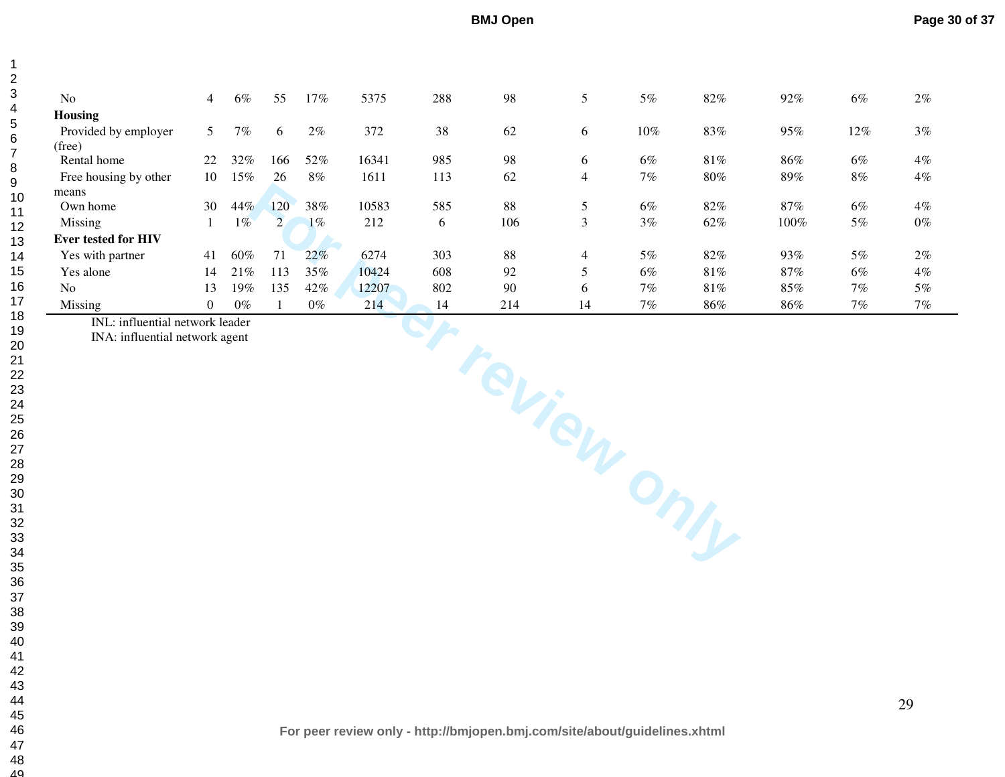| No                             | $\overline{4}$ | 6%    | 55             | 17%   | 5375  | 288 | 98           | 5              | 5%    | 82%    | 92%     | $6\%$ | $2\%$ |
|--------------------------------|----------------|-------|----------------|-------|-------|-----|--------------|----------------|-------|--------|---------|-------|-------|
| <b>Housing</b>                 |                |       |                |       |       |     |              |                |       |        |         |       |       |
| Provided by employer           | 5 <sup>5</sup> | 7%    | 6              | 2%    | 372   | 38  | 62           | 6              | 10%   | 83%    | 95%     | 12%   | 3%    |
| (free)                         |                |       |                |       |       |     |              |                |       |        |         |       |       |
| Rental home                    | 22             | 32%   | 166            | 52%   | 16341 | 985 | 98           | 6              | $6\%$ | 81%    | 86%     | 6%    | $4\%$ |
| Free housing by other          | 10             | 15%   | 26             | $8\%$ | 1611  | 113 | 62           | $\overline{4}$ | 7%    | $80\%$ | $89\%$  | $8\%$ | $4\%$ |
| means                          |                |       |                |       |       |     |              |                |       |        |         |       |       |
| Own home                       | 30             | 44%   | 120            | 38%   | 10583 | 585 | 88           | 5              | $6\%$ | 82%    | 87%     | 6%    | $4\%$ |
| Missing                        | $\mathbf{1}$   | $1\%$ | $\overline{2}$ | $1\%$ | 212   | 6   | 106          | $\overline{3}$ | 3%    | $62\%$ | $100\%$ | $5\%$ | $0\%$ |
| <b>Ever tested for HIV</b>     |                |       |                |       |       |     |              |                |       |        |         |       |       |
| Yes with partner               | 41             | 60%   | 71             | 22%   | 6274  | 303 | 88           | $\overline{4}$ | 5%    | $82\%$ | 93%     | $5\%$ | $2\%$ |
| Yes alone                      | 14             | 21%   | 113            | 35%   | 10424 | 608 | 92           | 5              | $6\%$ | 81%    | 87%     | 6%    | $4\%$ |
| No                             | 13             | 19%   | 135            | 42%   | 12207 | 802 | 90           | 6              | 7%    | $81\%$ | 85%     | $7\%$ | $5\%$ |
| Missing                        | $\Omega$       | $0\%$ | $\mathbf{1}$   | $0\%$ | 214   | 14  | 214          | 14             | 7%    | 86%    | 86%     | 7%    | 7%    |
| INA: influential network agent |                |       |                |       |       |     | Treview only |                |       |        |         |       |       |
|                                |                |       |                |       |       |     |              |                |       |        |         |       |       |

**For peer review only - http://bmjopen.bmj.com/site/about/guidelines.xhtml**

 4849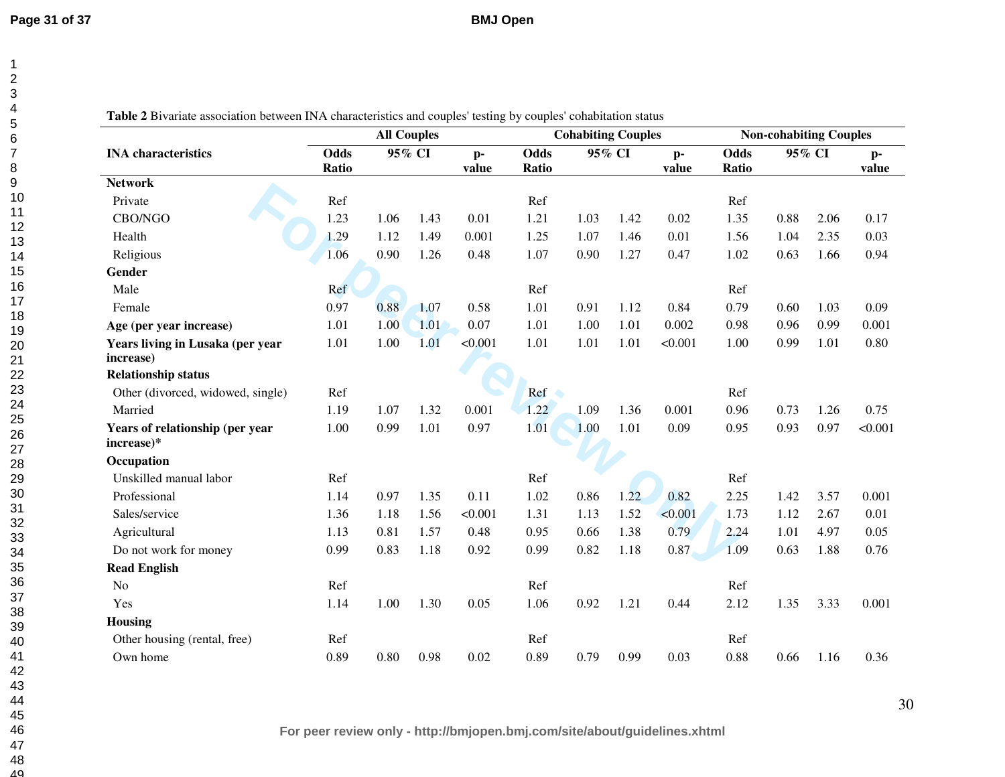# **BMJ Open**

|                                               |                      |        | <b>All Couples</b> |               |                      | <b>Cohabiting Couples</b> |      |               | <b>Non-cohabiting Couples</b> |        |      |               |
|-----------------------------------------------|----------------------|--------|--------------------|---------------|----------------------|---------------------------|------|---------------|-------------------------------|--------|------|---------------|
| <b>INA</b> characteristics                    | <b>Odds</b><br>Ratio | 95% CI |                    | $p-$<br>value | <b>Odds</b><br>Ratio | 95% CI                    |      | $p-$<br>value | <b>Odds</b><br>Ratio          | 95% CI |      | $p-$<br>value |
| <b>Network</b>                                |                      |        |                    |               |                      |                           |      |               |                               |        |      |               |
| Private                                       | Ref                  |        |                    |               | Ref                  |                           |      |               | Ref                           |        |      |               |
| CBO/NGO                                       | 1.23                 | 1.06   | 1.43               | 0.01          | 1.21                 | 1.03                      | 1.42 | 0.02          | 1.35                          | 0.88   | 2.06 | 0.17          |
| Health                                        | 1.29                 | 1.12   | 1.49               | 0.001         | 1.25                 | 1.07                      | 1.46 | 0.01          | 1.56                          | 1.04   | 2.35 | 0.03          |
| Religious                                     | 1.06                 | 0.90   | 1.26               | 0.48          | 1.07                 | 0.90                      | 1.27 | 0.47          | 1.02                          | 0.63   | 1.66 | 0.94          |
| Gender                                        |                      |        |                    |               |                      |                           |      |               |                               |        |      |               |
| Male                                          | Ref                  |        |                    |               | Ref                  |                           |      |               | Ref                           |        |      |               |
| Female                                        | 0.97                 | 0.88   | 1.07               | 0.58          | 1.01                 | 0.91                      | 1.12 | 0.84          | 0.79                          | 0.60   | 1.03 | 0.09          |
| Age (per year increase)                       | 1.01                 | 1.00   | 1.01               | 0.07          | 1.01                 | 1.00                      | 1.01 | 0.002         | 0.98                          | 0.96   | 0.99 | 0.001         |
| Years living in Lusaka (per year<br>increase) | 1.01                 | 1.00   | 1.01               | < 0.001       | 1.01                 | 1.01                      | 1.01 | < 0.001       | 1.00                          | 0.99   | 1.01 | 0.80          |
| <b>Relationship status</b>                    |                      |        |                    |               |                      |                           |      |               |                               |        |      |               |
| Other (divorced, widowed, single)             | Ref                  |        |                    |               | Ref                  |                           |      |               | Ref                           |        |      |               |
| Married                                       | 1.19                 | 1.07   | 1.32               | 0.001         | 1.22                 | 1.09                      | 1.36 | 0.001         | 0.96                          | 0.73   | 1.26 | 0.75          |
| Years of relationship (per year<br>increase)* | 1.00                 | 0.99   | 1.01               | 0.97          | 1.01                 | 1.00                      | 1.01 | 0.09          | 0.95                          | 0.93   | 0.97 | < 0.001       |
| Occupation                                    |                      |        |                    |               |                      |                           |      |               |                               |        |      |               |
| Unskilled manual labor                        | Ref                  |        |                    |               | Ref                  |                           |      |               | Ref                           |        |      |               |
| Professional                                  | 1.14                 | 0.97   | 1.35               | 0.11          | 1.02                 | 0.86                      | 1.22 | 0.82          | 2.25                          | 1.42   | 3.57 | 0.001         |
| Sales/service                                 | 1.36                 | 1.18   | 1.56               | < 0.001       | 1.31                 | 1.13                      | 1.52 | < 0.001       | 1.73                          | 1.12   | 2.67 | 0.01          |
| Agricultural                                  | 1.13                 | 0.81   | 1.57               | 0.48          | 0.95                 | 0.66                      | 1.38 | 0.79          | 2.24                          | 1.01   | 4.97 | 0.05          |
| Do not work for money                         | 0.99                 | 0.83   | 1.18               | 0.92          | 0.99                 | 0.82                      | 1.18 | 0.87          | 1.09                          | 0.63   | 1.88 | 0.76          |
| <b>Read English</b>                           |                      |        |                    |               |                      |                           |      |               |                               |        |      |               |
| No                                            | Ref                  |        |                    |               | Ref                  |                           |      |               | Ref                           |        |      |               |
| Yes                                           | 1.14                 | 1.00   | 1.30               | 0.05          | 1.06                 | 0.92                      | 1.21 | 0.44          | 2.12                          | 1.35   | 3.33 | 0.001         |
| <b>Housing</b>                                |                      |        |                    |               |                      |                           |      |               |                               |        |      |               |
| Other housing (rental, free)                  | Ref                  |        |                    |               | Ref                  |                           |      |               | Ref                           |        |      |               |
| Own home                                      | 0.89                 | 0.80   | 0.98               | 0.02          | 0.89                 | 0.79                      | 0.99 | 0.03          | 0.88                          | 0.66   | 1.16 | 0.36          |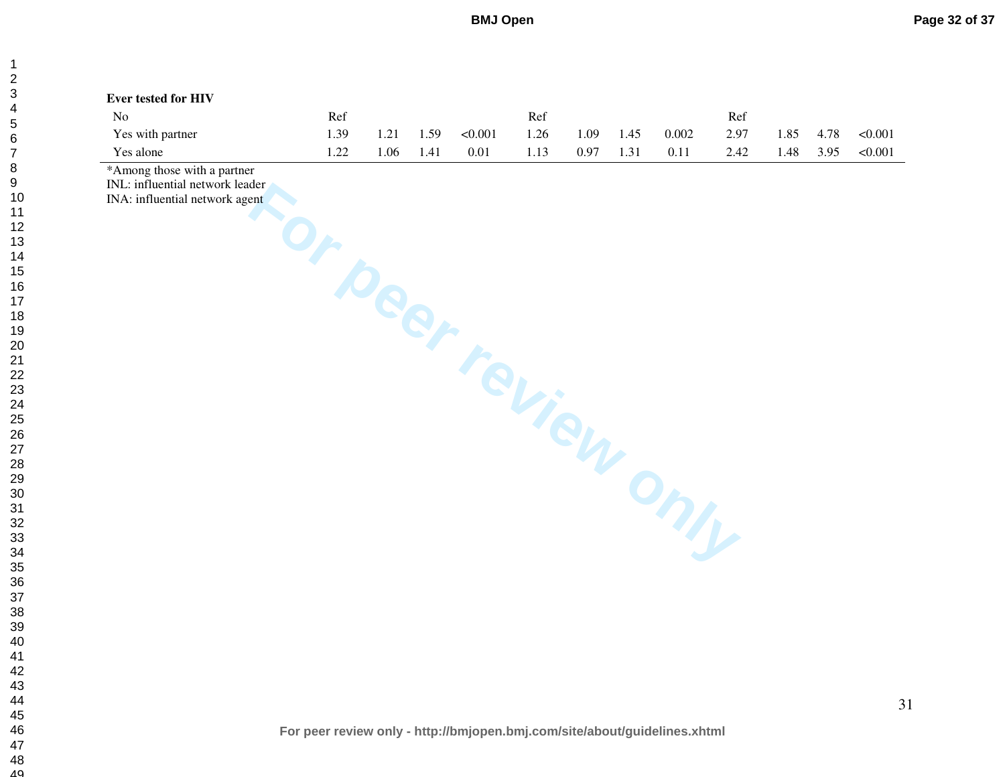#### **Ever tested for HIV**

| No               | Ref                       |     |       |         | Ref   |      |      |       | Ref  |      |      |         |
|------------------|---------------------------|-----|-------|---------|-------|------|------|-------|------|------|------|---------|
| Yes with partner | .39                       |     | . .59 | < 0.001 | . .26 | .09  | 1.45 | 0.002 | 2.97 | 1.85 | 4.78 | < 0.001 |
| Yes alone        | . $2^{\circ}$<br>. . 27 A | .06 | 1.41  | 0.01    | 1.13  | 0.97 | 1.31 | 0.11  | 2.42 | 1.48 | 3.95 | < 0.001 |

\*Among those with a partner

INL: influential network leader

**For peer review only** INA: influential network agent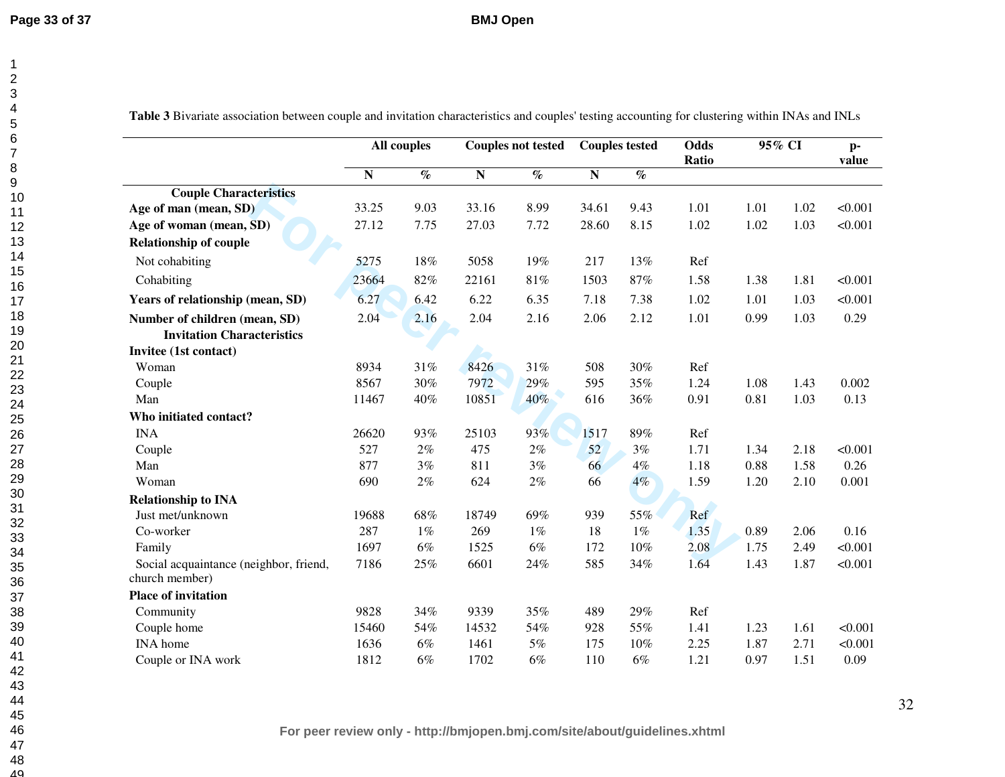**BMJ Open**

|                                        | <b>All couples</b> |                |              | <b>Couples not tested</b> | <b>Couples tested</b> |              | Odds<br>Ratio | 95% CI       |              | $p-$<br>value   |
|----------------------------------------|--------------------|----------------|--------------|---------------------------|-----------------------|--------------|---------------|--------------|--------------|-----------------|
|                                        | N                  | $\%$           | $\mathbf N$  | $\%$                      | $\overline{\bf N}$    | $\%$         |               |              |              |                 |
| <b>Couple Characteristics</b>          |                    |                |              |                           |                       |              |               |              |              |                 |
| Age of man (mean, SD)                  | 33.25              | 9.03           | 33.16        | 8.99                      | 34.61                 | 9.43         | 1.01          | 1.01         | 1.02         | < 0.001         |
| Age of woman (mean, SD)                | 27.12              | 7.75           | 27.03        | 7.72                      | 28.60                 | 8.15         | 1.02          | 1.02         | 1.03         | < 0.001         |
| <b>Relationship of couple</b>          |                    |                |              |                           |                       |              |               |              |              |                 |
| Not cohabiting                         | 5275               | $18\%$         | 5058         | 19%                       | 217                   | 13%          | Ref           |              |              |                 |
| Cohabiting                             | 23664              | $82\%$         | 22161        | 81%                       | 1503                  | $87\%$       | 1.58          | 1.38         | 1.81         | < 0.001         |
| Years of relationship (mean, SD)       | 6.27               | 6.42           | 6.22         | 6.35                      | 7.18                  | 7.38         | 1.02          | 1.01         | 1.03         | < 0.001         |
| Number of children (mean, SD)          | 2.04               | 2.16           | 2.04         | 2.16                      | 2.06                  | 2.12         | 1.01          | 0.99         | 1.03         | 0.29            |
| <b>Invitation Characteristics</b>      |                    |                |              |                           |                       |              |               |              |              |                 |
| Invitee (1st contact)                  |                    |                |              |                           |                       |              |               |              |              |                 |
| Woman                                  | 8934               | 31%            | 8426         | 31%                       | 508                   | 30%          | Ref           |              |              |                 |
| Couple                                 | 8567               | 30%            | 7972         | 29%                       | 595                   | 35%          | 1.24          | 1.08         | 1.43         | 0.002           |
| Man                                    | 11467              | 40%            | 10851        | 40%                       | 616                   | 36%          | 0.91          | 0.81         | 1.03         | 0.13            |
| Who initiated contact?                 |                    |                |              |                           |                       |              |               |              |              |                 |
| <b>INA</b>                             | 26620              | 93%            | 25103        | 93%                       | 1517                  | 89%          | Ref           |              |              |                 |
| Couple                                 | 527                | 2%             | 475          | 2%                        | 52                    | 3%           | 1.71          | 1.34         | 2.18         | < 0.001         |
| Man                                    | 877                | $3\%$          | 811          | $3\%$                     | 66                    | $4\%$        | 1.18          | 0.88         | 1.58         | 0.26            |
| Woman                                  | 690                | $2\%$          | 624          | 2%                        | 66                    | 4%           | 1.59          | 1.20         | 2.10         | 0.001           |
| <b>Relationship to INA</b>             |                    |                |              |                           |                       |              |               |              |              |                 |
| Just met/unknown                       | 19688              | 68%            | 18749        | 69%                       | 939                   | 55%          | Ref           |              |              |                 |
| Co-worker                              | 287                | $1\%$          | 269          | $1\%$                     | 18                    | $1\%$        | 1.35          | 0.89         | 2.06         | 0.16            |
| Family                                 | 1697               | $6\%$          | 1525         | $6\%$                     | 172                   | $10\%$       | 2.08          | 1.75         | 2.49         | < 0.001         |
| Social acquaintance (neighbor, friend, | 7186               | 25%            | 6601         | 24%                       | 585                   | 34%          | 1.64          | 1.43         | 1.87         | < 0.001         |
| church member)                         |                    |                |              |                           |                       |              |               |              |              |                 |
| <b>Place of invitation</b>             |                    |                |              |                           |                       |              |               |              |              |                 |
| Community                              | 9828               | 34%            | 9339         | 35%                       | 489                   | 29%          | Ref           |              |              |                 |
| Couple home                            | 15460              | 54%            | 14532        | 54%                       | 928                   | 55%          | 1.41          | 1.23         | 1.61         | < 0.001         |
| INA home<br>Couple or INA work         | 1636<br>1812       | $6\%$<br>$6\%$ | 1461<br>1702 | 5%<br>$6\%$               | 175<br>110            | $10\%$<br>6% | 2.25<br>1.21  | 1.87<br>0.97 | 2.71<br>1.51 | < 0.001<br>0.09 |

**Table 3** Bivariate association between couple and invitation characteristics and couples' testing accounting for clustering within INAs and INLs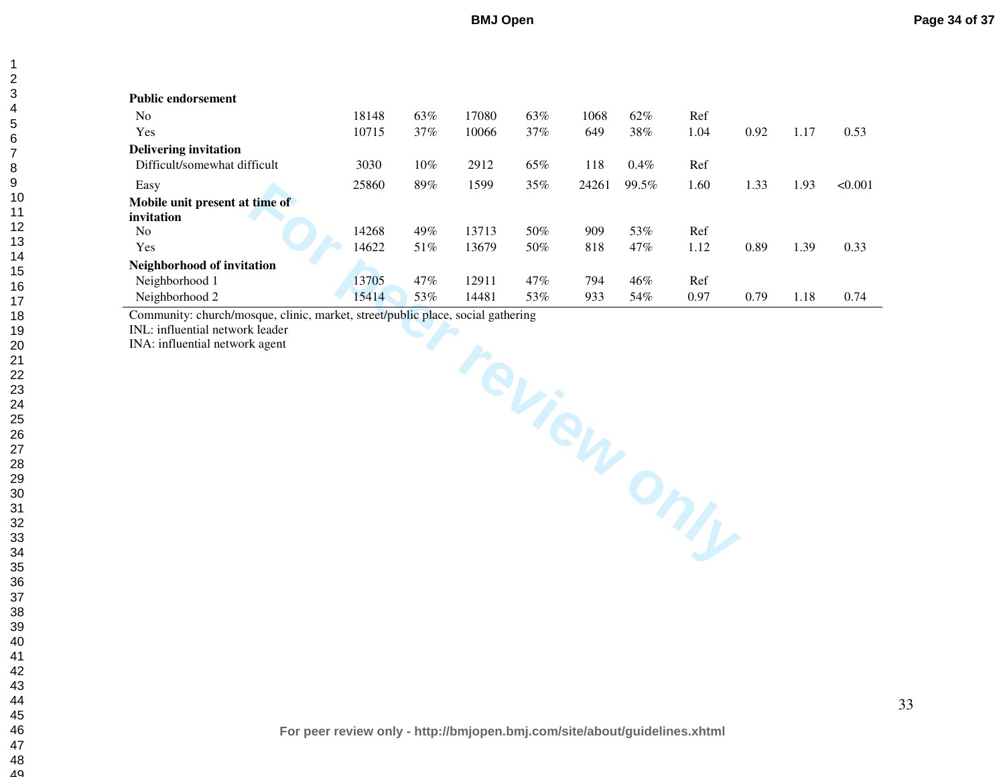| <b>Public endorsement</b>      |       |        |       |     |       |         |      |      |      |         |
|--------------------------------|-------|--------|-------|-----|-------|---------|------|------|------|---------|
| No                             | 18148 | 63%    | 17080 | 63% | 1068  | 62%     | Ref  |      |      |         |
| Yes                            | 10715 | 37%    | 10066 | 37% | 649   | 38%     | 1.04 | 0.92 | 1.17 | 0.53    |
| <b>Delivering invitation</b>   |       |        |       |     |       |         |      |      |      |         |
| Difficult/somewhat difficult   | 3030  | $10\%$ | 2912  | 65% | 118   | $0.4\%$ | Ref  |      |      |         |
| Easy                           | 25860 | 89%    | 599   | 35% | 24261 | 99.5%   | 1.60 | 1.33 | 1.93 | < 0.001 |
| Mobile unit present at time of |       |        |       |     |       |         |      |      |      |         |
| invitation                     |       |        |       |     |       |         |      |      |      |         |
| No                             | 14268 | 49%    | 13713 | 50% | 909   | 53%     | Ref  |      |      |         |
| Yes                            | 14622 | 51%    | 13679 | 50% | 818   | 47%     | 1.12 | 0.89 | 1.39 | 0.33    |
| Neighborhood of invitation     |       |        |       |     |       |         |      |      |      |         |
| Neighborhood 1                 | 13705 | $47\%$ | 12911 | 47% | 794   | 46%     | Ref  |      |      |         |
| Neighborhood 2                 | 15414 | 53%    | 14481 | 53% | 933   | 54%     | 0.97 | 0.79 | 1.18 | 0.74    |

Community: church/mosque, clinic, market, street/public place, social gathering

INL: influential network leader

INA: influential network agent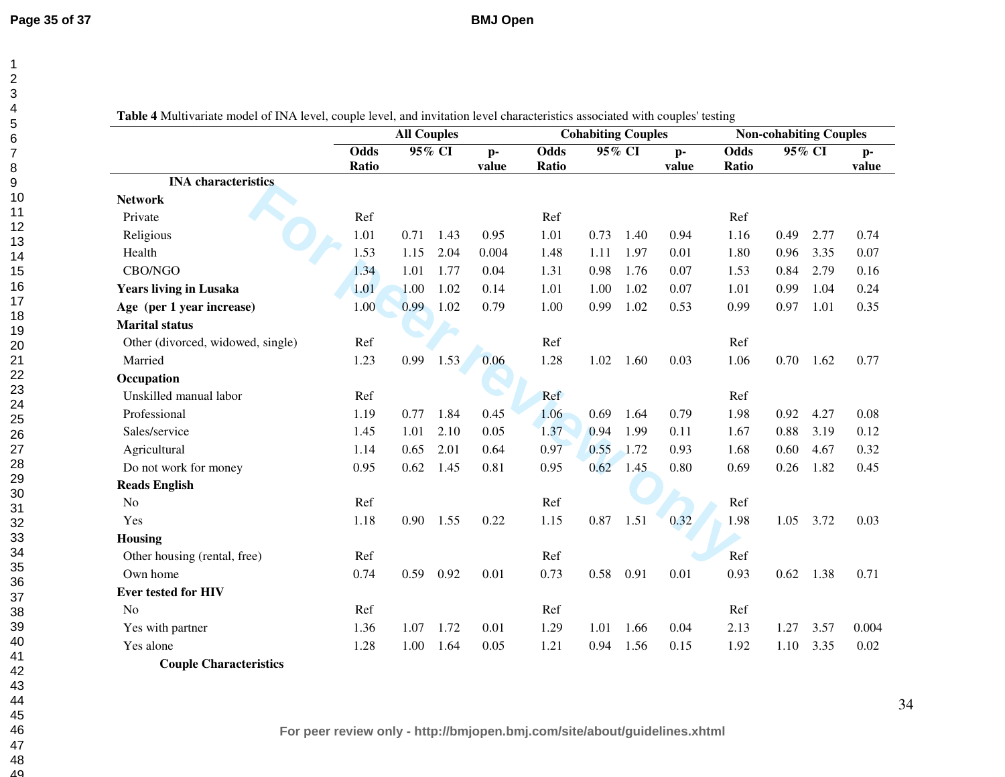|                                   |       |        | <b>Cohabiting Couples</b> |       |             |        | <b>Non-cohabiting Couples</b> |       |       |        |      |       |
|-----------------------------------|-------|--------|---------------------------|-------|-------------|--------|-------------------------------|-------|-------|--------|------|-------|
|                                   | Odds  | 95% CI |                           | $p-$  | <b>Odds</b> | 95% CI |                               | $p-$  | Odds  | 95% CI |      | $p-$  |
|                                   | Ratio |        |                           | value | Ratio       |        |                               | value | Ratio |        |      | value |
| <b>INA</b> characteristics        |       |        |                           |       |             |        |                               |       |       |        |      |       |
| <b>Network</b>                    |       |        |                           |       |             |        |                               |       |       |        |      |       |
| Private                           | Ref   |        |                           |       | Ref         |        |                               |       | Ref   |        |      |       |
| Religious                         | 1.01  | 0.71   | 1.43                      | 0.95  | 1.01        | 0.73   | 1.40                          | 0.94  | 1.16  | 0.49   | 2.77 | 0.74  |
| Health                            | 1.53  | 1.15   | 2.04                      | 0.004 | 1.48        | 1.11   | 1.97                          | 0.01  | 1.80  | 0.96   | 3.35 | 0.07  |
| CBO/NGO                           | 1.34  | 1.01   | 1.77                      | 0.04  | 1.31        | 0.98   | 1.76                          | 0.07  | 1.53  | 0.84   | 2.79 | 0.16  |
| <b>Years living in Lusaka</b>     | 1.01  | 1.00   | 1.02                      | 0.14  | 1.01        | 1.00   | 1.02                          | 0.07  | 1.01  | 0.99   | 1.04 | 0.24  |
| Age (per 1 year increase)         | 1.00  | 0.99   | 1.02                      | 0.79  | 1.00        | 0.99   | 1.02                          | 0.53  | 0.99  | 0.97   | 1.01 | 0.35  |
| <b>Marital</b> status             |       |        |                           |       |             |        |                               |       |       |        |      |       |
| Other (divorced, widowed, single) | Ref   |        |                           |       | Ref         |        |                               |       | Ref   |        |      |       |
| Married                           | 1.23  | 0.99   | 1.53                      | 0.06  | 1.28        | 1.02   | 1.60                          | 0.03  | 1.06  | 0.70   | 1.62 | 0.77  |
| Occupation                        |       |        |                           |       |             |        |                               |       |       |        |      |       |
| Unskilled manual labor            | Ref   |        |                           |       | Ref         |        |                               |       | Ref   |        |      |       |
| Professional                      | 1.19  | 0.77   | 1.84                      | 0.45  | 1.06        | 0.69   | 1.64                          | 0.79  | 1.98  | 0.92   | 4.27 | 0.08  |
| Sales/service                     | 1.45  | 1.01   | 2.10                      | 0.05  | 1.37        | 0.94   | 1.99                          | 0.11  | 1.67  | 0.88   | 3.19 | 0.12  |
| Agricultural                      | 1.14  | 0.65   | 2.01                      | 0.64  | 0.97        | 0.55   | $-1.72$                       | 0.93  | 1.68  | 0.60   | 4.67 | 0.32  |
| Do not work for money             | 0.95  | 0.62   | 1.45                      | 0.81  | 0.95        | 0.62   | 1.45                          | 0.80  | 0.69  | 0.26   | 1.82 | 0.45  |
| <b>Reads English</b>              |       |        |                           |       |             |        |                               |       |       |        |      |       |
| N <sub>o</sub>                    | Ref   |        |                           |       | Ref         |        |                               |       | Ref   |        |      |       |
| Yes                               | 1.18  | 0.90   | 1.55                      | 0.22  | 1.15        | 0.87   | 1.51                          | 0.32  | 1.98  | 1.05   | 3.72 | 0.03  |
| <b>Housing</b>                    |       |        |                           |       |             |        |                               |       |       |        |      |       |
| Other housing (rental, free)      | Ref   |        |                           |       | Ref         |        |                               |       | Ref   |        |      |       |
| Own home                          | 0.74  | 0.59   | 0.92                      | 0.01  | 0.73        | 0.58   | 0.91                          | 0.01  | 0.93  | 0.62   | 1.38 | 0.71  |
| <b>Ever tested for HIV</b>        |       |        |                           |       |             |        |                               |       |       |        |      |       |
| No                                | Ref   |        |                           |       | Ref         |        |                               |       | Ref   |        |      |       |
| Yes with partner                  | 1.36  | 1.07   | 1.72                      | 0.01  | 1.29        | 1.01   | 1.66                          | 0.04  | 2.13  | 1.27   | 3.57 | 0.004 |
| Yes alone                         | 1.28  | 1.00   | 1.64                      | 0.05  | 1.21        | 0.94   | 1.56                          | 0.15  | 1.92  | 1.10   | 3.35 | 0.02  |
| <b>Couple Characteristics</b>     |       |        |                           |       |             |        |                               |       |       |        |      |       |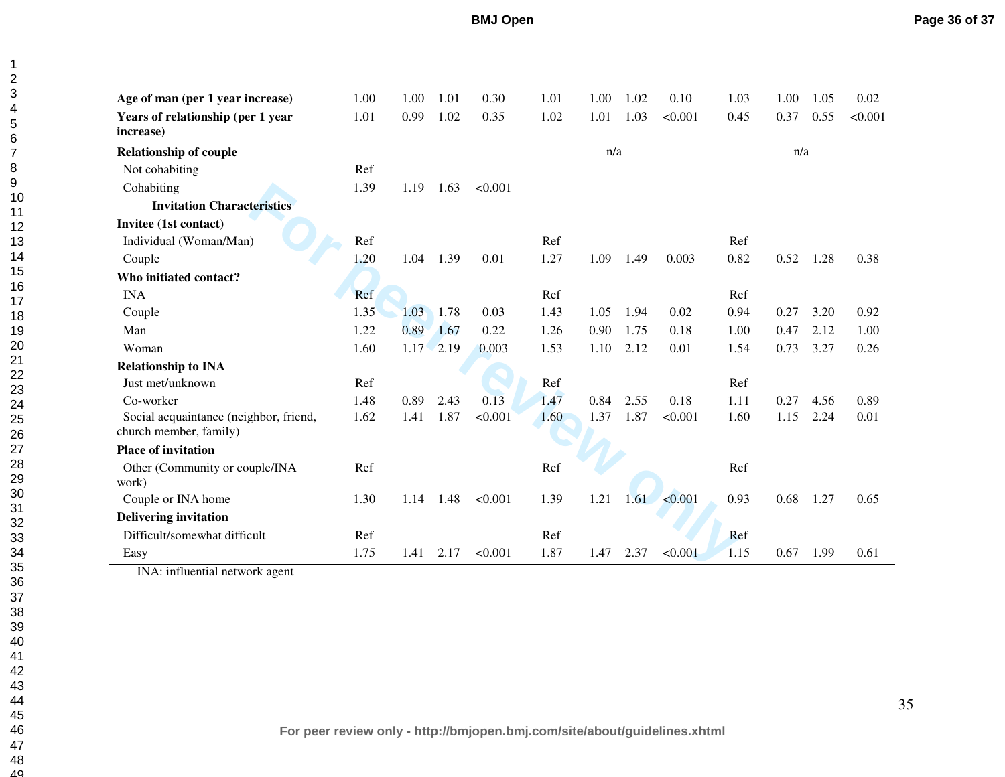| Age of man (per 1 year increase)                                 | 1.00 | 1.00 | 1.01 | 0.30    | 1.01 | 1.00 | 1.02 | 0.10    | 1.03 | 1.00 | 1.05 | 0.02    |
|------------------------------------------------------------------|------|------|------|---------|------|------|------|---------|------|------|------|---------|
| Years of relationship (per 1 year                                | 1.01 | 0.99 | 1.02 | 0.35    | 1.02 | 1.01 | 1.03 | < 0.001 | 0.45 | 0.37 | 0.55 | < 0.001 |
| increase)                                                        |      |      |      |         |      |      |      |         |      |      |      |         |
| <b>Relationship of couple</b>                                    |      |      |      |         |      | n/a  |      |         |      | n/a  |      |         |
| Not cohabiting                                                   | Ref  |      |      |         |      |      |      |         |      |      |      |         |
| Cohabiting                                                       | 1.39 | 1.19 | 1.63 | < 0.001 |      |      |      |         |      |      |      |         |
| <b>Invitation Characteristics</b>                                |      |      |      |         |      |      |      |         |      |      |      |         |
| Invitee (1st contact)                                            |      |      |      |         |      |      |      |         |      |      |      |         |
| Individual (Woman/Man)                                           | Ref  |      |      |         | Ref  |      |      |         | Ref  |      |      |         |
| Couple                                                           | 1.20 | 1.04 | 1.39 | 0.01    | 1.27 | 1.09 | 1.49 | 0.003   | 0.82 | 0.52 | 1.28 | 0.38    |
| Who initiated contact?                                           |      |      |      |         |      |      |      |         |      |      |      |         |
| <b>INA</b>                                                       | Ref  |      |      |         | Ref  |      |      |         | Ref  |      |      |         |
| Couple                                                           | 1.35 | 1.03 | 1.78 | 0.03    | 1.43 | 1.05 | 1.94 | 0.02    | 0.94 | 0.27 | 3.20 | 0.92    |
| Man                                                              | 1.22 | 0.89 | 1.67 | 0.22    | 1.26 | 0.90 | 1.75 | 0.18    | 1.00 | 0.47 | 2.12 | 1.00    |
| Woman                                                            | 1.60 | 1.17 | 2.19 | 0.003   | 1.53 | 1.10 | 2.12 | 0.01    | 1.54 | 0.73 | 3.27 | 0.26    |
| <b>Relationship to INA</b>                                       |      |      |      |         |      |      |      |         |      |      |      |         |
| Just met/unknown                                                 | Ref  |      |      |         | Ref  |      |      |         | Ref  |      |      |         |
| Co-worker                                                        | 1.48 | 0.89 | 2.43 | 0.13    | 1.47 | 0.84 | 2.55 | 0.18    | 1.11 | 0.27 | 4.56 | 0.89    |
| Social acquaintance (neighbor, friend,<br>church member, family) | 1.62 | 1.41 | 1.87 | < 0.001 | 1.60 | 1.37 | 1.87 | < 0.001 | 1.60 | 1.15 | 2.24 | 0.01    |
| <b>Place of invitation</b>                                       |      |      |      |         |      |      |      |         |      |      |      |         |
| Other (Community or couple/INA<br>work)                          | Ref  |      |      |         | Ref  |      |      |         | Ref  |      |      |         |
| Couple or INA home                                               | 1.30 | 1.14 | 1.48 | < 0.001 | 1.39 | 1.21 | 1.61 | < 0.001 | 0.93 | 0.68 | 1.27 | 0.65    |
| <b>Delivering invitation</b>                                     |      |      |      |         |      |      |      |         |      |      |      |         |
| Difficult/somewhat difficult                                     | Ref  |      |      |         | Ref  |      |      |         | Ref  |      |      |         |
| Easy                                                             | 1.75 | 1.41 | 2.17 | < 0.001 | 1.87 | 1.47 | 2.37 | < 0.001 | 1.15 | 0.67 | 1.99 | 0.61    |
| $\mathbf{I} \mathbf{N} \mathbf{A}$ influential network agent     |      |      |      |         |      |      |      |         |      |      |      |         |

INA: influential network agent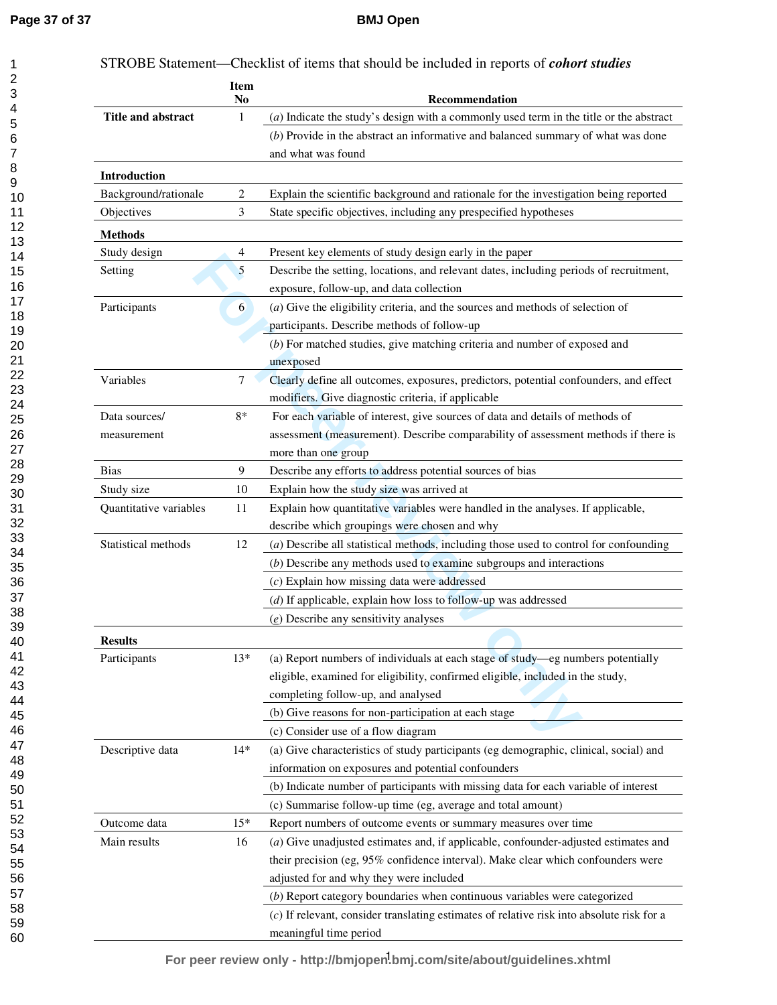## **BMJ Open**

|                        | N <sub>0</sub> | Recommendation                                                                              |
|------------------------|----------------|---------------------------------------------------------------------------------------------|
| Title and abstract     | 1              | $(a)$ Indicate the study's design with a commonly used term in the title or the abstract    |
|                        |                | $(b)$ Provide in the abstract an informative and balanced summary of what was done          |
|                        |                | and what was found                                                                          |
| <b>Introduction</b>    |                |                                                                                             |
| Background/rationale   | 2              | Explain the scientific background and rationale for the investigation being reported        |
| Objectives             | 3              | State specific objectives, including any prespecified hypotheses                            |
| <b>Methods</b>         |                |                                                                                             |
| Study design           | 4              | Present key elements of study design early in the paper                                     |
| Setting                | 5              | Describe the setting, locations, and relevant dates, including periods of recruitment,      |
|                        |                | exposure, follow-up, and data collection                                                    |
| Participants           | 6              | $(a)$ Give the eligibility criteria, and the sources and methods of selection of            |
|                        |                | participants. Describe methods of follow-up                                                 |
|                        |                | (b) For matched studies, give matching criteria and number of exposed and                   |
|                        |                | unexposed                                                                                   |
| Variables              | $\tau$         | Clearly define all outcomes, exposures, predictors, potential confounders, and effect       |
|                        |                | modifiers. Give diagnostic criteria, if applicable                                          |
| Data sources/          | $8*$           | For each variable of interest, give sources of data and details of methods of               |
| measurement            |                | assessment (measurement). Describe comparability of assessment methods if there is          |
|                        |                | more than one group                                                                         |
| <b>Bias</b>            | 9              | Describe any efforts to address potential sources of bias                                   |
| Study size             | 10             | Explain how the study size was arrived at                                                   |
| Quantitative variables | 11             | Explain how quantitative variables were handled in the analyses. If applicable,             |
|                        |                | describe which groupings were chosen and why                                                |
| Statistical methods    | 12             | (a) Describe all statistical methods, including those used to control for confounding       |
|                        |                | $(b)$ Describe any methods used to examine subgroups and interactions                       |
|                        |                | $(c)$ Explain how missing data were addressed                                               |
|                        |                | $(d)$ If applicable, explain how loss to follow-up was addressed                            |
|                        |                | $(e)$ Describe any sensitivity analyses                                                     |
|                        |                |                                                                                             |
| <b>Results</b>         |                |                                                                                             |
| Participants           | $13*$          | (a) Report numbers of individuals at each stage of study-eg numbers potentially             |
|                        |                | eligible, examined for eligibility, confirmed eligible, included in the study,              |
|                        |                | completing follow-up, and analysed                                                          |
|                        |                | (b) Give reasons for non-participation at each stage                                        |
|                        |                | (c) Consider use of a flow diagram                                                          |
| Descriptive data       | $14*$          | (a) Give characteristics of study participants (eg demographic, clinical, social) and       |
|                        |                | information on exposures and potential confounders                                          |
|                        |                | (b) Indicate number of participants with missing data for each variable of interest         |
|                        |                | (c) Summarise follow-up time (eg, average and total amount)                                 |
| Outcome data           | $15*$          | Report numbers of outcome events or summary measures over time                              |
| Main results           | 16             | (a) Give unadjusted estimates and, if applicable, confounder-adjusted estimates and         |
|                        |                | their precision (eg, 95% confidence interval). Make clear which confounders were            |
|                        |                | adjusted for and why they were included                                                     |
|                        |                | $(b)$ Report category boundaries when continuous variables were categorized                 |
|                        |                | $(c)$ If relevant, consider translating estimates of relative risk into absolute risk for a |
|                        |                |                                                                                             |

1 **For peer review only - http://bmjopen.bmj.com/site/about/guidelines.xhtml**